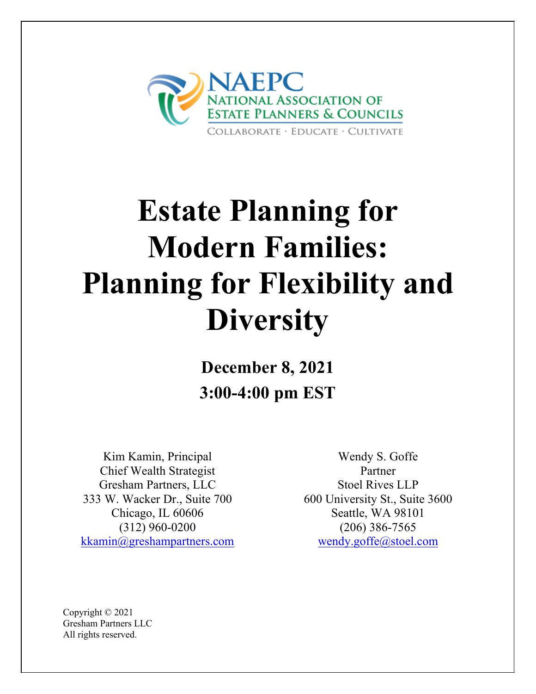

# **Estate Planning for Modern Families: Planning for Flexibility and Diversity**

**December 8, 2021 3:00-4:00 pm EST**

Kim Kamin, Principal Chief Wealth Strategist Gresham Partners, LLC 333 W. Wacker Dr., Suite 700 Chicago, IL 60606 (312) 960-0200 [kkamin@greshampartners.com](mailto:kkamin@greshampartners.com) 

Wendy S. Goffe Partner Stoel Rives LLP 600 University St., Suite 3600 Seattle, WA 98101 (206) 386-7565 [wendy.goffe@stoel.com](mailto:wendy.goffe@stoel.com)

Copyright © 2021 Gresham Partners LLC All rights reserved.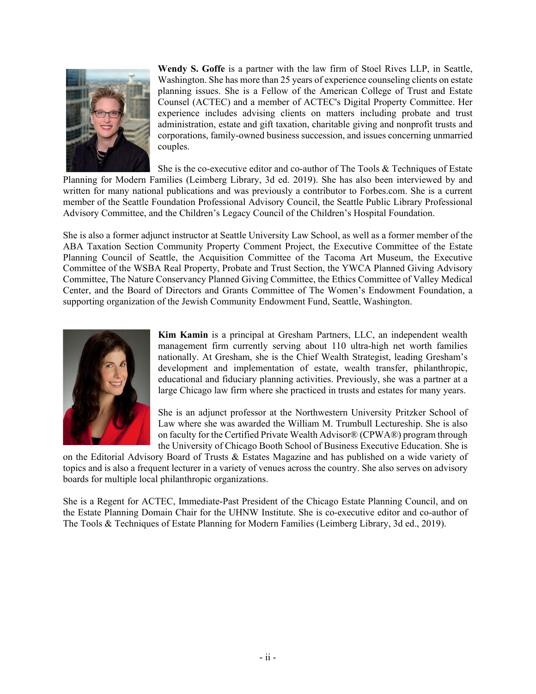

**Wendy S. Goffe** is a partner with the law firm of Stoel Rives LLP, in Seattle, Washington. She has more than 25 years of experience counseling clients on estate planning issues. She is a Fellow of the American College of Trust and Estate Counsel (ACTEC) and a member of ACTEC's Digital Property Committee. Her experience includes advising clients on matters including probate and trust administration, estate and gift taxation, charitable giving and nonprofit trusts and corporations, family-owned business succession, and issues concerning unmarried couples.

She is the co-executive editor and co-author of The Tools & Techniques of Estate Planning for Modern Families (Leimberg Library, 3d ed. 2019). She has also been interviewed by and written for many national publications and was previously a contributor to Forbes.com. She is a current member of the Seattle Foundation Professional Advisory Council, the Seattle Public Library Professional Advisory Committee, and the Children's Legacy Council of the Children's Hospital Foundation.

She is also a former adjunct instructor at Seattle University Law School, as well as a former member of the ABA Taxation Section Community Property Comment Project, the Executive Committee of the Estate Planning Council of Seattle, the Acquisition Committee of the Tacoma Art Museum, the Executive Committee of the WSBA Real Property, Probate and Trust Section, the YWCA Planned Giving Advisory Committee, The Nature Conservancy Planned Giving Committee, the Ethics Committee of Valley Medical Center, and the Board of Directors and Grants Committee of The Women's Endowment Foundation, a supporting organization of the Jewish Community Endowment Fund, Seattle, Washington.



**Kim Kamin** is a principal at Gresham Partners, LLC, an independent wealth management firm currently serving about 110 ultra-high net worth families nationally. At Gresham, she is the Chief Wealth Strategist, leading Gresham's development and implementation of estate, wealth transfer, philanthropic, educational and fiduciary planning activities. Previously, she was a partner at a large Chicago law firm where she practiced in trusts and estates for many years.

She is an adjunct professor at the Northwestern University Pritzker School of Law where she was awarded the William M. Trumbull Lectureship. She is also on faculty for the Certified Private Wealth Advisor® (CPWA®) program through the University of Chicago Booth School of Business Executive Education. She is

on the Editorial Advisory Board of Trusts & Estates Magazine and has published on a wide variety of topics and is also a frequent lecturer in a variety of venues across the country. She also serves on advisory boards for multiple local philanthropic organizations.

She is a Regent for ACTEC, Immediate-Past President of the Chicago Estate Planning Council, and on the Estate Planning Domain Chair for the UHNW Institute. She is co-executive editor and co-author of The Tools & Techniques of Estate Planning for Modern Families (Leimberg Library, 3d ed., 2019).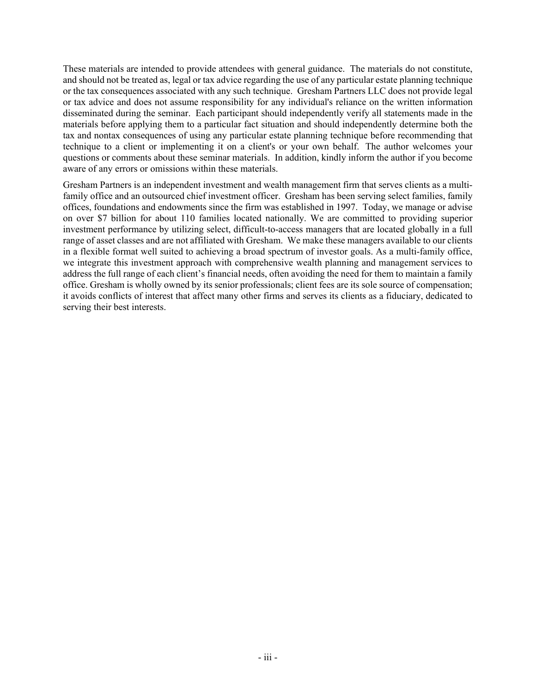These materials are intended to provide attendees with general guidance. The materials do not constitute, and should not be treated as, legal or tax advice regarding the use of any particular estate planning technique or the tax consequences associated with any such technique. Gresham Partners LLC does not provide legal or tax advice and does not assume responsibility for any individual's reliance on the written information disseminated during the seminar. Each participant should independently verify all statements made in the materials before applying them to a particular fact situation and should independently determine both the tax and nontax consequences of using any particular estate planning technique before recommending that technique to a client or implementing it on a client's or your own behalf. The author welcomes your questions or comments about these seminar materials. In addition, kindly inform the author if you become aware of any errors or omissions within these materials.

Gresham Partners is an independent investment and wealth management firm that serves clients as a multifamily office and an outsourced chief investment officer. Gresham has been serving select families, family offices, foundations and endowments since the firm was established in 1997. Today, we manage or advise on over \$7 billion for about 110 families located nationally. We are committed to providing superior investment performance by utilizing select, difficult-to-access managers that are located globally in a full range of asset classes and are not affiliated with Gresham. We make these managers available to our clients in a flexible format well suited to achieving a broad spectrum of investor goals. As a multi-family office, we integrate this investment approach with comprehensive wealth planning and management services to address the full range of each client's financial needs, often avoiding the need for them to maintain a family office. Gresham is wholly owned by its senior professionals; client fees are its sole source of compensation; it avoids conflicts of interest that affect many other firms and serves its clients as a fiduciary, dedicated to serving their best interests.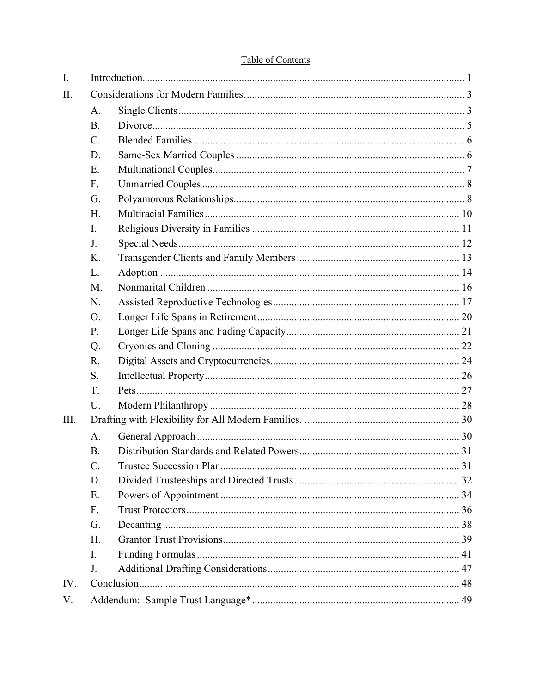| I.   |           |  |  |
|------|-----------|--|--|
| Π.   |           |  |  |
|      | A.        |  |  |
|      | <b>B.</b> |  |  |
|      | C.        |  |  |
|      | D.        |  |  |
|      | E.        |  |  |
|      | F.        |  |  |
|      | G.        |  |  |
|      | H.        |  |  |
|      | I.        |  |  |
|      | J.        |  |  |
|      | K.        |  |  |
|      | L.        |  |  |
|      | M.        |  |  |
|      | N.        |  |  |
|      | O.        |  |  |
|      | P.        |  |  |
|      | Q.        |  |  |
|      | R.        |  |  |
|      | S.        |  |  |
|      | T.        |  |  |
|      | U.        |  |  |
| III. |           |  |  |
|      | A.        |  |  |
|      | <b>B.</b> |  |  |
|      | C.        |  |  |
|      | D.        |  |  |
|      | E.        |  |  |
|      | F.        |  |  |
|      | G.        |  |  |
|      | H.        |  |  |
|      | I.        |  |  |
|      | J.        |  |  |
| IV.  |           |  |  |
| V.   |           |  |  |

# Table of Contents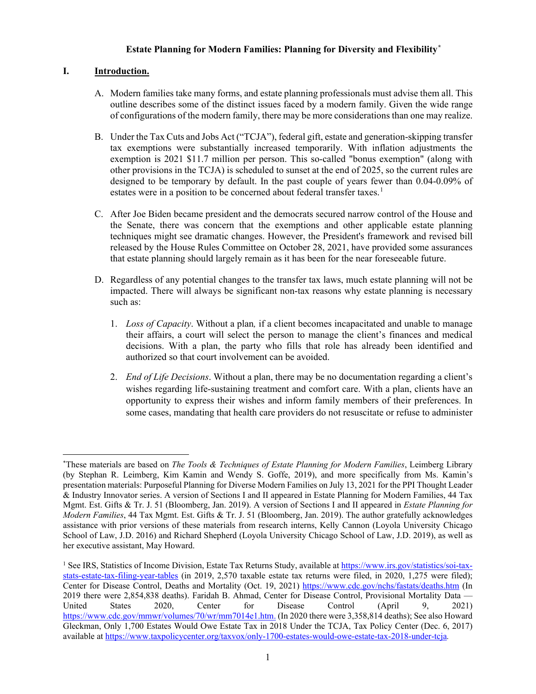# **Estate Planning for Modern Families: Planning for Diversity and Flexibility[\\*](#page-4-0)**

# **I. Introduction.**

- A. Modern families take many forms, and estate planning professionals must advise them all. This outline describes some of the distinct issues faced by a modern family. Given the wide range of configurations of the modern family, there may be more considerations than one may realize.
- B. Under the Tax Cuts and Jobs Act ("TCJA"), federal gift, estate and generation-skipping transfer tax exemptions were substantially increased temporarily. With inflation adjustments the exemption is 2021 \$11.7 million per person. This so-called "bonus exemption" (along with other provisions in the TCJA) is scheduled to sunset at the end of 2025, so the current rules are designed to be temporary by default. In the past couple of years fewer than 0.04-0.09% of estates were in a position to be concerned about federal transfer taxes.<sup>[1](#page-4-1)</sup>
- C. After Joe Biden became president and the democrats secured narrow control of the House and the Senate, there was concern that the exemptions and other applicable estate planning techniques might see dramatic changes. However, the President's framework and revised bill released by the House Rules Committee on October 28, 2021, have provided some assurances that estate planning should largely remain as it has been for the near foreseeable future.
- D. Regardless of any potential changes to the transfer tax laws, much estate planning will not be impacted. There will always be significant non-tax reasons why estate planning is necessary such as:
	- 1. *Loss of Capacity*. Without a plan*,* if a client becomes incapacitated and unable to manage their affairs, a court will select the person to manage the client's finances and medical decisions. With a plan, the party who fills that role has already been identified and authorized so that court involvement can be avoided.
	- 2. *End of Life Decisions*. Without a plan, there may be no documentation regarding a client's wishes regarding life-sustaining treatment and comfort care. With a plan, clients have an opportunity to express their wishes and inform family members of their preferences. In some cases, mandating that health care providers do not resuscitate or refuse to administer

<span id="page-4-0"></span><sup>\*</sup> These materials are based on *The Tools & Techniques of Estate Planning for Modern Families*, Leimberg Library (by Stephan R. Leimberg, Kim Kamin and Wendy S. Goffe, 2019), and more specifically from Ms. Kamin's presentation materials: Purposeful Planning for Diverse Modern Families on July 13, 2021 for the PPI Thought Leader & Industry Innovator series. A version of Sections I and II appeared in Estate Planning for Modern Families, 44 Tax Mgmt. Est. Gifts & Tr. J. 51 (Bloomberg, Jan. 2019). A version of Sections I and II appeared in *Estate Planning for Modern Families*, 44 Tax Mgmt. Est. Gifts & Tr. J. 51 (Bloomberg, Jan. 2019). The author gratefully acknowledges assistance with prior versions of these materials from research interns, Kelly Cannon (Loyola University Chicago School of Law, J.D. 2016) and Richard Shepherd (Loyola University Chicago School of Law, J.D. 2019), as well as her executive assistant, May Howard.

<span id="page-4-1"></span><sup>&</sup>lt;sup>1</sup> See IRS, Statistics of Income Division, Estate Tax Returns Study, available at [https://www.irs.gov/statistics/soi-tax](https://www.irs.gov/statistics/soi-tax-stats-estate-tax-filing-year-tables)[stats-estate-tax-filing-year-tables](https://www.irs.gov/statistics/soi-tax-stats-estate-tax-filing-year-tables) (in 2019, 2,570 taxable estate tax returns were filed, in 2020, 1,275 were filed); Center for Disease Control, Deaths and Mortality (Oct. 19, 2021)<https://www.cdc.gov/nchs/fastats/deaths.htm> (In 2019 there were 2,854,838 deaths). Faridah B. Ahmad, Center for Disease Control, Provisional Mortality Data — United States 2020, Center for Disease Control (April 9, 2021) [https://www.cdc.gov/mmwr/volumes/70/wr/mm7014e1.htm.](https://www.cdc.gov/mmwr/volumes/70/wr/mm7014e1.htm) (In 2020 there were 3,358,814 deaths); See also Howard Gleckman, Only 1,700 Estates Would Owe Estate Tax in 2018 Under the TCJA, Tax Policy Center (Dec. 6, 2017) available at<https://www.taxpolicycenter.org/taxvox/only-1700-estates-would-owe-estate-tax-2018-under-tcja>*.*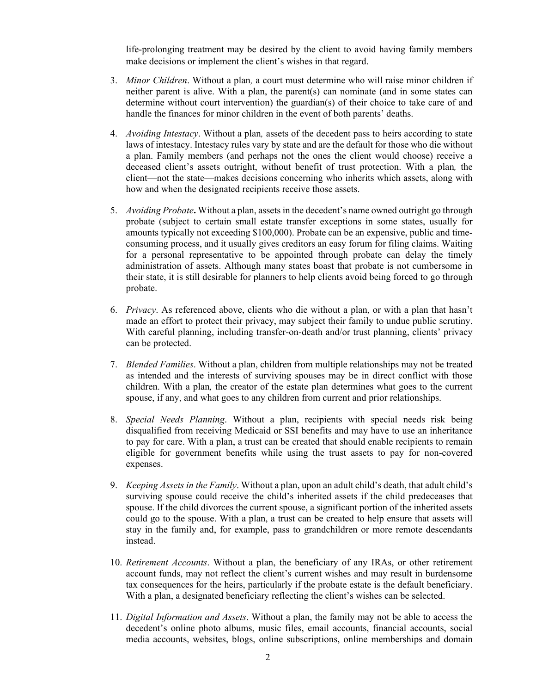life-prolonging treatment may be desired by the client to avoid having family members make decisions or implement the client's wishes in that regard.

- 3. *Minor Children*. Without a plan*,* a court must determine who will raise minor children if neither parent is alive. With a plan, the parent(s) can nominate (and in some states can determine without court intervention) the guardian(s) of their choice to take care of and handle the finances for minor children in the event of both parents' deaths.
- 4. *Avoiding Intestacy*. Without a plan*,* assets of the decedent pass to heirs according to state laws of intestacy. Intestacy rules vary by state and are the default for those who die without a plan. Family members (and perhaps not the ones the client would choose) receive a deceased client's assets outright, without benefit of trust protection. With a plan*,* the client—not the state—makes decisions concerning who inherits which assets, along with how and when the designated recipients receive those assets.
- 5. *Avoiding Probate***.** Without a plan, assets in the decedent's name owned outright go through probate (subject to certain small estate transfer exceptions in some states, usually for amounts typically not exceeding \$100,000). Probate can be an expensive, public and timeconsuming process, and it usually gives creditors an easy forum for filing claims. Waiting for a personal representative to be appointed through probate can delay the timely administration of assets. Although many states boast that probate is not cumbersome in their state, it is still desirable for planners to help clients avoid being forced to go through probate.
- 6. *Privacy*. As referenced above, clients who die without a plan, or with a plan that hasn't made an effort to protect their privacy, may subject their family to undue public scrutiny. With careful planning, including transfer-on-death and/or trust planning, clients' privacy can be protected.
- 7. *Blended Families*. Without a plan, children from multiple relationships may not be treated as intended and the interests of surviving spouses may be in direct conflict with those children. With a plan*,* the creator of the estate plan determines what goes to the current spouse, if any, and what goes to any children from current and prior relationships.
- 8. *Special Needs Planning*. Without a plan, recipients with special needs risk being disqualified from receiving Medicaid or SSI benefits and may have to use an inheritance to pay for care. With a plan, a trust can be created that should enable recipients to remain eligible for government benefits while using the trust assets to pay for non-covered expenses.
- 9. *Keeping Assets in the Family*. Without a plan, upon an adult child's death, that adult child's surviving spouse could receive the child's inherited assets if the child predeceases that spouse. If the child divorces the current spouse, a significant portion of the inherited assets could go to the spouse. With a plan, a trust can be created to help ensure that assets will stay in the family and, for example, pass to grandchildren or more remote descendants instead.
- 10. *Retirement Accounts*. Without a plan, the beneficiary of any IRAs, or other retirement account funds, may not reflect the client's current wishes and may result in burdensome tax consequences for the heirs, particularly if the probate estate is the default beneficiary. With a plan, a designated beneficiary reflecting the client's wishes can be selected.
- 11. *Digital Information and Assets*. Without a plan, the family may not be able to access the decedent's online photo albums, music files, email accounts, financial accounts, social media accounts, websites, blogs, online subscriptions, online memberships and domain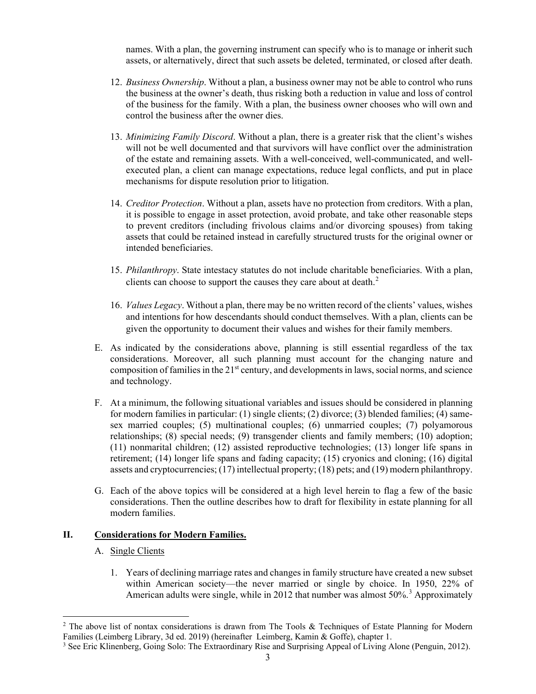names. With a plan, the governing instrument can specify who is to manage or inherit such assets, or alternatively, direct that such assets be deleted, terminated, or closed after death.

- 12. *Business Ownership*. Without a plan, a business owner may not be able to control who runs the business at the owner's death, thus risking both a reduction in value and loss of control of the business for the family. With a plan, the business owner chooses who will own and control the business after the owner dies.
- 13. *Minimizing Family Discord*. Without a plan, there is a greater risk that the client's wishes will not be well documented and that survivors will have conflict over the administration of the estate and remaining assets. With a well-conceived, well-communicated, and wellexecuted plan, a client can manage expectations, reduce legal conflicts, and put in place mechanisms for dispute resolution prior to litigation.
- 14. *Creditor Protection*. Without a plan, assets have no protection from creditors. With a plan, it is possible to engage in asset protection, avoid probate, and take other reasonable steps to prevent creditors (including frivolous claims and/or divorcing spouses) from taking assets that could be retained instead in carefully structured trusts for the original owner or intended beneficiaries.
- 15. *Philanthropy*. State intestacy statutes do not include charitable beneficiaries. With a plan, clients can choose to support the causes they care about at death.<sup>[2](#page-6-0)</sup>
- 16. *Values Legacy*. Without a plan, there may be no written record of the clients' values, wishes and intentions for how descendants should conduct themselves. With a plan, clients can be given the opportunity to document their values and wishes for their family members.
- E. As indicated by the considerations above, planning is still essential regardless of the tax considerations. Moreover, all such planning must account for the changing nature and composition of families in the 21<sup>st</sup> century, and developments in laws, social norms, and science and technology.
- F. At a minimum, the following situational variables and issues should be considered in planning for modern families in particular: (1) single clients; (2) divorce; (3) blended families; (4) samesex married couples; (5) multinational couples; (6) unmarried couples; (7) polyamorous relationships; (8) special needs; (9) transgender clients and family members; (10) adoption; (11) nonmarital children; (12) assisted reproductive technologies; (13) longer life spans in retirement; (14) longer life spans and fading capacity; (15) cryonics and cloning; (16) digital assets and cryptocurrencies; (17) intellectual property; (18) pets; and (19) modern philanthropy.
- G. Each of the above topics will be considered at a high level herein to flag a few of the basic considerations. Then the outline describes how to draft for flexibility in estate planning for all modern families.

# **II. Considerations for Modern Families.**

# A. Single Clients

1. Years of declining marriage rates and changes in family structure have created a new subset within American society—the never married or single by choice. In 1950, 22% of American adults were single, while in 2012 that number was almost 50%.<sup>[3](#page-6-1)</sup> Approximately

<span id="page-6-0"></span><sup>&</sup>lt;sup>2</sup> The above list of nontax considerations is drawn from The Tools & Techniques of Estate Planning for Modern Families (Leimberg Library, 3d ed. 2019) (hereinafter Leimberg, Kamin & Goffe), chapter 1.

<span id="page-6-1"></span><sup>&</sup>lt;sup>3</sup> See Eric Klinenberg, Going Solo: The Extraordinary Rise and Surprising Appeal of Living Alone (Penguin, 2012).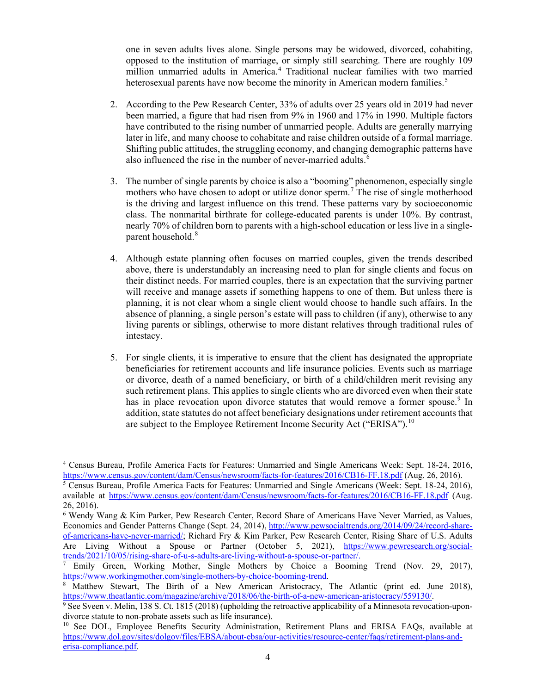one in seven adults lives alone. Single persons may be widowed, divorced, cohabiting, opposed to the institution of marriage, or simply still searching. There are roughly 109 million unmarried adults in America.<sup>[4](#page-7-0)</sup> Traditional nuclear families with two married heterosexual parents have now become the minority in American modern families.<sup>[5](#page-7-1)</sup>

- 2. According to the Pew Research Center, 33% of adults over 25 years old in 2019 had never been married, a figure that had risen from 9% in 1960 and 17% in 1990. Multiple factors have contributed to the rising number of unmarried people. Adults are generally marrying later in life, and many choose to cohabitate and raise children outside of a formal marriage. Shifting public attitudes, the struggling economy, and changing demographic patterns have also influenced the rise in the number of never-married adults.<sup>[6](#page-7-2)</sup>
- 3. The number of single parents by choice is also a "booming" phenomenon, especially single mothers who have chosen to adopt or utilize donor sperm.<sup>[7](#page-7-3)</sup> The rise of single motherhood is the driving and largest influence on this trend. These patterns vary by socioeconomic class. The nonmarital birthrate for college-educated parents is under 10%. By contrast, nearly 70% of children born to parents with a high-school education or less live in a single-parent household.<sup>[8](#page-7-4)</sup>
- 4. Although estate planning often focuses on married couples, given the trends described above, there is understandably an increasing need to plan for single clients and focus on their distinct needs. For married couples, there is an expectation that the surviving partner will receive and manage assets if something happens to one of them. But unless there is planning, it is not clear whom a single client would choose to handle such affairs. In the absence of planning, a single person's estate will pass to children (if any), otherwise to any living parents or siblings, otherwise to more distant relatives through traditional rules of intestacy.
- 5. For single clients, it is imperative to ensure that the client has designated the appropriate beneficiaries for retirement accounts and life insurance policies. Events such as marriage or divorce, death of a named beneficiary, or birth of a child/children merit revising any such retirement plans. This applies to single clients who are divorced even when their state has in place revocation upon divorce statutes that would remove a former spouse.<sup>[9](#page-7-5)</sup> In addition, state statutes do not affect beneficiary designations under retirement accounts that are subject to the Employee Retirement Income Security Act ("ERISA").<sup>[10](#page-7-6)</sup>

<span id="page-7-0"></span><sup>4</sup> Census Bureau, Profile America Facts for Features: Unmarried and Single Americans Week: Sept. 18-24, 2016,

<span id="page-7-1"></span>https://www.census.gov/content/dam/Census/newsroom/facts-for-features/2016/CB16-FF.18.pdf (Aug. 26, 2016).<br><sup>5</sup> Census Bureau, Profile America Facts for Features: Unmarried and Single Americans (Week: Sept. 18-24, 2016), available at<https://www.census.gov/content/dam/Census/newsroom/facts-for-features/2016/CB16-FF.18.pdf> (Aug. 26, 2016).

<span id="page-7-2"></span><sup>6</sup> Wendy Wang & Kim Parker, Pew Research Center, Record Share of Americans Have Never Married, as Values, Economics and Gender Patterns Change (Sept. 24, 2014), [http://www.pewsocialtrends.org/2014/09/24/record-share](http://www.pewsocialtrends.org/2014/09/24/record-share-of-americans-have-never-married/)[of-americans-have-never-married/;](http://www.pewsocialtrends.org/2014/09/24/record-share-of-americans-have-never-married/) Richard Fry & Kim Parker, Pew Research Center, Rising Share of U.S. Adults Are Living Without a Spouse or Partner (October 5, 2021), [https://www.pewresearch.org/social](https://www.pewresearch.org/social-trends/2021/10/05/rising-share-of-u-s-adults-are-living-without-a-spouse-or-partner/)[trends/2021/10/05/rising-share-of-u-s-adults-are-living-without-a-spouse-or-partner/.](https://www.pewresearch.org/social-trends/2021/10/05/rising-share-of-u-s-adults-are-living-without-a-spouse-or-partner/)

<span id="page-7-3"></span><sup>7</sup> Emily Green, Working Mother, Single Mothers by Choice a Booming Trend (Nov. 29, 2017), [https://www.workingmother.com/single-mothers-by-choice-booming-trend.](https://www.workingmother.com/single-mothers-by-choice-booming-trend)

<span id="page-7-4"></span><sup>&</sup>lt;sup>8</sup> Matthew Stewart, The Birth of a New American Aristocracy, The Atlantic (print ed. June 2018), https://www.theatlantic.com/magazine/archive/2018/06/the-birth-of-a-new-american-aristocracy/559130/.

<span id="page-7-5"></span> $\frac{9}{9}$  See Sveen v. Melin, 138 S. Ct. 1815 (2018) (upholding the retroactive applicability of a Minnesota revocation-upondivorce statute to non-probate assets such as life insurance).

<span id="page-7-6"></span><sup>&</sup>lt;sup>10</sup> See DOL, Employee Benefits Security Administration, Retirement Plans and ERISA FAQs, available at [https://www.dol.gov/sites/dolgov/files/EBSA/about-ebsa/our-activities/resource-center/faqs/retirement-plans-and](https://www.dol.gov/sites/dolgov/files/EBSA/about-ebsa/our-activities/resource-center/faqs/retirement-plans-and-erisa-compliance.pdf)[erisa-compliance.pdf.](https://www.dol.gov/sites/dolgov/files/EBSA/about-ebsa/our-activities/resource-center/faqs/retirement-plans-and-erisa-compliance.pdf)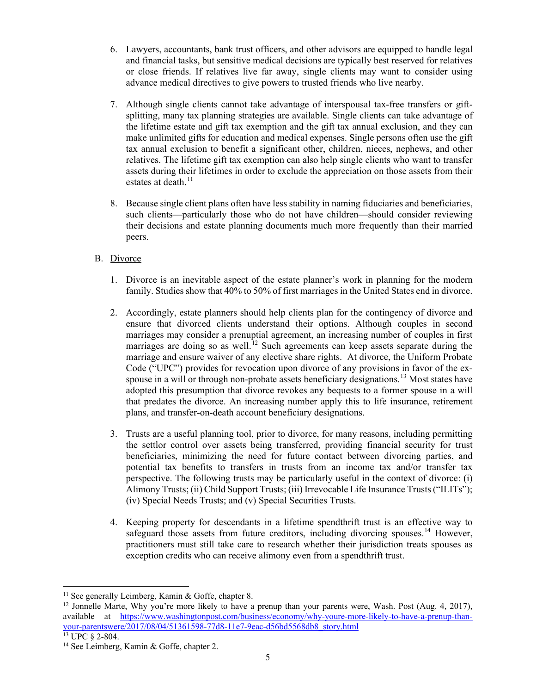- 6. Lawyers, accountants, bank trust officers, and other advisors are equipped to handle legal and financial tasks, but sensitive medical decisions are typically best reserved for relatives or close friends. If relatives live far away, single clients may want to consider using advance medical directives to give powers to trusted friends who live nearby.
- 7. Although single clients cannot take advantage of interspousal tax-free transfers or giftsplitting, many tax planning strategies are available. Single clients can take advantage of the lifetime estate and gift tax exemption and the gift tax annual exclusion, and they can make unlimited gifts for education and medical expenses. Single persons often use the gift tax annual exclusion to benefit a significant other, children, nieces, nephews, and other relatives. The lifetime gift tax exemption can also help single clients who want to transfer assets during their lifetimes in order to exclude the appreciation on those assets from their estates at death.<sup>[11](#page-8-0)</sup>
- 8. Because single client plans often have less stability in naming fiduciaries and beneficiaries, such clients—particularly those who do not have children—should consider reviewing their decisions and estate planning documents much more frequently than their married peers.

# B. Divorce

- 1. Divorce is an inevitable aspect of the estate planner's work in planning for the modern family. Studies show that 40% to 50% of first marriages in the United States end in divorce.
- 2. Accordingly, estate planners should help clients plan for the contingency of divorce and ensure that divorced clients understand their options. Although couples in second marriages may consider a prenuptial agreement, an increasing number of couples in first marriages are doing so as well.<sup>[12](#page-8-1)</sup> Such agreements can keep assets separate during the marriage and ensure waiver of any elective share rights. At divorce, the Uniform Probate Code ("UPC") provides for revocation upon divorce of any provisions in favor of the ex-spouse in a will or through non-probate assets beneficiary designations.<sup>[13](#page-8-2)</sup> Most states have adopted this presumption that divorce revokes any bequests to a former spouse in a will that predates the divorce. An increasing number apply this to life insurance, retirement plans, and transfer-on-death account beneficiary designations.
- 3. Trusts are a useful planning tool, prior to divorce, for many reasons, including permitting the settlor control over assets being transferred, providing financial security for trust beneficiaries, minimizing the need for future contact between divorcing parties, and potential tax benefits to transfers in trusts from an income tax and/or transfer tax perspective. The following trusts may be particularly useful in the context of divorce: (i) Alimony Trusts; (ii) Child Support Trusts; (iii) Irrevocable Life Insurance Trusts ("ILITs"); (iv) Special Needs Trusts; and (v) Special Securities Trusts.
- 4. Keeping property for descendants in a lifetime spendthrift trust is an effective way to safeguard those assets from future creditors, including divorcing spouses.<sup>[14](#page-8-3)</sup> However, practitioners must still take care to research whether their jurisdiction treats spouses as exception credits who can receive alimony even from a spendthrift trust.

<span id="page-8-0"></span><sup>&</sup>lt;sup>11</sup> See generally Leimberg, Kamin & Goffe, chapter 8.

<span id="page-8-1"></span><sup>&</sup>lt;sup>12</sup> Jonnelle Marte, Why you're more likely to have a prenup than your parents were, Wash. Post (Aug. 4, 2017), available at [https://www.washingtonpost.com/business/economy/why-youre-more-likely-to-have-a-prenup-than](https://www.washingtonpost.com/business/economy/why-youre-more-likely-to-have-a-prenup-than-your-parentswere/2017/08/04/51361598-77d8-11e7-9eac-d56bd5568db8_story.html)your-parentswere/2017/08/04/51361598-77d8-11e7-9eac-d56bd5568db8\_story.html<br><sup>13</sup> UPC § 2-804.

<span id="page-8-2"></span>

<span id="page-8-3"></span><sup>&</sup>lt;sup>14</sup> See Leimberg, Kamin & Goffe, chapter 2.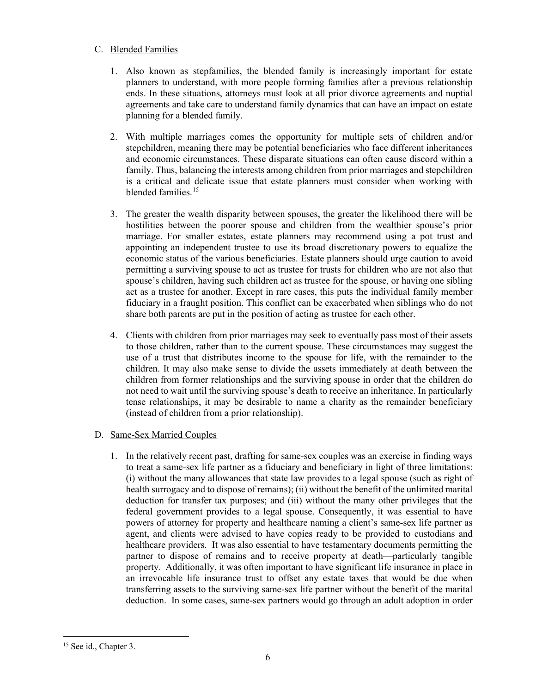# C. Blended Families

- 1. Also known as stepfamilies, the blended family is increasingly important for estate planners to understand, with more people forming families after a previous relationship ends. In these situations, attorneys must look at all prior divorce agreements and nuptial agreements and take care to understand family dynamics that can have an impact on estate planning for a blended family.
- 2. With multiple marriages comes the opportunity for multiple sets of children and/or stepchildren, meaning there may be potential beneficiaries who face different inheritances and economic circumstances. These disparate situations can often cause discord within a family. Thus, balancing the interests among children from prior marriages and stepchildren is a critical and delicate issue that estate planners must consider when working with blended families.<sup>[15](#page-9-0)</sup>
- 3. The greater the wealth disparity between spouses, the greater the likelihood there will be hostilities between the poorer spouse and children from the wealthier spouse's prior marriage. For smaller estates, estate planners may recommend using a pot trust and appointing an independent trustee to use its broad discretionary powers to equalize the economic status of the various beneficiaries. Estate planners should urge caution to avoid permitting a surviving spouse to act as trustee for trusts for children who are not also that spouse's children, having such children act as trustee for the spouse, or having one sibling act as a trustee for another. Except in rare cases, this puts the individual family member fiduciary in a fraught position. This conflict can be exacerbated when siblings who do not share both parents are put in the position of acting as trustee for each other.
- 4. Clients with children from prior marriages may seek to eventually pass most of their assets to those children, rather than to the current spouse. These circumstances may suggest the use of a trust that distributes income to the spouse for life, with the remainder to the children. It may also make sense to divide the assets immediately at death between the children from former relationships and the surviving spouse in order that the children do not need to wait until the surviving spouse's death to receive an inheritance. In particularly tense relationships, it may be desirable to name a charity as the remainder beneficiary (instead of children from a prior relationship).

# D. Same-Sex Married Couples

1. In the relatively recent past, drafting for same-sex couples was an exercise in finding ways to treat a same-sex life partner as a fiduciary and beneficiary in light of three limitations: (i) without the many allowances that state law provides to a legal spouse (such as right of health surrogacy and to dispose of remains); (ii) without the benefit of the unlimited marital deduction for transfer tax purposes; and (iii) without the many other privileges that the federal government provides to a legal spouse. Consequently, it was essential to have powers of attorney for property and healthcare naming a client's same-sex life partner as agent, and clients were advised to have copies ready to be provided to custodians and healthcare providers. It was also essential to have testamentary documents permitting the partner to dispose of remains and to receive property at death—particularly tangible property. Additionally, it was often important to have significant life insurance in place in an irrevocable life insurance trust to offset any estate taxes that would be due when transferring assets to the surviving same-sex life partner without the benefit of the marital deduction. In some cases, same-sex partners would go through an adult adoption in order

<span id="page-9-0"></span><sup>&</sup>lt;sup>15</sup> See id., Chapter 3.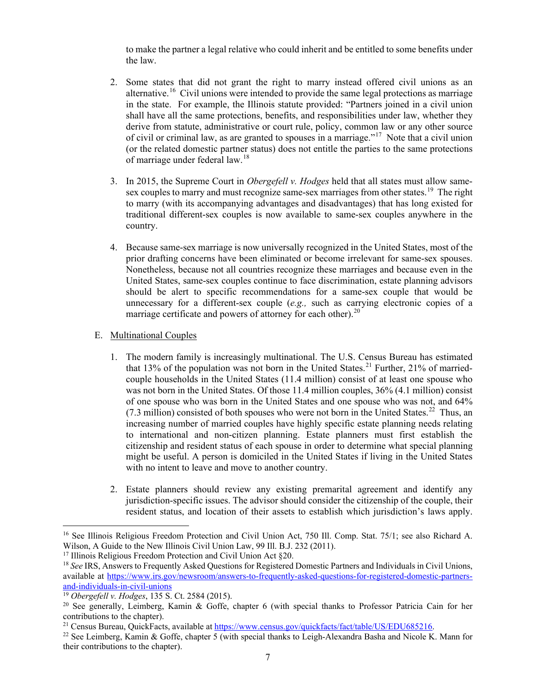to make the partner a legal relative who could inherit and be entitled to some benefits under the law.

- 2. Some states that did not grant the right to marry instead offered civil unions as an alternative.<sup>16</sup> Civil unions were intended to provide the same legal protections as marriage in the state. For example, the Illinois statute provided: "Partners joined in a civil union shall have all the same protections, benefits, and responsibilities under law, whether they derive from statute, administrative or court rule, policy, common law or any other source of civil or criminal law, as are granted to spouses in a marriage."[17](#page-10-1) Note that a civil union (or the related domestic partner status) does not entitle the parties to the same protections of marriage under federal law.[18](#page-10-2)
- 3. In 2015, the Supreme Court in *Obergefell v. Hodges* held that all states must allow same-sex couples to marry and must recognize same-sex marriages from other states.<sup>[19](#page-10-3)</sup> The right to marry (with its accompanying advantages and disadvantages) that has long existed for traditional different-sex couples is now available to same-sex couples anywhere in the country.
- 4. Because same-sex marriage is now universally recognized in the United States, most of the prior drafting concerns have been eliminated or become irrelevant for same-sex spouses. Nonetheless, because not all countries recognize these marriages and because even in the United States, same-sex couples continue to face discrimination, estate planning advisors should be alert to specific recommendations for a same-sex couple that would be unnecessary for a different-sex couple (*e.g.,* such as carrying electronic copies of a marriage certificate and powers of attorney for each other).<sup>[20](#page-10-4)</sup>

# E. Multinational Couples

- 1. The modern family is increasingly multinational. The U.S. Census Bureau has estimated that 13% of the population was not born in the United States.<sup>[21](#page-10-5)</sup> Further, 21% of marriedcouple households in the United States (11.4 million) consist of at least one spouse who was not born in the United States. Of those 11.4 million couples, 36% (4.1 million) consist of one spouse who was born in the United States and one spouse who was not, and 64% (7.3 million) consisted of both spouses who were not born in the United States.<sup>[22](#page-10-6)</sup> Thus, an increasing number of married couples have highly specific estate planning needs relating to international and non-citizen planning. Estate planners must first establish the citizenship and resident status of each spouse in order to determine what special planning might be useful. A person is domiciled in the United States if living in the United States with no intent to leave and move to another country.
- 2. Estate planners should review any existing premarital agreement and identify any jurisdiction-specific issues. The advisor should consider the citizenship of the couple, their resident status, and location of their assets to establish which jurisdiction's laws apply.

<span id="page-10-0"></span><sup>&</sup>lt;sup>16</sup> See Illinois Religious Freedom Protection and Civil Union Act, 750 Ill. Comp. Stat. 75/1; see also Richard A. Wilson, A Guide to the New Illinois Civil Union Law, 99 Ill. B.J. 232 (2011).

<span id="page-10-1"></span><sup>&</sup>lt;sup>17</sup> Illinois Religious Freedom Protection and Civil Union Act §20.

<span id="page-10-2"></span><sup>18</sup> *See* IRS, Answers to Frequently Asked Questions for Registered Domestic Partners and Individuals in Civil Unions, available at [https://www.irs.gov/newsroom/answers-to-frequently-asked-questions-for-registered-domestic-partners](https://www.irs.gov/newsroom/answers-to-frequently-asked-questions-for-registered-domestic-partners-and-individuals-in-civil-unions)[and-individuals-in-civil-unions](https://www.irs.gov/newsroom/answers-to-frequently-asked-questions-for-registered-domestic-partners-and-individuals-in-civil-unions)

<span id="page-10-3"></span><sup>19</sup> *Obergefell v. Hodges*, 135 S. Ct. 2584 (2015).

<span id="page-10-4"></span><sup>20</sup> See generally, Leimberg, Kamin & Goffe, chapter 6 (with special thanks to Professor Patricia Cain for her contributions to the chapter).

<span id="page-10-5"></span><sup>21</sup> Census Bureau, QuickFacts, available at [https://www.census.gov/quickfacts/fact/table/US/EDU685216.](https://www.census.gov/quickfacts/fact/table/US/EDU685216)

<span id="page-10-6"></span><sup>22</sup> See Leimberg, Kamin & Goffe, chapter 5 (with special thanks to Leigh-Alexandra Basha and Nicole K. Mann for their contributions to the chapter).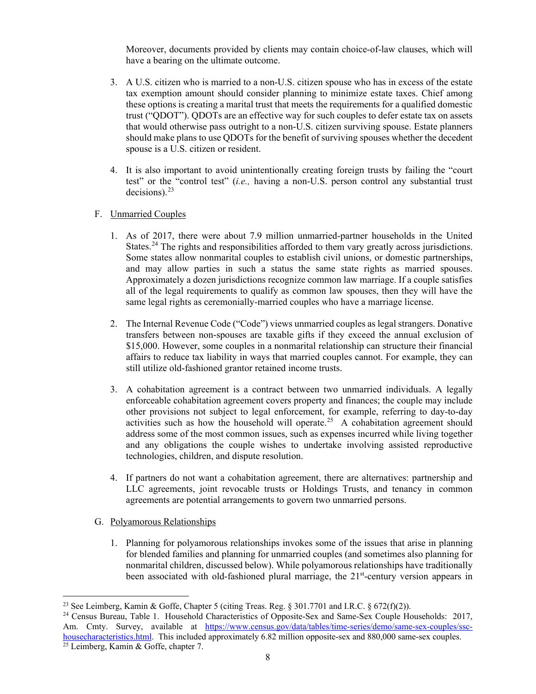Moreover, documents provided by clients may contain choice-of-law clauses, which will have a bearing on the ultimate outcome.

- 3. A U.S. citizen who is married to a non-U.S. citizen spouse who has in excess of the estate tax exemption amount should consider planning to minimize estate taxes. Chief among these options is creating a marital trust that meets the requirements for a qualified domestic trust ("QDOT"). QDOTs are an effective way for such couples to defer estate tax on assets that would otherwise pass outright to a non-U.S. citizen surviving spouse. Estate planners should make plans to use QDOTs for the benefit of surviving spouses whether the decedent spouse is a U.S. citizen or resident.
- 4. It is also important to avoid unintentionally creating foreign trusts by failing the "court test" or the "control test" (*i.e.,* having a non-U.S. person control any substantial trust decisions). $^{23}$  $^{23}$  $^{23}$

# F. Unmarried Couples

- 1. As of 2017, there were about 7.9 million unmarried-partner households in the United States.<sup>[24](#page-11-1)</sup> The rights and responsibilities afforded to them vary greatly across jurisdictions. Some states allow nonmarital couples to establish civil unions, or domestic partnerships, and may allow parties in such a status the same state rights as married spouses. Approximately a dozen jurisdictions recognize common law marriage. If a couple satisfies all of the legal requirements to qualify as common law spouses, then they will have the same legal rights as ceremonially-married couples who have a marriage license.
- 2. The Internal Revenue Code ("Code") views unmarried couples as legal strangers. Donative transfers between non-spouses are taxable gifts if they exceed the annual exclusion of \$15,000. However, some couples in a nonmarital relationship can structure their financial affairs to reduce tax liability in ways that married couples cannot. For example, they can still utilize old-fashioned grantor retained income trusts.
- 3. A cohabitation agreement is a contract between two unmarried individuals. A legally enforceable cohabitation agreement covers property and finances; the couple may include other provisions not subject to legal enforcement, for example, referring to day-to-day activities such as how the household will operate.<sup>25</sup> A cohabitation agreement should address some of the most common issues, such as expenses incurred while living together and any obligations the couple wishes to undertake involving assisted reproductive technologies, children, and dispute resolution.
- 4. If partners do not want a cohabitation agreement, there are alternatives: partnership and LLC agreements, joint revocable trusts or Holdings Trusts, and tenancy in common agreements are potential arrangements to govern two unmarried persons.
- G. Polyamorous Relationships
	- 1. Planning for polyamorous relationships invokes some of the issues that arise in planning for blended families and planning for unmarried couples (and sometimes also planning for nonmarital children, discussed below). While polyamorous relationships have traditionally been associated with old-fashioned plural marriage, the  $21<sup>st</sup>$ -century version appears in

<span id="page-11-0"></span><sup>&</sup>lt;sup>23</sup> See Leimberg, Kamin & Goffe, Chapter 5 (citing Treas. Reg.  $\S 301.7701$  and I.R.C.  $\S 672(f)(2)$ ).

<span id="page-11-2"></span><span id="page-11-1"></span><sup>&</sup>lt;sup>24</sup> Census Bureau, Table 1. Household Characteristics of Opposite-Sex and Same-Sex Couple Households: 2017, Am. Cmty. Survey, available at [https://www.census.gov/data/tables/time-series/demo/same-sex-couples/ssc](https://www.census.gov/data/tables/time-series/demo/same-sex-couples/ssc-housecharacteristics.html)[housecharacteristics.html.](https://www.census.gov/data/tables/time-series/demo/same-sex-couples/ssc-housecharacteristics.html) This included approximately 6.82 million opposite-sex and 880,000 same-sex couples. 25 Leimberg, Kamin & Goffe, chapter 7.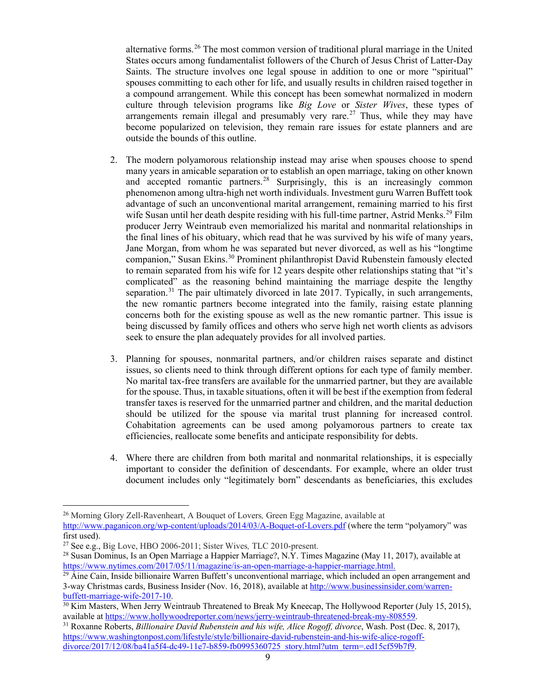alternative forms.<sup>[26](#page-12-0)</sup> The most common version of traditional plural marriage in the United States occurs among fundamentalist followers of the Church of Jesus Christ of Latter-Day Saints. The structure involves one legal spouse in addition to one or more "spiritual" spouses committing to each other for life, and usually results in children raised together in a compound arrangement. While this concept has been somewhat normalized in modern culture through television programs like *Big Love* or *Sister Wives*, these types of arrangements remain illegal and presumably very rare.<sup>[27](#page-12-1)</sup> Thus, while they may have become popularized on television, they remain rare issues for estate planners and are outside the bounds of this outline.

- 2. The modern polyamorous relationship instead may arise when spouses choose to spend many years in amicable separation or to establish an open marriage, taking on other known and accepted romantic partners.<sup>[28](#page-12-2)</sup> Surprisingly, this is an increasingly common phenomenon among ultra-high net worth individuals. Investment guru Warren Buffett took advantage of such an unconventional marital arrangement, remaining married to his first wife Susan until her death despite residing with his full-time partner, Astrid Menks.<sup>[29](#page-12-3)</sup> Film producer Jerry Weintraub even memorialized his marital and nonmarital relationships in the final lines of his obituary, which read that he was survived by his wife of many years, Jane Morgan, from whom he was separated but never divorced, as well as his "longtime companion," Susan Ekins.<sup>[30](#page-12-4)</sup> Prominent philanthropist David Rubenstein famously elected to remain separated from his wife for 12 years despite other relationships stating that "it's complicated" as the reasoning behind maintaining the marriage despite the lengthy separation.<sup>[31](#page-12-5)</sup> The pair ultimately divorced in late 2017. Typically, in such arrangements, the new romantic partners become integrated into the family, raising estate planning concerns both for the existing spouse as well as the new romantic partner. This issue is being discussed by family offices and others who serve high net worth clients as advisors seek to ensure the plan adequately provides for all involved parties.
- 3. Planning for spouses, nonmarital partners, and/or children raises separate and distinct issues, so clients need to think through different options for each type of family member. No marital tax-free transfers are available for the unmarried partner, but they are available for the spouse. Thus, in taxable situations, often it will be best if the exemption from federal transfer taxes is reserved for the unmarried partner and children, and the marital deduction should be utilized for the spouse via marital trust planning for increased control. Cohabitation agreements can be used among polyamorous partners to create tax efficiencies, reallocate some benefits and anticipate responsibility for debts.
- 4. Where there are children from both marital and nonmarital relationships, it is especially important to consider the definition of descendants. For example, where an older trust document includes only "legitimately born" descendants as beneficiaries, this excludes

<span id="page-12-0"></span><sup>26</sup> Morning Glory Zell-Ravenheart, A Bouquet of Lovers*,* Green Egg Magazine, available at <http://www.paganicon.org/wp-content/uploads/2014/03/A-Boquet-of-Lovers.pdf> (where the term "polyamory" was

<span id="page-12-1"></span>first used).<br> $27$  See e.g., Big Love, HBO 2006-2011; Sister Wives, TLC 2010-present.

<span id="page-12-2"></span><sup>&</sup>lt;sup>28</sup> Susan Dominus, Is an Open Marriage a Happier Marriage?, N.Y. Times Magazine (May 11, 2017), available at [https://www.nytimes.com/2017/05/11/magazine/is-an-open-marriage-a-happier-marriage.html.](https://www.nytimes.com/2017/05/11/magazine/is-an-open-marriage-a-happier-marriage.html)

<span id="page-12-3"></span><sup>&</sup>lt;sup>29</sup> Áine Cain, Inside billionaire Warren Buffett's unconventional marriage, which included an open arrangement and 3-way Christmas cards, Business Insider (Nov. 16, 2018), available at [http://www.businessinsider.com/warren](http://www.businessinsider.com/warren-buffett-marriage-wife-2017-10)[buffett-marriage-wife-2017-10.](http://www.businessinsider.com/warren-buffett-marriage-wife-2017-10)

<span id="page-12-4"></span><sup>&</sup>lt;sup>30</sup> Kim Masters, When Jerry Weintraub Threatened to Break My Kneecap, The Hollywood Reporter (July 15, 2015), available at [https://www.hollywoodreporter.com/news/jerry-weintraub-threatened-break-my-808559.](https://www.hollywoodreporter.com/news/jerry-weintraub-threatened-break-my-808559)

<span id="page-12-5"></span><sup>31</sup> Roxanne Roberts, *Billionaire David Rubenstein and his wife, Alice Rogoff, divorce*, Wash. Post (Dec. 8, 2017), [https://www.washingtonpost.com/lifestyle/style/billionaire-david-rubenstein-and-his-wife-alice-rogoff](https://www.washingtonpost.com/lifestyle/style/billionaire-david-rubenstein-and-his-wife-alice-rogoff-divorce/2017/12/08/ba41a5f4-dc49-11e7-b859-fb0995360725_story.html?utm_term=.ed15cf59b7f9)[divorce/2017/12/08/ba41a5f4-dc49-11e7-b859-fb0995360725\\_story.html?utm\\_term=.ed15cf59b7f9.](https://www.washingtonpost.com/lifestyle/style/billionaire-david-rubenstein-and-his-wife-alice-rogoff-divorce/2017/12/08/ba41a5f4-dc49-11e7-b859-fb0995360725_story.html?utm_term=.ed15cf59b7f9)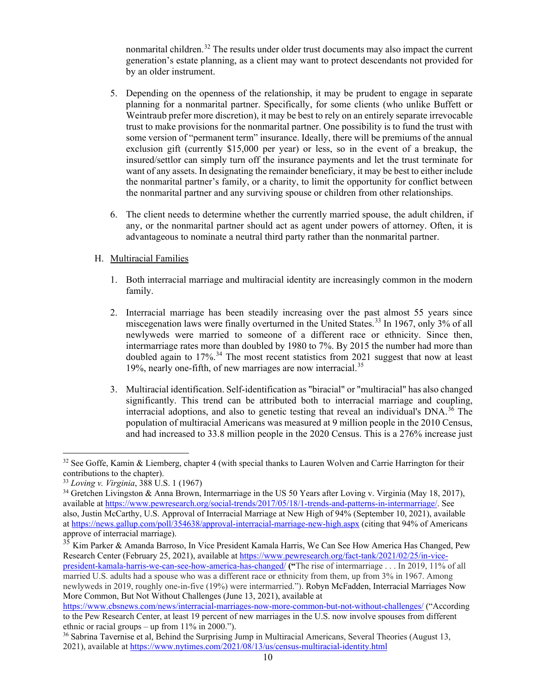nonmarital children.<sup>[32](#page-13-0)</sup> The results under older trust documents may also impact the current generation's estate planning, as a client may want to protect descendants not provided for by an older instrument.

- 5. Depending on the openness of the relationship, it may be prudent to engage in separate planning for a nonmarital partner. Specifically, for some clients (who unlike Buffett or Weintraub prefer more discretion), it may be best to rely on an entirely separate irrevocable trust to make provisions for the nonmarital partner. One possibility is to fund the trust with some version of "permanent term" insurance. Ideally, there will be premiums of the annual exclusion gift (currently \$15,000 per year) or less, so in the event of a breakup, the insured/settlor can simply turn off the insurance payments and let the trust terminate for want of any assets. In designating the remainder beneficiary, it may be best to either include the nonmarital partner's family, or a charity, to limit the opportunity for conflict between the nonmarital partner and any surviving spouse or children from other relationships.
- 6. The client needs to determine whether the currently married spouse, the adult children, if any, or the nonmarital partner should act as agent under powers of attorney. Often, it is advantageous to nominate a neutral third party rather than the nonmarital partner.

# H. Multiracial Families

- 1. Both interracial marriage and multiracial identity are increasingly common in the modern family.
- 2. Interracial marriage has been steadily increasing over the past almost 55 years since miscegenation laws were finally overturned in the United States.<sup>[33](#page-13-1)</sup> In 1967, only 3% of all newlyweds were married to someone of a different race or ethnicity. Since then, intermarriage rates more than doubled by 1980 to 7%. By 2015 the number had more than doubled again to  $17\%$ .<sup>[34](#page-13-2)</sup> The most recent statistics from 2021 suggest that now at least 19%, nearly one-fifth, of new marriages are now interracial.<sup>[35](#page-13-3)</sup>
- 3. Multiracial identification. Self-identification as "biracial" or "multiracial" has also changed significantly. This trend can be attributed both to interracial marriage and coupling, interracial adoptions, and also to genetic testing that reveal an individual's  $DNA<sup>36</sup>$  $DNA<sup>36</sup>$  $DNA<sup>36</sup>$  The population of multiracial Americans was measured at 9 million people in the 2010 Census, and had increased to 33.8 million people in the 2020 Census. This is a 276% increase just

<span id="page-13-0"></span><sup>&</sup>lt;sup>32</sup> See Goffe, Kamin & Liemberg, chapter 4 (with special thanks to Lauren Wolven and Carrie Harrington for their contributions to the chapter).

<span id="page-13-1"></span><sup>33</sup> *Loving v. Virginia*, 388 U.S. 1 (1967)

<span id="page-13-2"></span><sup>34</sup> Gretchen Livingston & Anna Brown, Intermarriage in the US 50 Years after Loving v. Virginia (May 18, 2017), available at [https://www.pewresearch.org/social-trends/2017/05/18/1-trends-and-patterns-in-intermarriage/.](https://www.pewresearch.org/social-trends/2017/05/18/1-trends-and-patterns-in-intermarriage/) See also, Justin McCarthy, U.S. Approval of Interracial Marriage at New High of 94% (September 10, 2021), available a[t https://news.gallup.com/poll/354638/approval-interracial-marriage-new-high.aspx](https://news.gallup.com/poll/354638/approval-interracial-marriage-new-high.aspx) (citing that 94% of Americans approve of interracial marriage).

<span id="page-13-3"></span> $35$  Kim Parker & Amanda Barroso, In Vice President Kamala Harris, We Can See How America Has Changed, Pew Research Center (February 25, 2021), available at [https://www.pewresearch.org/fact-tank/2021/02/25/in-vice-](https://www.pewresearch.org/fact-tank/2021/02/25/in-vice-president-kamala-harris-we-can-see-how-america-has-changed/)

[president-kamala-harris-we-can-see-how-america-has-changed/](https://www.pewresearch.org/fact-tank/2021/02/25/in-vice-president-kamala-harris-we-can-see-how-america-has-changed/) **("**The rise of intermarriage . . . In 2019, 11% of all married U.S. adults had a spouse who was a different race or ethnicity from them, up from 3% in 1967. Among newlyweds in 2019, roughly one-in-five (19%) were intermarried."). Robyn McFadden, Interracial Marriages Now More Common, But Not Without Challenges (June 13, 2021), available at

<https://www.cbsnews.com/news/interracial-marriages-now-more-common-but-not-without-challenges/> (["According](https://www.pewresearch.org/fact-tank/2021/02/25/in-vice-president-kamala-harris-we-can-see-how-america-has-changed/)  [to the Pew Research Center,](https://www.pewresearch.org/fact-tank/2021/02/25/in-vice-president-kamala-harris-we-can-see-how-america-has-changed/) at least 19 percent of new marriages in the U.S. now involve spouses from different ethnic or racial groups – up from 11% in 2000.").

<span id="page-13-4"></span><sup>36</sup> Sabrina Tavernise et al, Behind the Surprising Jump in Multiracial Americans, Several Theories (August 13, 2021), available at https://www.nytimes.com/2021/08/13/us/census-multiracial-identity.html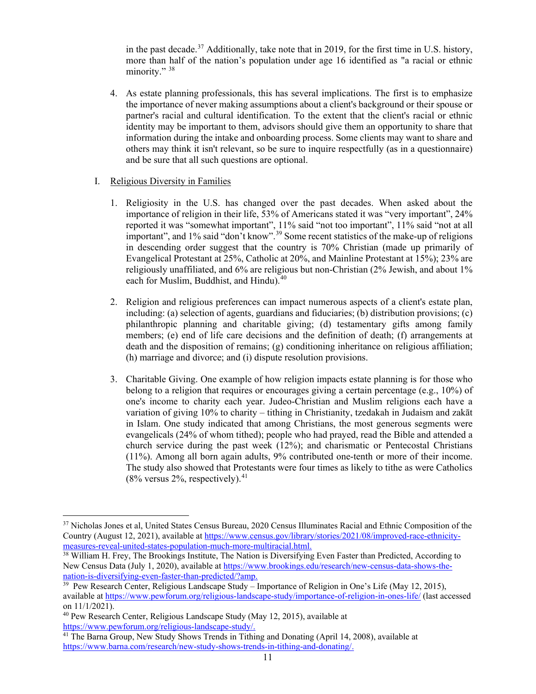in the past decade.<sup>[37](#page-14-0)</sup> Additionally, take note that in 2019, for the first time in U.S. history, more than half of the nation's population under age 16 identified as "a racial or ethnic minority."<sup>[38](#page-14-1)</sup>

4. As estate planning professionals, this has several implications. The first is to emphasize the importance of never making assumptions about a client's background or their spouse or partner's racial and cultural identification. To the extent that the client's racial or ethnic identity may be important to them, advisors should give them an opportunity to share that information during the intake and onboarding process. Some clients may want to share and others may think it isn't relevant, so be sure to inquire respectfully (as in a questionnaire) and be sure that all such questions are optional.

# I. Religious Diversity in Families

- 1. Religiosity in the U.S. has changed over the past decades. When asked about the importance of religion in their life, 53% of Americans stated it was "very important", 24% reported it was "somewhat important", 11% said "not too important", 11% said "not at all important", and 1% said "don't know".<sup>[39](#page-14-2)</sup> Some recent statistics of the make-up of religions in descending order suggest that the country is 70% Christian (made up primarily of Evangelical Protestant at 25%, Catholic at 20%, and Mainline Protestant at 15%); 23% are religiously unaffiliated, and 6% are religious but non-Christian (2% Jewish, and about 1% each for Muslim, Buddhist, and Hindu).<sup>[40](#page-14-3)</sup>
- 2. Religion and religious preferences can impact numerous aspects of a client's estate plan, including: (a) selection of agents, guardians and fiduciaries; (b) distribution provisions; (c) philanthropic planning and charitable giving; (d) testamentary gifts among family members; (e) end of life care decisions and the definition of death; (f) arrangements at death and the disposition of remains; (g) conditioning inheritance on religious affiliation; (h) marriage and divorce; and (i) dispute resolution provisions.
- 3. Charitable Giving. One example of how religion impacts estate planning is for those who belong to a religion that requires or encourages giving a certain percentage (e.g., 10%) of one's income to charity each year. Judeo-Christian and Muslim religions each have a variation of giving 10% to charity – tithing in Christianity, tzedakah in Judaism and zakāt in Islam. One study indicated that among Christians, the most generous segments were evangelicals (24% of whom tithed); people who had prayed, read the Bible and attended a church service during the past week (12%); and charismatic or Pentecostal Christians (11%). Among all born again adults, 9% contributed one-tenth or more of their income. The study also showed that Protestants were four times as likely to tithe as were Catholics  $(8\%$  versus 2%, respectively).<sup>[41](#page-14-4)</sup>

<span id="page-14-0"></span><sup>37</sup> Nicholas Jones et al, United States Census Bureau, 2020 Census Illuminates Racial and Ethnic Composition of the Country (August 12, 2021), available at [https://www.census.gov/library/stories/2021/08/improved-race-ethnicity](https://www.census.gov/library/stories/2021/08/improved-race-ethnicity-measures-reveal-united-states-population-much-more-multiracial.html)[measures-reveal-united-states-population-much-more-multiracial.html.](https://www.census.gov/library/stories/2021/08/improved-race-ethnicity-measures-reveal-united-states-population-much-more-multiracial.html)

<span id="page-14-1"></span><sup>&</sup>lt;sup>38</sup> William H. Frey, The Brookings Institute, The Nation is Diversifying Even Faster than Predicted, According to New Census Data (July 1, 2020), available at [https://www.brookings.edu/research/new-census-data-shows-the](https://www.brookings.edu/research/new-census-data-shows-the-nation-is-diversifying-even-faster-than-predicted/?amp)[nation-is-diversifying-even-faster-than-predicted/?amp.](https://www.brookings.edu/research/new-census-data-shows-the-nation-is-diversifying-even-faster-than-predicted/?amp)

<span id="page-14-2"></span><sup>39</sup> Pew Research Center, Religious Landscape Study – Importance of Religion in One's Life (May 12, 2015), available at<https://www.pewforum.org/religious-landscape-study/importance-of-religion-in-ones-life/> (last accessed on 11/1/2021).

<span id="page-14-3"></span><sup>40</sup> Pew Research Center, Religious Landscape Study (May 12, 2015), available at [https://www.pewforum.org/religious-landscape-study/.](https://www.pewforum.org/religious-landscape-study/)

<span id="page-14-4"></span><sup>&</sup>lt;sup>41</sup> The Barna Group, New Study Shows Trends in Tithing and Donating (April 14, 2008), available at [https://www.barna.com/research/new-study-shows-trends-in-tithing-and-donating/.](https://www.barna.com/research/new-study-shows-trends-in-tithing-and-donating/)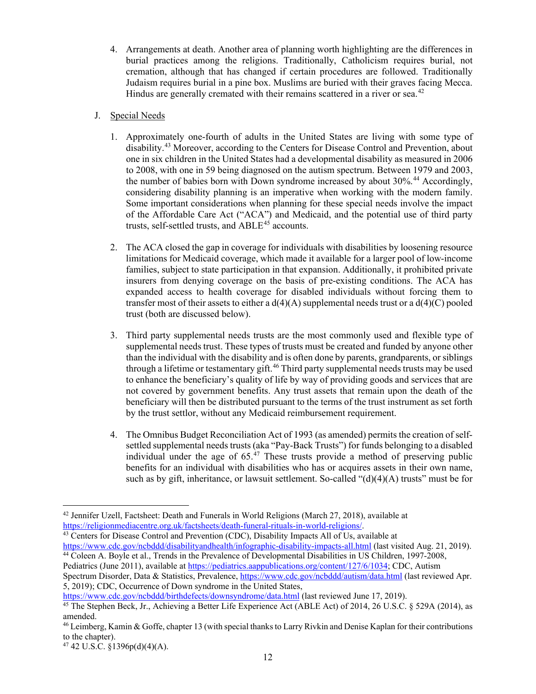4. Arrangements at death. Another area of planning worth highlighting are the differences in burial practices among the religions. Traditionally, Catholicism requires burial, not cremation, although that has changed if certain procedures are followed. Traditionally Judaism requires burial in a pine box. Muslims are buried with their graves facing Mecca. Hindus are generally cremated with their remains scattered in a river or sea.<sup>[42](#page-15-0)</sup>

# J. Special Needs

- 1. Approximately one-fourth of adults in the United States are living with some type of disability.[43](#page-15-1) Moreover, according to the Centers for Disease Control and Prevention, about one in six children in the United States had a developmental disability as measured in 2006 to 2008, with one in 59 being diagnosed on the autism spectrum. Between 1979 and 2003, the number of babies born with Down syndrome increased by about 30%. [44](#page-15-2) Accordingly, considering disability planning is an imperative when working with the modern family. Some important considerations when planning for these special needs involve the impact of the Affordable Care Act ("ACA") and Medicaid, and the potential use of third party trusts, self-settled trusts, and  $ABLE<sup>45</sup>$  $ABLE<sup>45</sup>$  $ABLE<sup>45</sup>$  accounts.
- 2. The ACA closed the gap in coverage for individuals with disabilities by loosening resource limitations for Medicaid coverage, which made it available for a larger pool of low-income families, subject to state participation in that expansion. Additionally, it prohibited private insurers from denying coverage on the basis of pre-existing conditions. The ACA has expanded access to health coverage for disabled individuals without forcing them to transfer most of their assets to either a  $d(4)(A)$  supplemental needs trust or a  $d(4)(C)$  pooled trust (both are discussed below).
- 3. Third party supplemental needs trusts are the most commonly used and flexible type of supplemental needs trust. These types of trusts must be created and funded by anyone other than the individual with the disability and is often done by parents, grandparents, or siblings through a lifetime or testamentary gift.<sup>[46](#page-15-4)</sup> Third party supplemental needs trusts may be used to enhance the beneficiary's quality of life by way of providing goods and services that are not covered by government benefits. Any trust assets that remain upon the death of the beneficiary will then be distributed pursuant to the terms of the trust instrument as set forth by the trust settlor, without any Medicaid reimbursement requirement.
- 4. The Omnibus Budget Reconciliation Act of 1993 (as amended) permits the creation of selfsettled supplemental needs trusts (aka "Pay-Back Trusts") for funds belonging to a disabled individual under the age of  $65<sup>47</sup>$  $65<sup>47</sup>$  $65<sup>47</sup>$  These trusts provide a method of preserving public benefits for an individual with disabilities who has or acquires assets in their own name, such as by gift, inheritance, or lawsuit settlement. So-called " $(d)(4)(A)$  trusts" must be for

<span id="page-15-1"></span><sup>43</sup> Centers for Disease Control and Prevention (CDC), Disability Impacts All of Us, available at <https://www.cdc.gov/ncbddd/disabilityandhealth/infographic-disability-impacts-all.html> (last visited Aug. 21, 2019). <sup>44</sup> Coleen A. Boyle et al., Trends in the Prevalence of Developmental Disabilities in US Children, 1997-2008,

<https://www.cdc.gov/ncbddd/birthdefects/downsyndrome/data.html> (last reviewed June 17, 2019).

<span id="page-15-0"></span><sup>42</sup> Jennifer Uzell, Factsheet: Death and Funerals in World Religions (March 27, 2018), available at [https://religionmediacentre.org.uk/factsheets/death-funeral-rituals-in-world-religions/.](https://religionmediacentre.org.uk/factsheets/death-funeral-rituals-in-world-religions/)

<span id="page-15-2"></span>Pediatrics (June 2011), available a[t https://pediatrics.aappublications.org/content/127/6/1034;](https://pediatrics.aappublications.org/content/127/6/1034) CDC, Autism Spectrum Disorder, Data & Statistics, Prevalence, <https://www.cdc.gov/ncbddd/autism/data.html> (last reviewed Apr. 5, 2019); CDC, Occurrence of Down syndrome in the United States,

<span id="page-15-3"></span><sup>&</sup>lt;sup>45</sup> The Stephen Beck, Jr., Achieving a Better Life Experience Act (ABLE Act) of 2014, 26 U.S.C. § 529A (2014), as amended.

<span id="page-15-4"></span><sup>46</sup> Leimberg, Kamin & Goffe, chapter 13 (with special thanks to Larry Rivkin and Denise Kaplan for their contributions to the chapter).

<span id="page-15-5"></span> $47$  42 U.S.C. §1396p(d)(4)(A).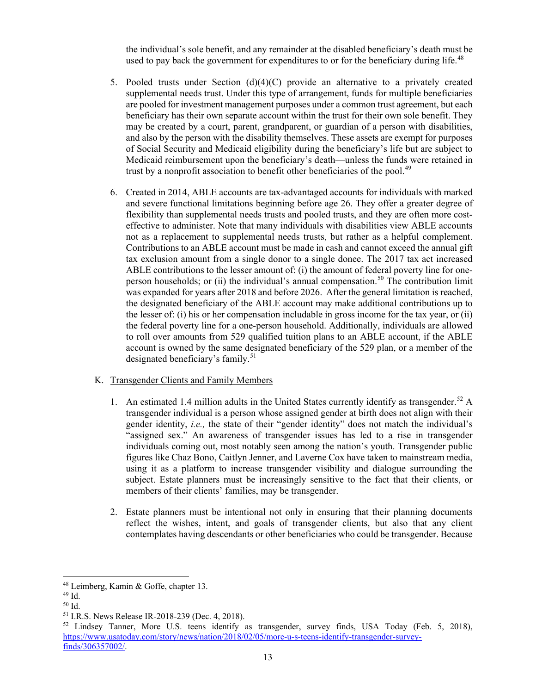the individual's sole benefit, and any remainder at the disabled beneficiary's death must be used to pay back the government for expenditures to or for the beneficiary during life.<sup>[48](#page-16-0)</sup>

- 5. Pooled trusts under Section (d)(4)(C) provide an alternative to a privately created supplemental needs trust. Under this type of arrangement, funds for multiple beneficiaries are pooled for investment management purposes under a common trust agreement, but each beneficiary has their own separate account within the trust for their own sole benefit. They may be created by a court, parent, grandparent, or guardian of a person with disabilities, and also by the person with the disability themselves. These assets are exempt for purposes of Social Security and Medicaid eligibility during the beneficiary's life but are subject to Medicaid reimbursement upon the beneficiary's death—unless the funds were retained in trust by a nonprofit association to benefit other beneficiaries of the pool.<sup>49</sup>
- 6. Created in 2014, ABLE accounts are tax-advantaged accounts for individuals with marked and severe functional limitations beginning before age 26. They offer a greater degree of flexibility than supplemental needs trusts and pooled trusts, and they are often more costeffective to administer. Note that many individuals with disabilities view ABLE accounts not as a replacement to supplemental needs trusts, but rather as a helpful complement. Contributions to an ABLE account must be made in cash and cannot exceed the annual gift tax exclusion amount from a single donor to a single donee. The 2017 tax act increased ABLE contributions to the lesser amount of: (i) the amount of federal poverty line for one-person households; or (ii) the individual's annual compensation.<sup>[50](#page-16-2)</sup> The contribution limit was expanded for years after 2018 and before 2026. After the general limitation is reached, the designated beneficiary of the ABLE account may make additional contributions up to the lesser of: (i) his or her compensation includable in gross income for the tax year, or (ii) the federal poverty line for a one-person household. Additionally, individuals are allowed to roll over amounts from 529 qualified tuition plans to an ABLE account, if the ABLE account is owned by the same designated beneficiary of the 529 plan, or a member of the designated beneficiary's family.<sup>[51](#page-16-3)</sup>

# K. Transgender Clients and Family Members

- 1. An estimated 1.4 million adults in the United States currently identify as transgender.<sup>[52](#page-16-4)</sup> A transgender individual is a person whose assigned gender at birth does not align with their gender identity, *i.e.,* the state of their "gender identity" does not match the individual's "assigned sex." An awareness of transgender issues has led to a rise in transgender individuals coming out, most notably seen among the nation's youth. Transgender public figures like Chaz Bono, Caitlyn Jenner, and Laverne Cox have taken to mainstream media, using it as a platform to increase transgender visibility and dialogue surrounding the subject. Estate planners must be increasingly sensitive to the fact that their clients, or members of their clients' families, may be transgender.
- 2. Estate planners must be intentional not only in ensuring that their planning documents reflect the wishes, intent, and goals of transgender clients, but also that any client contemplates having descendants or other beneficiaries who could be transgender. Because

<span id="page-16-0"></span><sup>48</sup> Leimberg, Kamin & Goffe, chapter 13.

<span id="page-16-1"></span><sup>49</sup> Id.

<span id="page-16-2"></span><sup>50</sup> Id.

<span id="page-16-3"></span><sup>51</sup> I.R.S. News Release IR-2018-239 (Dec. 4, 2018).

<span id="page-16-4"></span><sup>&</sup>lt;sup>52</sup> Lindsey Tanner, More U.S. teens identify as transgender, survey finds, USA Today (Feb. 5, 2018), [https://www.usatoday.com/story/news/nation/2018/02/05/more-u-s-teens-identify-transgender-survey](https://www.usatoday.com/story/news/nation/2018/02/05/more-u-s-teens-identify-transgender-survey-finds/306357002/)[finds/306357002/.](https://www.usatoday.com/story/news/nation/2018/02/05/more-u-s-teens-identify-transgender-survey-finds/306357002/)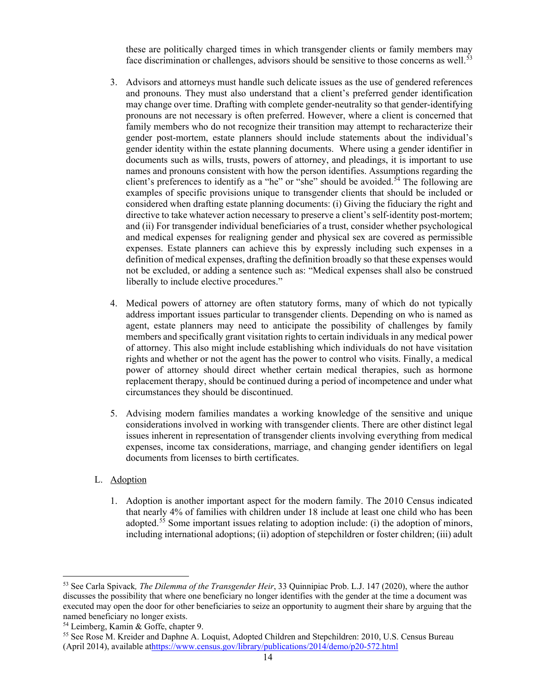these are politically charged times in which transgender clients or family members may face discrimination or challenges, advisors should be sensitive to those concerns as well.<sup>[53](#page-17-0)</sup>

- 3. Advisors and attorneys must handle such delicate issues as the use of gendered references and pronouns. They must also understand that a client's preferred gender identification may change over time. Drafting with complete gender-neutrality so that gender-identifying pronouns are not necessary is often preferred. However, where a client is concerned that family members who do not recognize their transition may attempt to recharacterize their gender post-mortem, estate planners should include statements about the individual's gender identity within the estate planning documents. Where using a gender identifier in documents such as wills, trusts, powers of attorney, and pleadings, it is important to use names and pronouns consistent with how the person identifies. Assumptions regarding the client's preferences to identify as a "he" or "she" should be avoided.<sup>[54](#page-17-1)</sup> The following are examples of specific provisions unique to transgender clients that should be included or considered when drafting estate planning documents: (i) Giving the fiduciary the right and directive to take whatever action necessary to preserve a client's self-identity post-mortem; and (ii) For transgender individual beneficiaries of a trust, consider whether psychological and medical expenses for realigning gender and physical sex are covered as permissible expenses. Estate planners can achieve this by expressly including such expenses in a definition of medical expenses, drafting the definition broadly so that these expenses would not be excluded, or adding a sentence such as: "Medical expenses shall also be construed liberally to include elective procedures."
- 4. Medical powers of attorney are often statutory forms, many of which do not typically address important issues particular to transgender clients. Depending on who is named as agent, estate planners may need to anticipate the possibility of challenges by family members and specifically grant visitation rights to certain individuals in any medical power of attorney. This also might include establishing which individuals do not have visitation rights and whether or not the agent has the power to control who visits. Finally, a medical power of attorney should direct whether certain medical therapies, such as hormone replacement therapy, should be continued during a period of incompetence and under what circumstances they should be discontinued.
- 5. Advising modern families mandates a working knowledge of the sensitive and unique considerations involved in working with transgender clients. There are other distinct legal issues inherent in representation of transgender clients involving everything from medical expenses, income tax considerations, marriage, and changing gender identifiers on legal documents from licenses to birth certificates.
- L. Adoption
	- 1. Adoption is another important aspect for the modern family. The 2010 Census indicated that nearly 4% of families with children under 18 include at least one child who has been adopted.<sup>[55](#page-17-2)</sup> Some important issues relating to adoption include: (i) the adoption of minors, including international adoptions; (ii) adoption of stepchildren or foster children; (iii) adult

<span id="page-17-0"></span><sup>53</sup> See Carla Spivack*, The Dilemma of the Transgender Heir*, 33 Quinnipiac Prob. L.J. 147 (2020), where the author discusses the possibility that where one beneficiary no longer identifies with the gender at the time a document was executed may open the door for other beneficiaries to seize an opportunity to augment their share by arguing that the named beneficiary no longer exists.

<span id="page-17-1"></span><sup>54</sup> Leimberg, Kamin & Goffe, chapter 9.

<span id="page-17-2"></span><sup>55</sup> See Rose M. Kreider and Daphne A. Loquist, Adopted Children and Stepchildren: 2010, U.S. Census Bureau (April 2014), available a[thttps://www.census.gov/library/publications/2014/demo/p20-572.html](https://www.census.gov/library/publications/2014/demo/p20-572.html)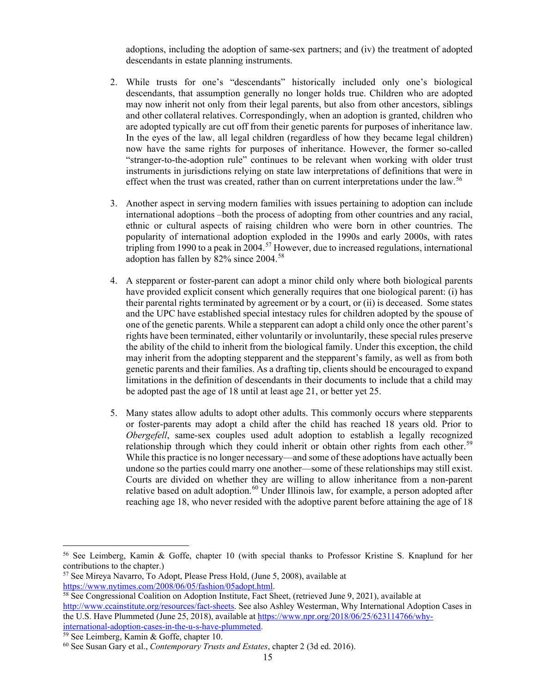adoptions, including the adoption of same-sex partners; and (iv) the treatment of adopted descendants in estate planning instruments.

- 2. While trusts for one's "descendants" historically included only one's biological descendants, that assumption generally no longer holds true. Children who are adopted may now inherit not only from their legal parents, but also from other ancestors, siblings and other collateral relatives. Correspondingly, when an adoption is granted, children who are adopted typically are cut off from their genetic parents for purposes of inheritance law. In the eyes of the law, all legal children (regardless of how they became legal children) now have the same rights for purposes of inheritance. However, the former so-called "stranger-to-the-adoption rule" continues to be relevant when working with older trust instruments in jurisdictions relying on state law interpretations of definitions that were in effect when the trust was created, rather than on current interpretations under the law.<sup>[56](#page-18-0)</sup>
- 3. Another aspect in serving modern families with issues pertaining to adoption can include international adoptions –both the process of adopting from other countries and any racial, ethnic or cultural aspects of raising children who were born in other countries. The popularity of international adoption exploded in the 1990s and early 2000s, with rates tripling from 1990 to a peak in 2004.<sup>[57](#page-18-1)</sup> However, due to increased regulations, international adoption has fallen by 82% since 2004. [58](#page-18-2)
- 4. A stepparent or foster-parent can adopt a minor child only where both biological parents have provided explicit consent which generally requires that one biological parent: (i) has their parental rights terminated by agreement or by a court, or (ii) is deceased. Some states and the UPC have established special intestacy rules for children adopted by the spouse of one of the genetic parents. While a stepparent can adopt a child only once the other parent's rights have been terminated, either voluntarily or involuntarily, these special rules preserve the ability of the child to inherit from the biological family. Under this exception, the child may inherit from the adopting stepparent and the stepparent's family, as well as from both genetic parents and their families. As a drafting tip, clients should be encouraged to expand limitations in the definition of descendants in their documents to include that a child may be adopted past the age of 18 until at least age 21, or better yet 25.
- 5. Many states allow adults to adopt other adults. This commonly occurs where stepparents or foster-parents may adopt a child after the child has reached 18 years old. Prior to *Obergefell*, same-sex couples used adult adoption to establish a legally recognized relationship through which they could inherit or obtain other rights from each other.<sup>[59](#page-18-3)</sup> While this practice is no longer necessary—and some of these adoptions have actually been undone so the parties could marry one another—some of these relationships may still exist. Courts are divided on whether they are willing to allow inheritance from a non-parent relative based on adult adoption.<sup>[60](#page-18-4)</sup> Under Illinois law, for example, a person adopted after reaching age 18, who never resided with the adoptive parent before attaining the age of 18

<span id="page-18-0"></span><sup>56</sup> See Leimberg, Kamin & Goffe, chapter 10 (with special thanks to Professor Kristine S. Knaplund for her contributions to the chapter.)

<span id="page-18-1"></span><sup>&</sup>lt;sup>57</sup> See Mireya Navarro, To Adopt, Please Press Hold, (June 5, 2008), available at https://www.nytimes.com/2008/06/05/fashion/05adopt.html.

<span id="page-18-2"></span> $58$  See Congressional Coalition on Adoption Institute, Fact Sheet, (retrieved June 9, 2021), available at [http://www.ccainstitute.org/resources/fact-sheets.](http://www.ccainstitute.org/resources/fact-sheets) See also Ashley Westerman, Why International Adoption Cases in the U.S. Have Plummeted (June 25, 2018), available a[t https://www.npr.org/2018/06/25/623114766/why](https://www.npr.org/2018/06/25/623114766/why-international-adoption-cases-in-the-u-s-have-plummeted)[international-adoption-cases-in-the-u-s-have-plummeted.](https://www.npr.org/2018/06/25/623114766/why-international-adoption-cases-in-the-u-s-have-plummeted) 59 See Leimberg, Kamin & Goffe, chapter 10.

<span id="page-18-4"></span><span id="page-18-3"></span><sup>60</sup> See Susan Gary et al., *Contemporary Trusts and Estates*, chapter 2 (3d ed. 2016).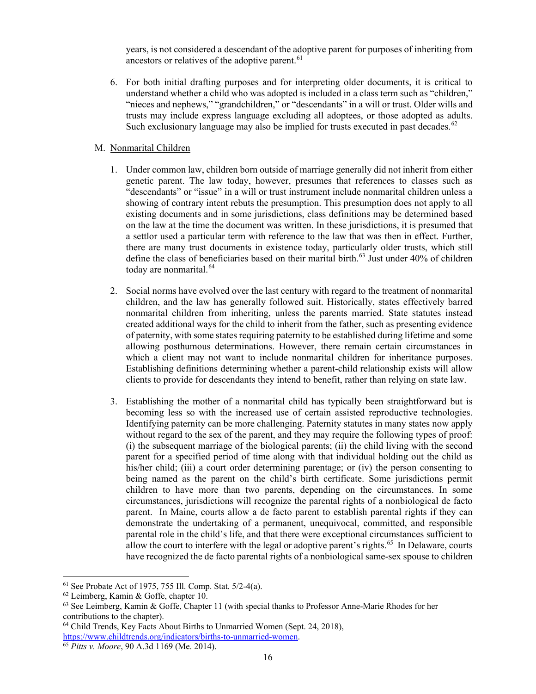years, is not considered a descendant of the adoptive parent for purposes of inheriting from ancestors or relatives of the adoptive parent.<sup>[61](#page-19-0)</sup>

6. For both initial drafting purposes and for interpreting older documents, it is critical to understand whether a child who was adopted is included in a class term such as "children," "nieces and nephews," "grandchildren," or "descendants" in a will or trust. Older wills and trusts may include express language excluding all adoptees, or those adopted as adults. Such exclusionary language may also be implied for trusts executed in past decades.<sup>[62](#page-19-1)</sup>

# M. Nonmarital Children

- 1. Under common law, children born outside of marriage generally did not inherit from either genetic parent. The law today, however, presumes that references to classes such as "descendants" or "issue" in a will or trust instrument include nonmarital children unless a showing of contrary intent rebuts the presumption. This presumption does not apply to all existing documents and in some jurisdictions, class definitions may be determined based on the law at the time the document was written. In these jurisdictions, it is presumed that a settlor used a particular term with reference to the law that was then in effect. Further, there are many trust documents in existence today, particularly older trusts, which still define the class of beneficiaries based on their marital birth. $63$  Just under 40% of children today are nonmarital.<sup>[64](#page-19-3)</sup>
- 2. Social norms have evolved over the last century with regard to the treatment of nonmarital children, and the law has generally followed suit. Historically, states effectively barred nonmarital children from inheriting, unless the parents married. State statutes instead created additional ways for the child to inherit from the father, such as presenting evidence of paternity, with some states requiring paternity to be established during lifetime and some allowing posthumous determinations. However, there remain certain circumstances in which a client may not want to include nonmarital children for inheritance purposes. Establishing definitions determining whether a parent-child relationship exists will allow clients to provide for descendants they intend to benefit, rather than relying on state law.
- 3. Establishing the mother of a nonmarital child has typically been straightforward but is becoming less so with the increased use of certain assisted reproductive technologies. Identifying paternity can be more challenging. Paternity statutes in many states now apply without regard to the sex of the parent, and they may require the following types of proof: (i) the subsequent marriage of the biological parents; (ii) the child living with the second parent for a specified period of time along with that individual holding out the child as his/her child; (iii) a court order determining parentage; or (iv) the person consenting to being named as the parent on the child's birth certificate. Some jurisdictions permit children to have more than two parents, depending on the circumstances. In some circumstances, jurisdictions will recognize the parental rights of a nonbiological de facto parent. In Maine, courts allow a de facto parent to establish parental rights if they can demonstrate the undertaking of a permanent, unequivocal, committed, and responsible parental role in the child's life, and that there were exceptional circumstances sufficient to allow the court to interfere with the legal or adoptive parent's rights.<sup>[65](#page-19-4)</sup> In Delaware, courts have recognized the de facto parental rights of a nonbiological same-sex spouse to children

<span id="page-19-0"></span><sup>61</sup> See Probate Act of 1975, 755 Ill. Comp. Stat. 5/2-4(a).

<span id="page-19-1"></span><sup>62</sup> Leimberg, Kamin & Goffe, chapter 10.

<span id="page-19-2"></span><sup>63</sup> See Leimberg, Kamin & Goffe, Chapter 11 (with special thanks to Professor Anne-Marie Rhodes for her contributions to the chapter).

<span id="page-19-3"></span><sup>64</sup> Child Trends, Key Facts About Births to Unmarried Women (Sept. 24, 2018),

[https://www.childtrends.org/indicators/births-to-unmarried-women.](https://www.childtrends.org/indicators/births-to-unmarried-women) 65 *Pitts v. Moore*, 90 A.3d 1169 (Me. 2014).

<span id="page-19-4"></span>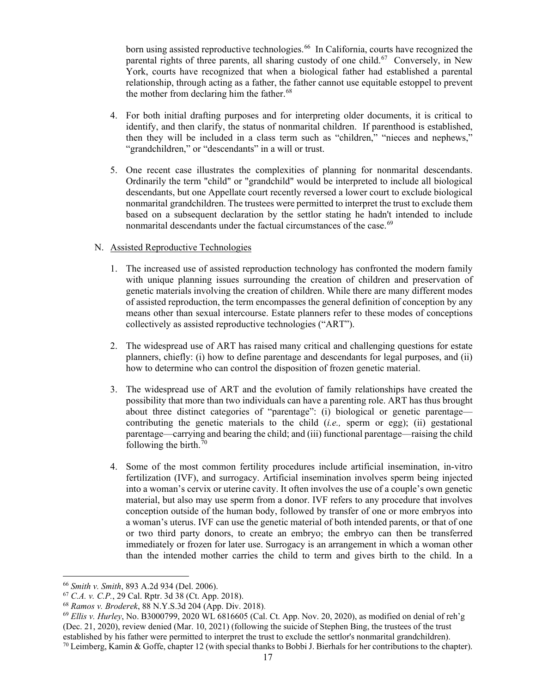born using assisted reproductive technologies. [66](#page-20-0) In California, courts have recognized the parental rights of three parents, all sharing custody of one child.<sup>67</sup> Conversely, in New York, courts have recognized that when a biological father had established a parental relationship, through acting as a father, the father cannot use equitable estoppel to prevent the mother from declaring him the father.<sup>[68](#page-20-2)</sup>

- 4. For both initial drafting purposes and for interpreting older documents, it is critical to identify, and then clarify, the status of nonmarital children. If parenthood is established, then they will be included in a class term such as "children," "nieces and nephews," "grandchildren," or "descendants" in a will or trust.
- 5. One recent case illustrates the complexities of planning for nonmarital descendants. Ordinarily the term "child" or "grandchild" would be interpreted to include all biological descendants, but one Appellate court recently reversed a lower court to exclude biological nonmarital grandchildren. The trustees were permitted to interpret the trust to exclude them based on a subsequent declaration by the settlor stating he hadn't intended to include nonmarital descendants under the factual circumstances of the case.<sup>[69](#page-20-3)</sup>

# N. Assisted Reproductive Technologies

- 1. The increased use of assisted reproduction technology has confronted the modern family with unique planning issues surrounding the creation of children and preservation of genetic materials involving the creation of children. While there are many different modes of assisted reproduction, the term encompasses the general definition of conception by any means other than sexual intercourse. Estate planners refer to these modes of conceptions collectively as assisted reproductive technologies ("ART").
- 2. The widespread use of ART has raised many critical and challenging questions for estate planners, chiefly: (i) how to define parentage and descendants for legal purposes, and (ii) how to determine who can control the disposition of frozen genetic material.
- 3. The widespread use of ART and the evolution of family relationships have created the possibility that more than two individuals can have a parenting role. ART has thus brought about three distinct categories of "parentage": (i) biological or genetic parentage contributing the genetic materials to the child (*i.e.,* sperm or egg); (ii) gestational parentage—carrying and bearing the child; and (iii) functional parentage—raising the child following the birth.<sup>[70](#page-20-4)</sup>
- 4. Some of the most common fertility procedures include artificial insemination, in-vitro fertilization (IVF), and surrogacy. Artificial insemination involves sperm being injected into a woman's cervix or uterine cavity. It often involves the use of a couple's own genetic material, but also may use sperm from a donor. IVF refers to any procedure that involves conception outside of the human body, followed by transfer of one or more embryos into a woman's uterus. IVF can use the genetic material of both intended parents, or that of one or two third party donors, to create an embryo; the embryo can then be transferred immediately or frozen for later use. Surrogacy is an arrangement in which a woman other than the intended mother carries the child to term and gives birth to the child. In a

<span id="page-20-0"></span><sup>66</sup> *Smith v. Smith*, 893 A.2d 934 (Del. 2006).

<span id="page-20-1"></span><sup>67</sup> *C.A. v. C.P.*, 29 Cal. Rptr. 3d 38 (Ct. App. 2018).

<span id="page-20-2"></span><sup>68</sup> *Ramos v. Broderek*, 88 N.Y.S.3d 204 (App. Div. 2018).

<span id="page-20-4"></span><span id="page-20-3"></span><sup>69</sup> *Ellis v. Hurley*, No. B3000799, 2020 WL 6816605 (Cal. Ct. App. Nov. 20, 2020), as modified on denial of reh'g (Dec. 21, 2020), review denied (Mar. 10, 2021) (following the suicide of Stephen Bing, the trustees of the trust established by his father were permitted to interpret the trust to exclude the settlor's nonmarital grandchildren). <sup>70</sup> Leimberg, Kamin & Goffe, chapter 12 (with special thanks to Bobbi J. Bierhals for her contributions to the chapter).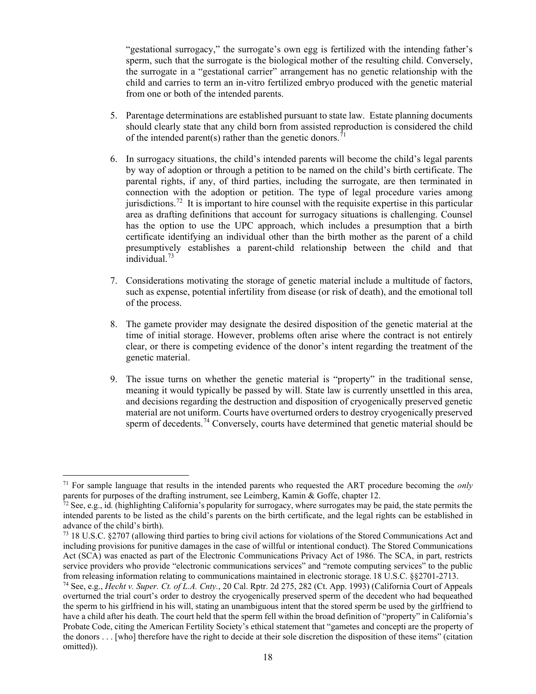"gestational surrogacy," the surrogate's own egg is fertilized with the intending father's sperm, such that the surrogate is the biological mother of the resulting child. Conversely, the surrogate in a "gestational carrier" arrangement has no genetic relationship with the child and carries to term an in-vitro fertilized embryo produced with the genetic material from one or both of the intended parents.

- 5. Parentage determinations are established pursuant to state law. Estate planning documents should clearly state that any child born from assisted reproduction is considered the child of the intended parent(s) rather than the genetic donors.<sup>[71](#page-21-0)</sup>
- 6. In surrogacy situations, the child's intended parents will become the child's legal parents by way of adoption or through a petition to be named on the child's birth certificate. The parental rights, if any, of third parties, including the surrogate, are then terminated in connection with the adoption or petition. The type of legal procedure varies among jurisdictions.<sup>72</sup> It is important to hire counsel with the requisite expertise in this particular area as drafting definitions that account for surrogacy situations is challenging. Counsel has the option to use the UPC approach, which includes a presumption that a birth certificate identifying an individual other than the birth mother as the parent of a child presumptively establishes a parent-child relationship between the child and that individual.[73](#page-21-2)
- 7. Considerations motivating the storage of genetic material include a multitude of factors, such as expense, potential infertility from disease (or risk of death), and the emotional toll of the process.
- 8. The gamete provider may designate the desired disposition of the genetic material at the time of initial storage. However, problems often arise where the contract is not entirely clear, or there is competing evidence of the donor's intent regarding the treatment of the genetic material.
- 9. The issue turns on whether the genetic material is "property" in the traditional sense, meaning it would typically be passed by will. State law is currently unsettled in this area, and decisions regarding the destruction and disposition of cryogenically preserved genetic material are not uniform. Courts have overturned orders to destroy cryogenically preserved sperm of decedents.<sup>[74](#page-21-3)</sup> Conversely, courts have determined that genetic material should be

<span id="page-21-0"></span><sup>71</sup> For sample language that results in the intended parents who requested the ART procedure becoming the *only*  parents for purposes of the drafting instrument, see Leimberg, Kamin & Goffe, chapter 12.

<span id="page-21-1"></span><sup>72</sup> See, e.g., id*.* (highlighting California's popularity for surrogacy, where surrogates may be paid, the state permits the intended parents to be listed as the child's parents on the birth certificate, and the legal rights can be established in advance of the child's birth).

<span id="page-21-2"></span><sup>73</sup> 18 U.S.C. §2707 (allowing third parties to bring civil actions for violations of the Stored Communications Act and including provisions for punitive damages in the case of willful or intentional conduct). The Stored Communications Act (SCA) was enacted as part of the Electronic Communications Privacy Act of 1986. The SCA, in part, restricts service providers who provide "electronic communications services" and "remote computing services" to the public from releasing information relating to communications maintained in electronic storage. 18 U.S.C. §§2701-2713.

<span id="page-21-3"></span><sup>74</sup> See, e.g., *Hecht v. Super. Ct. of L.A. Cnty.*, 20 Cal. Rptr. 2d 275, 282 (Ct. App. 1993) (California Court of Appeals overturned the trial court's order to destroy the cryogenically preserved sperm of the decedent who had bequeathed the sperm to his girlfriend in his will, stating an unambiguous intent that the stored sperm be used by the girlfriend to have a child after his death. The court held that the sperm fell within the broad definition of "property" in California's Probate Code, citing the American Fertility Society's ethical statement that "gametes and concepti are the property of the donors . . . [who] therefore have the right to decide at their sole discretion the disposition of these items" (citation omitted)).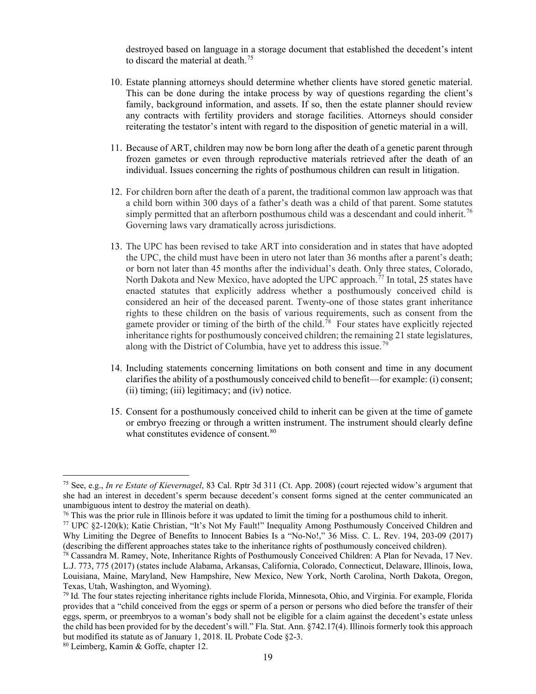destroyed based on language in a storage document that established the decedent's intent to discard the material at death.<sup>[75](#page-22-0)</sup>

- 10. Estate planning attorneys should determine whether clients have stored genetic material. This can be done during the intake process by way of questions regarding the client's family, background information, and assets. If so, then the estate planner should review any contracts with fertility providers and storage facilities. Attorneys should consider reiterating the testator's intent with regard to the disposition of genetic material in a will.
- 11. Because of ART, children may now be born long after the death of a genetic parent through frozen gametes or even through reproductive materials retrieved after the death of an individual. Issues concerning the rights of posthumous children can result in litigation.
- 12. For children born after the death of a parent, the traditional common law approach was that a child born within 300 days of a father's death was a child of that parent. Some statutes simply permitted that an afterborn posthumous child was a descendant and could inherit.<sup>[76](#page-22-1)</sup> Governing laws vary dramatically across jurisdictions.
- 13. The UPC has been revised to take ART into consideration and in states that have adopted the UPC, the child must have been in utero not later than 36 months after a parent's death; or born not later than 45 months after the individual's death. Only three states, Colorado, North Dakota and New Mexico, have adopted the UPC approach.<sup> $77$ </sup> In total, 25 states have enacted statutes that explicitly address whether a posthumously conceived child is considered an heir of the deceased parent. Twenty-one of those states grant inheritance rights to these children on the basis of various requirements, such as consent from the gamete provider or timing of the birth of the child.<sup>[78](#page-22-3)</sup> Four states have explicitly rejected inheritance rights for posthumously conceived children; the remaining 21 state legislatures, along with the District of Columbia, have yet to address this issue.<sup>[79](#page-22-4)</sup>
- 14. Including statements concerning limitations on both consent and time in any document clarifies the ability of a posthumously conceived child to benefit—for example: (i) consent; (ii) timing; (iii) legitimacy; and (iv) notice.
- 15. Consent for a posthumously conceived child to inherit can be given at the time of gamete or embryo freezing or through a written instrument. The instrument should clearly define what constitutes evidence of consent.<sup>[80](#page-22-5)</sup>

<span id="page-22-0"></span><sup>75</sup> See, e.g., *In re Estate of Kievernagel*, 83 Cal. Rptr 3d 311 (Ct. App. 2008) (court rejected widow's argument that she had an interest in decedent's sperm because decedent's consent forms signed at the center communicated an unambiguous intent to destroy the material on death).

<span id="page-22-1"></span><sup>&</sup>lt;sup>76</sup> This was the prior rule in Illinois before it was updated to limit the timing for a posthumous child to inherit.

<span id="page-22-2"></span><sup>77</sup> UPC §2-120(k); Katie Christian, "It's Not My Fault!" Inequality Among Posthumously Conceived Children and Why Limiting the Degree of Benefits to Innocent Babies Is a "No-No!," 36 Miss. C. L. Rev. 194, 203-09 (2017) (describing the different approaches states take to the inheritance rights of posthumously conceived children).

<span id="page-22-3"></span><sup>78</sup> Cassandra M. Ramey, Note, Inheritance Rights of Posthumously Conceived Children: A Plan for Nevada, 17 Nev. L.J. 773, 775 (2017) (states include Alabama, Arkansas, California, Colorado, Connecticut, Delaware, Illinois, Iowa, Louisiana, Maine, Maryland, New Hampshire, New Mexico, New York, North Carolina, North Dakota, Oregon, Texas, Utah, Washington, and Wyoming).

<span id="page-22-4"></span><sup>79</sup> Id*.* The four states rejecting inheritance rights include Florida, Minnesota, Ohio, and Virginia. For example, Florida provides that a "child conceived from the eggs or sperm of a person or persons who died before the transfer of their eggs, sperm, or preembryos to a woman's body shall not be eligible for a claim against the decedent's estate unless the child has been provided for by the decedent's will." Fla. Stat. Ann. §742.17(4). Illinois formerly took this approach but modified its statute as of January 1, 2018. IL Probate Code §2-3.

<span id="page-22-5"></span><sup>80</sup> Leimberg, Kamin & Goffe, chapter 12.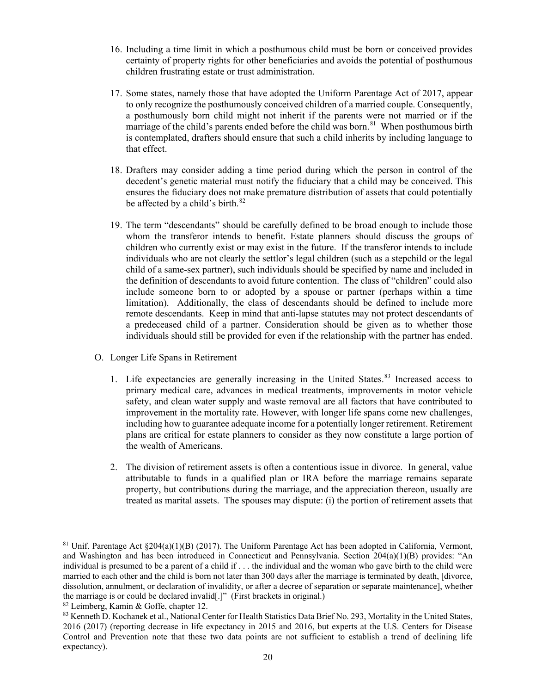- 16. Including a time limit in which a posthumous child must be born or conceived provides certainty of property rights for other beneficiaries and avoids the potential of posthumous children frustrating estate or trust administration.
- 17. Some states, namely those that have adopted the Uniform Parentage Act of 2017, appear to only recognize the posthumously conceived children of a married couple. Consequently, a posthumously born child might not inherit if the parents were not married or if the marriage of the child's parents ended before the child was born.<sup>81</sup> When posthumous birth is contemplated, drafters should ensure that such a child inherits by including language to that effect.
- 18. Drafters may consider adding a time period during which the person in control of the decedent's genetic material must notify the fiduciary that a child may be conceived. This ensures the fiduciary does not make premature distribution of assets that could potentially be affected by a child's birth.<sup>[82](#page-23-1)</sup>
- 19. The term "descendants" should be carefully defined to be broad enough to include those whom the transferor intends to benefit. Estate planners should discuss the groups of children who currently exist or may exist in the future. If the transferor intends to include individuals who are not clearly the settlor's legal children (such as a stepchild or the legal child of a same-sex partner), such individuals should be specified by name and included in the definition of descendants to avoid future contention. The class of "children" could also include someone born to or adopted by a spouse or partner (perhaps within a time limitation). Additionally, the class of descendants should be defined to include more remote descendants. Keep in mind that anti-lapse statutes may not protect descendants of a predeceased child of a partner. Consideration should be given as to whether those individuals should still be provided for even if the relationship with the partner has ended.

# O. Longer Life Spans in Retirement

- 1. Life expectancies are generally increasing in the United States. $83$  Increased access to primary medical care, advances in medical treatments, improvements in motor vehicle safety, and clean water supply and waste removal are all factors that have contributed to improvement in the mortality rate. However, with longer life spans come new challenges, including how to guarantee adequate income for a potentially longer retirement. Retirement plans are critical for estate planners to consider as they now constitute a large portion of the wealth of Americans.
- 2. The division of retirement assets is often a contentious issue in divorce. In general, value attributable to funds in a qualified plan or IRA before the marriage remains separate property, but contributions during the marriage, and the appreciation thereon, usually are treated as marital assets. The spouses may dispute: (i) the portion of retirement assets that

<span id="page-23-0"></span><sup>&</sup>lt;sup>81</sup> Unif. Parentage Act  $\S204(a)(1)(B)$  (2017). The Uniform Parentage Act has been adopted in California, Vermont, and Washington and has been introduced in Connecticut and Pennsylvania. Section 204(a)(1)(B) provides: "An individual is presumed to be a parent of a child if . . . the individual and the woman who gave birth to the child were married to each other and the child is born not later than 300 days after the marriage is terminated by death, [divorce, dissolution, annulment, or declaration of invalidity, or after a decree of separation or separate maintenance], whether the marriage is or could be declared invalid[.]" (First brackets in original.)

<span id="page-23-1"></span><sup>82</sup> Leimberg, Kamin & Goffe, chapter 12.

<span id="page-23-2"></span><sup>83</sup> Kenneth D. Kochanek et al., National Center for Health Statistics Data Brief No. 293, Mortality in the United States, 2016 (2017) (reporting decrease in life expectancy in 2015 and 2016, but experts at the U.S. Centers for Disease Control and Prevention note that these two data points are not sufficient to establish a trend of declining life expectancy).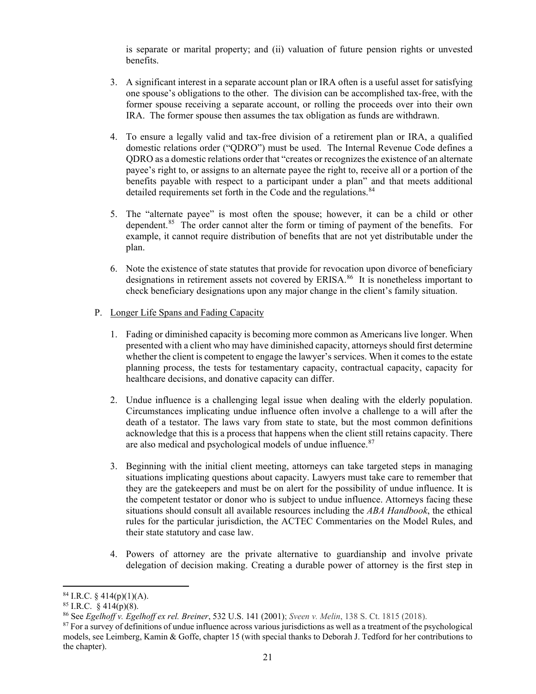is separate or marital property; and (ii) valuation of future pension rights or unvested benefits.

- 3. A significant interest in a separate account plan or IRA often is a useful asset for satisfying one spouse's obligations to the other. The division can be accomplished tax-free, with the former spouse receiving a separate account, or rolling the proceeds over into their own IRA. The former spouse then assumes the tax obligation as funds are withdrawn.
- 4. To ensure a legally valid and tax-free division of a retirement plan or IRA, a qualified domestic relations order ("QDRO") must be used. The Internal Revenue Code defines a QDRO as a domestic relations order that "creates or recognizes the existence of an alternate payee's right to, or assigns to an alternate payee the right to, receive all or a portion of the benefits payable with respect to a participant under a plan" and that meets additional detailed requirements set forth in the Code and the regulations.<sup>[84](#page-24-0)</sup>
- 5. The "alternate payee" is most often the spouse; however, it can be a child or other dependent.<sup>85</sup> The order cannot alter the form or timing of payment of the benefits. For example, it cannot require distribution of benefits that are not yet distributable under the plan.
- 6. Note the existence of state statutes that provide for revocation upon divorce of beneficiary designations in retirement assets not covered by ERISA.<sup>86</sup> It is nonetheless important to check beneficiary designations upon any major change in the client's family situation.
- P. Longer Life Spans and Fading Capacity
	- 1. Fading or diminished capacity is becoming more common as Americans live longer. When presented with a client who may have diminished capacity, attorneys should first determine whether the client is competent to engage the lawyer's services. When it comes to the estate planning process, the tests for testamentary capacity, contractual capacity, capacity for healthcare decisions, and donative capacity can differ.
	- 2. Undue influence is a challenging legal issue when dealing with the elderly population. Circumstances implicating undue influence often involve a challenge to a will after the death of a testator. The laws vary from state to state, but the most common definitions acknowledge that this is a process that happens when the client still retains capacity. There are also medical and psychological models of undue influence.<sup>[87](#page-24-3)</sup>
	- 3. Beginning with the initial client meeting, attorneys can take targeted steps in managing situations implicating questions about capacity. Lawyers must take care to remember that they are the gatekeepers and must be on alert for the possibility of undue influence. It is the competent testator or donor who is subject to undue influence. Attorneys facing these situations should consult all available resources including the *ABA Handbook*, the ethical rules for the particular jurisdiction, the ACTEC Commentaries on the Model Rules, and their state statutory and case law.
	- 4. Powers of attorney are the private alternative to guardianship and involve private delegation of decision making. Creating a durable power of attorney is the first step in

<span id="page-24-0"></span> $84$  I.R.C. § 414(p)(1)(A).

<span id="page-24-1"></span> $85$  I.R.C. § 414(p)(8).

<span id="page-24-2"></span><sup>86</sup> See *[Egelhoff](https://1.next.westlaw.com/Link/Document/FullText?findType=Y&serNum=2001232370&pubNum=0000780&originatingDoc=I29c376c9f65011e598dc8b09b4f043e0&refType=RP&originationContext=document&transitionType=DocumentItem&contextData=(sc.Search)) v. Egelhoff ex rel. Breiner*, 532 U.S. 141 (2001); *Sveen v. Melin*, 138 S. Ct. 1815 (2018).

<span id="page-24-3"></span><sup>&</sup>lt;sup>87</sup> For a survey of definitions of undue influence across various jurisdictions as well as a treatment of the psychological models, see Leimberg, Kamin & Goffe, chapter 15 (with special thanks to Deborah J. Tedford for her contributions to the chapter).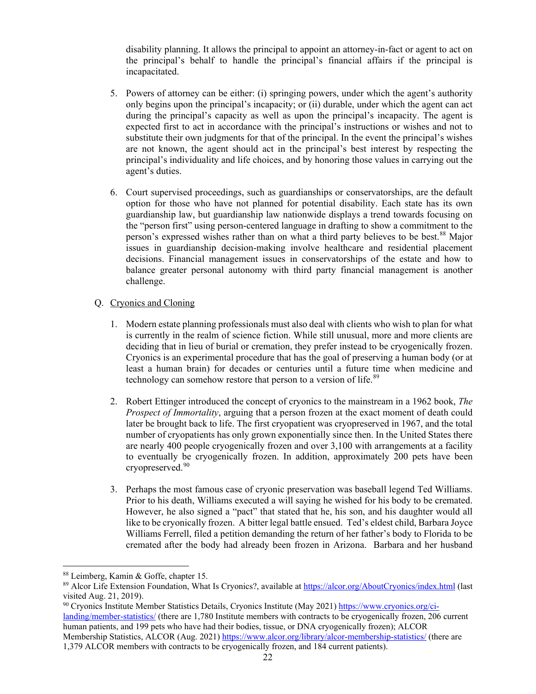disability planning. It allows the principal to appoint an attorney-in-fact or agent to act on the principal's behalf to handle the principal's financial affairs if the principal is incapacitated.

- 5. Powers of attorney can be either: (i) springing powers, under which the agent's authority only begins upon the principal's incapacity; or (ii) durable, under which the agent can act during the principal's capacity as well as upon the principal's incapacity. The agent is expected first to act in accordance with the principal's instructions or wishes and not to substitute their own judgments for that of the principal. In the event the principal's wishes are not known, the agent should act in the principal's best interest by respecting the principal's individuality and life choices, and by honoring those values in carrying out the agent's duties.
- 6. Court supervised proceedings, such as guardianships or conservatorships, are the default option for those who have not planned for potential disability. Each state has its own guardianship law, but guardianship law nationwide displays a trend towards focusing on the "person first" using person-centered language in drafting to show a commitment to the person's expressed wishes rather than on what a third party believes to be best.<sup>[88](#page-25-0)</sup> Major issues in guardianship decision-making involve healthcare and residential placement decisions. Financial management issues in conservatorships of the estate and how to balance greater personal autonomy with third party financial management is another challenge.

# Q. Cryonics and Cloning

- 1. Modern estate planning professionals must also deal with clients who wish to plan for what is currently in the realm of science fiction. While still unusual, more and more clients are deciding that in lieu of burial or cremation, they prefer instead to be cryogenically frozen. Cryonics is an experimental procedure that has the goal of preserving a human body (or at least a human brain) for decades or centuries until a future time when medicine and technology can somehow restore that person to a version of life.<sup>[89](#page-25-1)</sup>
- 2. Robert Ettinger introduced the concept of cryonics to the mainstream in a 1962 book, *The Prospect of Immortality*, arguing that a person frozen at the exact moment of death could later be brought back to life. The first cryopatient was cryopreserved in 1967, and the total number of cryopatients has only grown exponentially since then. In the United States there are nearly 400 people cryogenically frozen and over 3,100 with arrangements at a facility to eventually be cryogenically frozen. In addition, approximately 200 pets have been cryopreserved. [90](#page-25-2)
- 3. Perhaps the most famous case of cryonic preservation was baseball legend Ted Williams. Prior to his death, Williams executed a will saying he wished for his body to be cremated. However, he also signed a "pact" that stated that he, his son, and his daughter would all like to be cryonically frozen. A bitter legal battle ensued. Ted's eldest child, Barbara Joyce Williams Ferrell, filed a petition demanding the return of her father's body to Florida to be cremated after the body had already been frozen in Arizona. Barbara and her husband

<span id="page-25-0"></span><sup>88</sup> Leimberg, Kamin & Goffe, chapter 15.

<span id="page-25-1"></span><sup>&</sup>lt;sup>89</sup> Alcor Life Extension Foundation, What Is Cryonics?, available at<https://alcor.org/AboutCryonics/index.html> (last visited Aug. 21, 2019).

<span id="page-25-2"></span><sup>90</sup> Cryonics Institute Member Statistics Details, Cryonics Institute (May 2021) [https://www.cryonics.org/ci](https://www.cryonics.org/ci-landing/member-statistics/)[landing/member-statistics/](https://www.cryonics.org/ci-landing/member-statistics/) (there are 1,780 Institute members with contracts to be cryogenically frozen, 206 current human patients, and 199 pets who have had their bodies, tissue, or DNA cryogenically frozen); ALCOR Membership Statistics, ALCOR (Aug. 2021)<https://www.alcor.org/library/alcor-membership-statistics/> (there are 1,379 ALCOR members with contracts to be cryogenically frozen, and 184 current patients).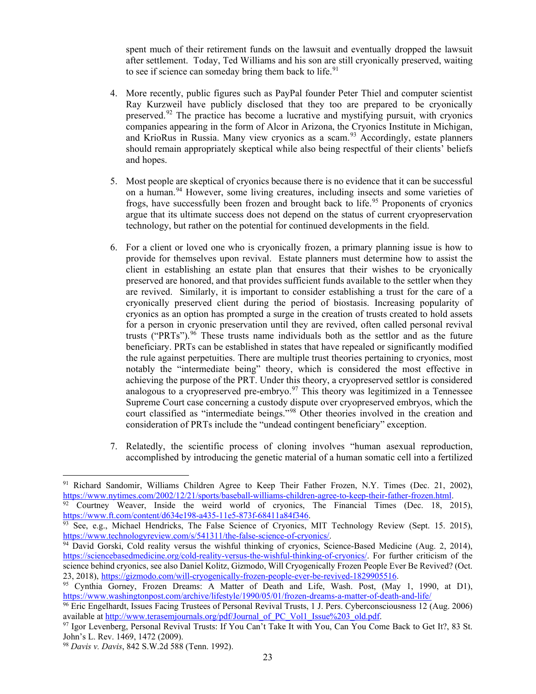spent much of their retirement funds on the lawsuit and eventually dropped the lawsuit after settlement. Today, Ted Williams and his son are still cryonically preserved, waiting to see if science can someday bring them back to life. $91$ 

- 4. More recently, public figures such as PayPal founder Peter Thiel and computer scientist Ray Kurzweil have publicly disclosed that they too are prepared to be cryonically preserved.[92](#page-26-1) The practice has become a lucrative and mystifying pursuit, with cryonics companies appearing in the form of Alcor in Arizona, the Cryonics Institute in Michigan, and KrioRus in Russia. Many view cryonics as a scam.<sup>[93](#page-26-2)</sup> Accordingly, estate planners should remain appropriately skeptical while also being respectful of their clients' beliefs and hopes.
- 5. Most people are skeptical of cryonics because there is no evidence that it can be successful on a human.<sup>[94](#page-26-3)</sup> However, some living creatures, including insects and some varieties of frogs, have successfully been frozen and brought back to life.<sup>[95](#page-26-4)</sup> Proponents of cryonics argue that its ultimate success does not depend on the status of current cryopreservation technology, but rather on the potential for continued developments in the field.
- 6. For a client or loved one who is cryonically frozen, a primary planning issue is how to provide for themselves upon revival. Estate planners must determine how to assist the client in establishing an estate plan that ensures that their wishes to be cryonically preserved are honored, and that provides sufficient funds available to the settler when they are revived. Similarly, it is important to consider establishing a trust for the care of a cryonically preserved client during the period of biostasis. Increasing popularity of cryonics as an option has prompted a surge in the creation of trusts created to hold assets for a person in cryonic preservation until they are revived, often called personal revival trusts ("PRTs").<sup>[96](#page-26-5)</sup> These trusts name individuals both as the settlor and as the future beneficiary. PRTs can be established in states that have repealed or significantly modified the rule against perpetuities. There are multiple trust theories pertaining to cryonics, most notably the "intermediate being" theory, which is considered the most effective in achieving the purpose of the PRT. Under this theory, a cryopreserved settlor is considered analogous to a cryopreserved pre-embryo.<sup>[97](#page-26-6)</sup> This theory was legitimized in a Tennessee Supreme Court case concerning a custody dispute over cryopreserved embryos, which the court classified as "intermediate beings."[98](#page-26-7) Other theories involved in the creation and consideration of PRTs include the "undead contingent beneficiary" exception.
- 7. Relatedly, the scientific process of cloning involves "human asexual reproduction, accomplished by introducing the genetic material of a human somatic cell into a fertilized

<span id="page-26-0"></span><sup>91</sup> Richard Sandomir, Williams Children Agree to Keep Their Father Frozen, N.Y. Times (Dec. 21, 2002), [https://www.nytimes.com/2002/12/21/sports/baseball-williams-children-agree-to-keep-their-father-frozen.html.](https://www.nytimes.com/2002/12/21/sports/baseball-williams-children-agree-to-keep-their-father-frozen.html)

<span id="page-26-1"></span>Courtney Weaver, Inside the weird world of cryonics, The Financial Times (Dec. 18, 2015), [https://www.ft.com/content/d634e198-a435-11e5-873f-68411a84f346.](https://www.ft.com/content/d634e198-a435-11e5-873f-68411a84f346)

<span id="page-26-2"></span><sup>93</sup> See, e.g., Michael Hendricks, The False Science of Cryonics, MIT Technology Review (Sept. 15. 2015), [https://www.technologyreview.com/s/541311/the-false-science-of-cryonics/.](https://www.technologyreview.com/s/541311/the-false-science-of-cryonics/)

<span id="page-26-3"></span> $94$  David Gorski, Cold reality versus the wishful thinking of cryonics, Science-Based Medicine (Aug. 2, 2014), [https://sciencebasedmedicine.org/cold-reality-versus-the-wishful-thinking-of-cryonics/.](https://sciencebasedmedicine.org/cold-reality-versus-the-wishful-thinking-of-cryonics/) For further criticism of the science behind cryonics, see also Daniel Kolitz, Gizmodo, Will Cryogenically Frozen People Ever Be Revived? (Oct. 23, 2018), [https://gizmodo.com/will-cryogenically-frozen-people-ever-be-revived-1829905516.](https://gizmodo.com/will-cryogenically-frozen-people-ever-be-revived-1829905516)

<span id="page-26-4"></span><sup>95</sup> Cynthia Gorney, Frozen Dreams: A Matter of Death and Life, Wash. Post, (May 1, 1990, at D1), <https://www.washingtonpost.com/archive/lifestyle/1990/05/01/frozen-dreams-a-matter-of-death-and-life/>

<span id="page-26-5"></span><sup>&</sup>lt;sup>96</sup> Eric Engelhardt, Issues Facing Trustees of Personal Revival Trusts, 1 J. Pers. Cyberconsciousness 12 (Aug. 2006) available at [http://www.terasemjournals.org/pdf/Journal\\_of\\_PC\\_Vol1\\_Issue%203\\_old.pdf.](http://www.terasemjournals.org/pdf/Journal_of_PC_Vol1_Issue%203_old.pdf)

<span id="page-26-6"></span><sup>97</sup> Igor Levenberg, Personal Revival Trusts: If You Can't Take It with You, Can You Come Back to Get It?, 83 St. John's L. Rev. 1469, 1472 (2009).

<span id="page-26-7"></span><sup>98</sup> *Davis v. Davis*, 842 S.W.2d 588 (Tenn. 1992).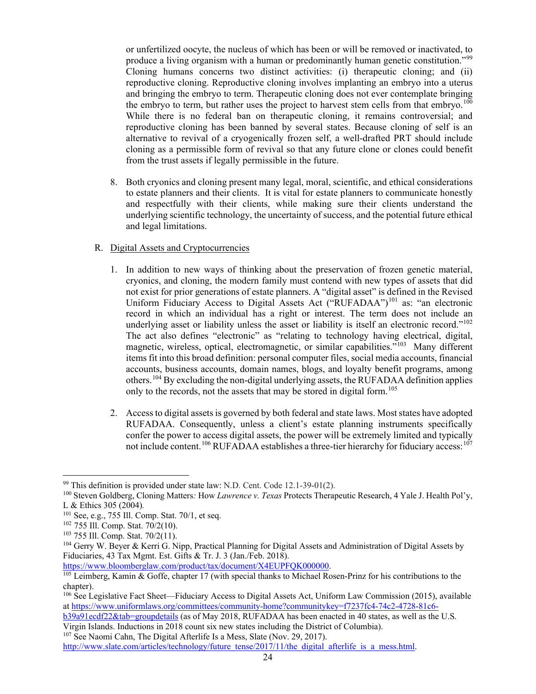or unfertilized oocyte, the nucleus of which has been or will be removed or inactivated, to produce a living organism with a human or predominantly human genetic constitution."<sup>[99](#page-27-0)</sup> Cloning humans concerns two distinct activities: (i) therapeutic cloning; and (ii) reproductive cloning. Reproductive cloning involves implanting an embryo into a uterus and bringing the embryo to term. Therapeutic cloning does not ever contemplate bringing the embryo to term, but rather uses the project to harvest stem cells from that embryo.<sup>[100](#page-27-1)</sup> While there is no federal ban on therapeutic cloning, it remains controversial; and reproductive cloning has been banned by several states. Because cloning of self is an alternative to revival of a cryogenically frozen self, a well-drafted PRT should include cloning as a permissible form of revival so that any future clone or clones could benefit from the trust assets if legally permissible in the future.

8. Both cryonics and cloning present many legal, moral, scientific, and ethical considerations to estate planners and their clients. It is vital for estate planners to communicate honestly and respectfully with their clients, while making sure their clients understand the underlying scientific technology, the uncertainty of success, and the potential future ethical and legal limitations.

# R. Digital Assets and Cryptocurrencies

- 1. In addition to new ways of thinking about the preservation of frozen genetic material, cryonics, and cloning, the modern family must contend with new types of assets that did not exist for prior generations of estate planners. A "digital asset" is defined in the Revised Uniform Fiduciary Access to Digital Assets Act ("RUFADAA")<sup>[101](#page-27-2)</sup> as: "an electronic record in which an individual has a right or interest. The term does not include an underlying asset or liability unless the asset or liability is itself an electronic record."<sup>[102](#page-27-3)</sup> The act also defines "electronic" as "relating to technology having electrical, digital, magnetic, wireless, optical, electromagnetic, or similar capabilities."<sup>[103](#page-27-4)</sup> Many different items fit into this broad definition: personal computer files, social media accounts, financial accounts, business accounts, domain names, blogs, and loyalty benefit programs, among others.<sup>[104](#page-27-5)</sup> By excluding the non-digital underlying assets, the RUFADAA definition applies only to the records, not the assets that may be stored in digital form.<sup>[105](#page-27-6)</sup>
- 2. Access to digital assets is governed by both federal and state laws. Most states have adopted RUFADAA. Consequently, unless a client's estate planning instruments specifically confer the power to access digital assets, the power will be extremely limited and typically not include content.<sup>[106](#page-27-7)</sup> RUFADAA establishes a three-tier hierarchy for fiduciary access:<sup>[107](#page-27-8)</sup>

[https://www.bloomberglaw.com/product/tax/document/X4EUPFQK000000.](https://www.bloomberglaw.com/product/tax/document/X4EUPFQK000000)

[b39a91ecdf22&tab=groupdetails](https://www.uniformlaws.org/committees/community-home?communitykey=f7237fc4-74c2-4728-81c6-b39a91ecdf22&tab=groupdetails) (as of May 2018, RUFADAA has been enacted in 40 states, as well as the U.S. Virgin Islands. Inductions in 2018 count six new states including the District of Columbia).

<span id="page-27-8"></span><sup>107</sup> See Naomi Cahn, The Digital Afterlife Is a Mess, Slate (Nov. 29, 2017).

<span id="page-27-1"></span><span id="page-27-0"></span><sup>&</sup>lt;sup>99</sup> This definition is provided under state law: N.D. Cent. Code 12.1-39-01(2).<br><sup>100</sup> Steven Goldberg, Cloning Matters: *How Lawrence v. Texas* Protects Therapeutic Research, 4 Yale J. Health Pol'y, L & Ethics 305 (2004)*.*

<span id="page-27-2"></span> $101$  See, e.g., 755 Ill. Comp. Stat. 70/1, et seq.

<span id="page-27-3"></span><sup>102</sup> 755 Ill. Comp. Stat. 70/2(10).

<span id="page-27-4"></span><sup>103</sup> 755 Ill. Comp. Stat. 70/2(11).

<span id="page-27-5"></span><sup>&</sup>lt;sup>104</sup> Gerry W. Beyer & Kerri G. Nipp, Practical Planning for Digital Assets and Administration of Digital Assets by Fiduciaries, 43 Tax Mgmt. Est. Gifts & Tr. J. 3 (Jan./Feb. 2018).

<span id="page-27-6"></span><sup>&</sup>lt;sup>105</sup> Leimberg, Kamin & Goffe, chapter 17 (with special thanks to Michael Rosen-Prinz for his contributions to the chapter).

<span id="page-27-7"></span><sup>106</sup> See Legislative Fact Sheet—Fiduciary Access to Digital Assets Act, Uniform Law Commission (2015), available a[t https://www.uniformlaws.org/committees/community-home?communitykey=f7237fc4-74c2-4728-81c6-](https://www.uniformlaws.org/committees/community-home?communitykey=f7237fc4-74c2-4728-81c6-b39a91ecdf22&tab=groupdetails)

[http://www.slate.com/articles/technology/future\\_tense/2017/11/the\\_digital\\_afterlife\\_is\\_a\\_mess.html.](http://www.slate.com/articles/technology/future_tense/2017/11/the_digital_afterlife_is_a_mess.html)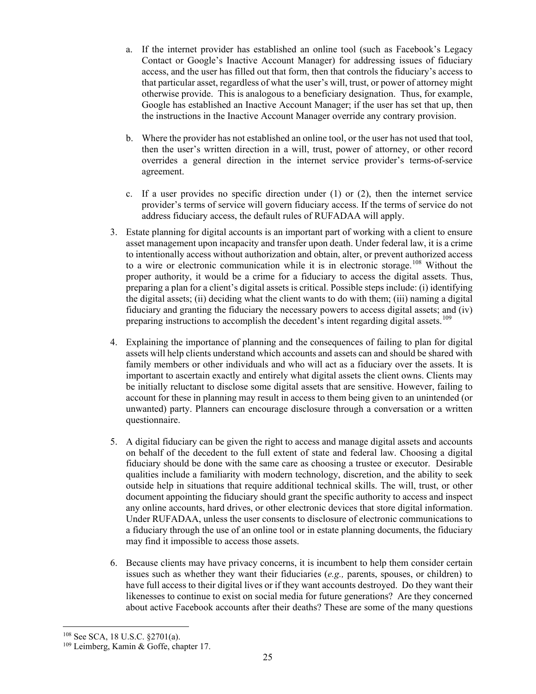- a. If the internet provider has established an online tool (such as Facebook's Legacy Contact or Google's Inactive Account Manager) for addressing issues of fiduciary access, and the user has filled out that form, then that controls the fiduciary's access to that particular asset, regardless of what the user's will, trust, or power of attorney might otherwise provide. This is analogous to a beneficiary designation. Thus, for example, Google has established an Inactive Account Manager; if the user has set that up, then the instructions in the Inactive Account Manager override any contrary provision.
- b. Where the provider has not established an online tool, or the user has not used that tool, then the user's written direction in a will, trust, power of attorney, or other record overrides a general direction in the internet service provider's terms-of-service agreement.
- c. If a user provides no specific direction under  $(1)$  or  $(2)$ , then the internet service provider's terms of service will govern fiduciary access. If the terms of service do not address fiduciary access, the default rules of RUFADAA will apply.
- 3. Estate planning for digital accounts is an important part of working with a client to ensure asset management upon incapacity and transfer upon death. Under federal law, it is a crime to intentionally access without authorization and obtain, alter, or prevent authorized access to a wire or electronic communication while it is in electronic storage.<sup>[108](#page-28-0)</sup> Without the proper authority, it would be a crime for a fiduciary to access the digital assets. Thus, preparing a plan for a client's digital assets is critical. Possible steps include: (i) identifying the digital assets; (ii) deciding what the client wants to do with them; (iii) naming a digital fiduciary and granting the fiduciary the necessary powers to access digital assets; and (iv) preparing instructions to accomplish the decedent's intent regarding digital assets.<sup>[109](#page-28-1)</sup>
- 4. Explaining the importance of planning and the consequences of failing to plan for digital assets will help clients understand which accounts and assets can and should be shared with family members or other individuals and who will act as a fiduciary over the assets. It is important to ascertain exactly and entirely what digital assets the client owns. Clients may be initially reluctant to disclose some digital assets that are sensitive. However, failing to account for these in planning may result in access to them being given to an unintended (or unwanted) party. Planners can encourage disclosure through a conversation or a written questionnaire.
- 5. A digital fiduciary can be given the right to access and manage digital assets and accounts on behalf of the decedent to the full extent of state and federal law. Choosing a digital fiduciary should be done with the same care as choosing a trustee or executor. Desirable qualities include a familiarity with modern technology, discretion, and the ability to seek outside help in situations that require additional technical skills. The will, trust, or other document appointing the fiduciary should grant the specific authority to access and inspect any online accounts, hard drives, or other electronic devices that store digital information. Under RUFADAA, unless the user consents to disclosure of electronic communications to a fiduciary through the use of an online tool or in estate planning documents, the fiduciary may find it impossible to access those assets.
- 6. Because clients may have privacy concerns, it is incumbent to help them consider certain issues such as whether they want their fiduciaries (*e.g.,* parents, spouses, or children) to have full access to their digital lives or if they want accounts destroyed. Do they want their likenesses to continue to exist on social media for future generations? Are they concerned about active Facebook accounts after their deaths? These are some of the many questions

<span id="page-28-0"></span><sup>108</sup> See SCA, 18 U.S.C. §2701(a).

<span id="page-28-1"></span><sup>109</sup> Leimberg, Kamin & Goffe, chapter 17.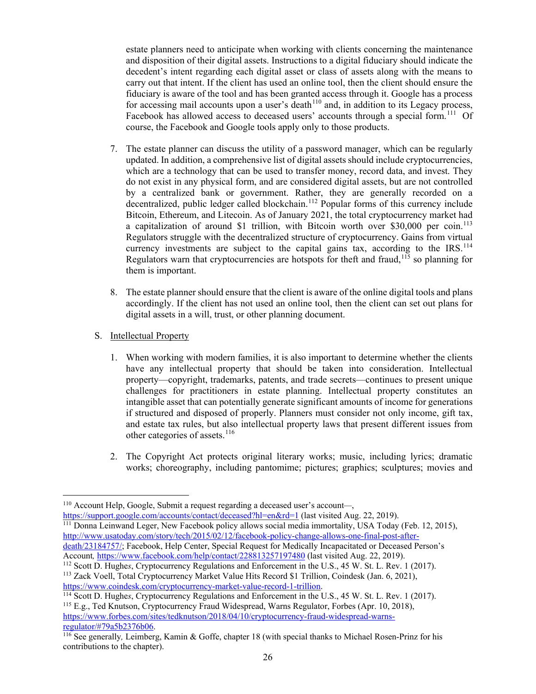estate planners need to anticipate when working with clients concerning the maintenance and disposition of their digital assets. Instructions to a digital fiduciary should indicate the decedent's intent regarding each digital asset or class of assets along with the means to carry out that intent. If the client has used an online tool, then the client should ensure the fiduciary is aware of the tool and has been granted access through it. Google has a process for accessing mail accounts upon a user's death $110$  and, in addition to its Legacy process, Facebook has allowed access to deceased users' accounts through a special form.<sup>[111](#page-29-1)</sup> Of course, the Facebook and Google tools apply only to those products.

- 7. The estate planner can discuss the utility of a password manager, which can be regularly updated. In addition, a comprehensive list of digital assets should include cryptocurrencies, which are a technology that can be used to transfer money, record data, and invest. They do not exist in any physical form, and are considered digital assets, but are not controlled by a centralized bank or government. Rather, they are generally recorded on a decentralized, public ledger called blockchain.<sup>[112](#page-29-2)</sup> Popular forms of this currency include Bitcoin, Ethereum, and Litecoin. As of January 2021, the total cryptocurrency market had a capitalization of around \$1 trillion, with Bitcoin worth over \$30,000 per coin.<sup>[113](#page-29-3)</sup> Regulators struggle with the decentralized structure of cryptocurrency. Gains from virtual currency investments are subject to the capital gains tax, according to the  $IRS$ .<sup>[114](#page-29-4)</sup> Regulators warn that cryptocurrencies are hotspots for theft and fraud,<sup>[115](#page-29-5)</sup> so planning for them is important.
- 8. The estate planner should ensure that the client is aware of the online digital tools and plans accordingly. If the client has not used an online tool, then the client can set out plans for digital assets in a will, trust, or other planning document.
- S. Intellectual Property
	- 1. When working with modern families, it is also important to determine whether the clients have any intellectual property that should be taken into consideration. Intellectual property—copyright, trademarks, patents, and trade secrets—continues to present unique challenges for practitioners in estate planning. Intellectual property constitutes an intangible asset that can potentially generate significant amounts of income for generations if structured and disposed of properly. Planners must consider not only income, gift tax, and estate tax rules, but also intellectual property laws that present different issues from other categories of assets.<sup>[116](#page-29-6)</sup>
	- 2. The Copyright Act protects original literary works; music, including lyrics; dramatic works; choreography, including pantomime; pictures; graphics; sculptures; movies and

<span id="page-29-1"></span><sup>111</sup> Donna Leinwand Leger, New Facebook policy allows social media immortality, USA Today (Feb. 12, 2015), [http://www.usatoday.com/story/tech/2015/02/12/facebook-policy-change-allows-one-final-post-after](http://www.usatoday.com/story/tech/2015/02/12/facebook-policy-change-allows-one-final-post-after-death/23184757/)[death/23184757/;](http://www.usatoday.com/story/tech/2015/02/12/facebook-policy-change-allows-one-final-post-after-death/23184757/) Facebook, Help Center, Special Request for Medically Incapacitated or Deceased Person's Account*,* <https://www.facebook.com/help/contact/228813257197480> (last visited Aug. 22, 2019).

<span id="page-29-5"></span><sup>115</sup> E.g., Ted Knutson, Cryptocurrency Fraud Widespread, Warns Regulator, Forbes (Apr. 10, 2018), [https://www.forbes.com/sites/tedknutson/2018/04/10/cryptocurrency-fraud-widespread-warns](https://www.forbes.com/sites/tedknutson/2018/04/10/cryptocurrency-fraud-widespread-warns-regulator/#79a5b2376b06)[regulator/#79a5b2376b06.](https://www.forbes.com/sites/tedknutson/2018/04/10/cryptocurrency-fraud-widespread-warns-regulator/#79a5b2376b06)

<span id="page-29-0"></span><sup>110</sup> Account Help, Google, Submit a request regarding a deceased user's account*—*, <https://support.google.com/accounts/contact/deceased?hl=en&rd=1> (last visited Aug. 22, 2019).

<span id="page-29-2"></span><sup>112</sup> Scott D. Hughe*s*, Cryptocurrency Regulations and Enforcement in the U.S., 45 W. St. L. Rev. 1 (2017).

<span id="page-29-3"></span><sup>113</sup> Zack Voell, Total Cryptocurrency Market Value Hits Record \$1 Trillion, Coindesk (Jan. 6, 2021), [https://www.coindesk.com/cryptocurrency-market-value-record-1-trillion.](https://www.coindesk.com/cryptocurrency-market-value-record-1-trillion)

<span id="page-29-4"></span><sup>114</sup> Scott D. Hughe*s*, Cryptocurrency Regulations and Enforcement in the U.S., 45 W. St. L. Rev. 1 (2017).

<span id="page-29-6"></span><sup>116</sup> See generally*,* Leimberg, Kamin & Goffe, chapter 18 (with special thanks to Michael Rosen-Prinz for his contributions to the chapter).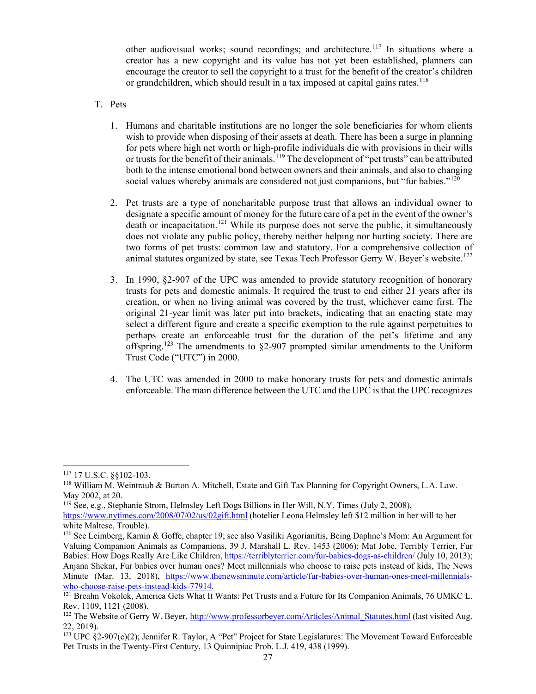other audiovisual works; sound recordings; and architecture.<sup>[117](#page-30-0)</sup> In situations where a creator has a new copyright and its value has not yet been established, planners can encourage the creator to sell the copyright to a trust for the benefit of the creator's children or grandchildren, which should result in a tax imposed at capital gains rates.<sup>[118](#page-30-1)</sup>

- T. Pets
	- 1. Humans and charitable institutions are no longer the sole beneficiaries for whom clients wish to provide when disposing of their assets at death. There has been a surge in planning for pets where high net worth or high-profile individuals die with provisions in their wills or trusts for the benefit of their animals.<sup>[119](#page-30-2)</sup> The development of "pet trusts" can be attributed both to the intense emotional bond between owners and their animals, and also to changing social values whereby animals are considered not just companions, but "fur babies."<sup>[120](#page-30-3)</sup>
	- 2. Pet trusts are a type of noncharitable purpose trust that allows an individual owner to designate a specific amount of money for the future care of a pet in the event of the owner's death or incapacitation.<sup>[121](#page-30-4)</sup> While its purpose does not serve the public, it simultaneously does not violate any public policy, thereby neither helping nor hurting society. There are two forms of pet trusts: common law and statutory. For a comprehensive collection of animal statutes organized by state, see Texas Tech Professor Gerry W. Beyer's website.<sup>[122](#page-30-5)</sup>
	- 3. In 1990, §2-907 of the UPC was amended to provide statutory recognition of honorary trusts for pets and domestic animals. It required the trust to end either 21 years after its creation, or when no living animal was covered by the trust, whichever came first. The original 21-year limit was later put into brackets, indicating that an enacting state may select a different figure and create a specific exemption to the rule against perpetuities to perhaps create an enforceable trust for the duration of the pet's lifetime and any offspring.<sup>[123](#page-30-6)</sup> The amendments to  $\S2-907$  prompted similar amendments to the Uniform Trust Code ("UTC") in 2000.
	- 4. The UTC was amended in 2000 to make honorary trusts for pets and domestic animals enforceable. The main difference between the UTC and the UPC is that the UPC recognizes

<span id="page-30-1"></span><span id="page-30-0"></span><sup>&</sup>lt;sup>117</sup> 17 U.S.C. §§102-103.<br><sup>118</sup> William M. Weintraub & Burton A. Mitchell, Estate and Gift Tax Planning for Copyright Owners, L.A. Law.<br>May 2002, at 20.

<span id="page-30-2"></span><sup>&</sup>lt;sup>119</sup> See, e.g., Stephanie Strom, Helmsley Left Dogs Billions in Her Will, N.Y. Times (July 2, 2008),

<https://www.nytimes.com/2008/07/02/us/02gift.html> (hotelier Leona Helmsley left \$12 million in her will to her white Maltese, Trouble).

<span id="page-30-3"></span><sup>120</sup> See Leimberg, Kamin & Goffe, chapter 19; see also Vasiliki Agorianitis, Being Daphne's Mom: An Argument for Valuing Companion Animals as Companions, 39 J. Marshall L. Rev. 1453 (2006); Mat Jobe, Terribly Terrier, Fur Babies: How Dogs Really Are Like Children, <https://terriblyterrier.com/fur-babies-dogs-as-children/> (July 10, 2013); Anjana Shekar, Fur babies over human ones? Meet millennials who choose to raise pets instead of kids, The News Minute (Mar. 13, 2018), https://www.thenewsminute.com/article/fur-babies-over-human-ones-meet-millennials-<br>who-choose-raise-pets-instead-kids-77914.

<span id="page-30-4"></span><sup>&</sup>lt;sup>121</sup> Breahn Vokolek, America Gets What It Wants: Pet Trusts and a Future for Its Companion Animals, 76 UMKC L. Rev. 1109, 1121 (2008).

<span id="page-30-5"></span><sup>&</sup>lt;sup>122</sup> The Website of Gerry W. Beyer, [http://www.professorbeyer.com/Articles/Animal\\_Statutes.html](http://www.professorbeyer.com/Articles/Animal_Statutes.html) (last visited Aug. 22, 2019).

<span id="page-30-6"></span> $123$  UPC  $$2-907(c)(2)$ ; Jennifer R. Taylor, A "Pet" Project for State Legislatures: The Movement Toward Enforceable Pet Trusts in the Twenty-First Century, 13 Quinnipiac Prob. L.J. 419, 438 (1999).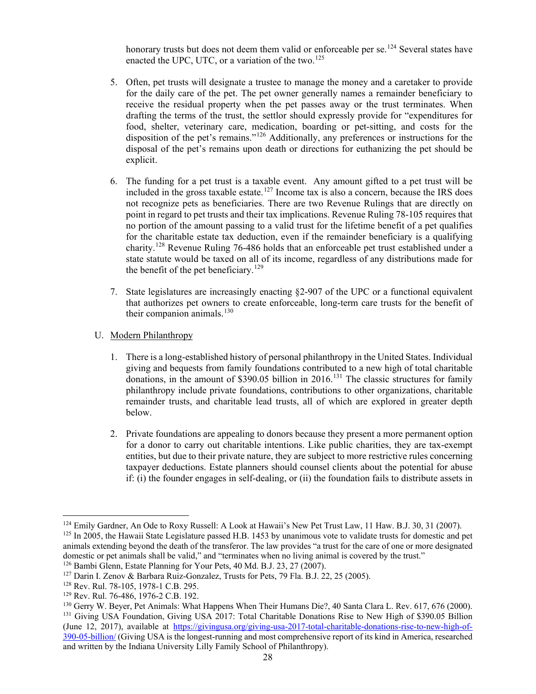honorary trusts but does not deem them valid or enforceable per se.<sup>[124](#page-31-0)</sup> Several states have enacted the UPC, UTC, or a variation of the two.<sup>[125](#page-31-1)</sup>

- 5. Often, pet trusts will designate a trustee to manage the money and a caretaker to provide for the daily care of the pet. The pet owner generally names a remainder beneficiary to receive the residual property when the pet passes away or the trust terminates. When drafting the terms of the trust, the settlor should expressly provide for "expenditures for food, shelter, veterinary care, medication, boarding or pet-sitting, and costs for the disposition of the pet's remains."[126](#page-31-2) Additionally, any preferences or instructions for the disposal of the pet's remains upon death or directions for euthanizing the pet should be explicit.
- 6. The funding for a pet trust is a taxable event. Any amount gifted to a pet trust will be included in the gross taxable estate.<sup>[127](#page-31-3)</sup> Income tax is also a concern, because the IRS does not recognize pets as beneficiaries. There are two Revenue Rulings that are directly on point in regard to pet trusts and their tax implications. Revenue Ruling 78-105 requires that no portion of the amount passing to a valid trust for the lifetime benefit of a pet qualifies for the charitable estate tax deduction, even if the remainder beneficiary is a qualifying charity.[128](#page-31-4) Revenue Ruling 76-486 holds that an enforceable pet trust established under a state statute would be taxed on all of its income, regardless of any distributions made for the benefit of the pet beneficiary.<sup>[129](#page-31-5)</sup>
- 7. State legislatures are increasingly enacting §2-907 of the UPC or a functional equivalent that authorizes pet owners to create enforceable, long-term care trusts for the benefit of their companion animals. $130$
- U. Modern Philanthropy
	- 1. There is a long-established history of personal philanthropy in the United States. Individual giving and bequests from family foundations contributed to a new high of total charitable donations, in the amount of \$390.05 billion in 2016.<sup>[131](#page-31-7)</sup> The classic structures for family philanthropy include private foundations, contributions to other organizations, charitable remainder trusts, and charitable lead trusts, all of which are explored in greater depth below.
	- 2. Private foundations are appealing to donors because they present a more permanent option for a donor to carry out charitable intentions. Like public charities, they are tax-exempt entities, but due to their private nature, they are subject to more restrictive rules concerning taxpayer deductions. Estate planners should counsel clients about the potential for abuse if: (i) the founder engages in self-dealing, or (ii) the foundation fails to distribute assets in

<span id="page-31-0"></span><sup>&</sup>lt;sup>124</sup> Emily Gardner, An Ode to Roxy Russell: A Look at Hawaii's New Pet Trust Law, 11 Haw. B.J. 30, 31 (2007).<br><sup>125</sup> In 2005, the Hawaii State Legislature passed H.B. 1453 by unanimous vote to validate trusts for domestic

<span id="page-31-1"></span>animals extending beyond the death of the transferor. The law provides "a trust for the care of one or more designated domestic or pet animals shall be valid," and "terminates when no living animal is covered by the trust."

<span id="page-31-3"></span><span id="page-31-2"></span><sup>&</sup>lt;sup>126</sup> Bambi Glenn, Estate Planning for Your Pets, 40 Md. B.J. 23, 27 (2007).<br><sup>127</sup> Darin I. Zenov & Barbara Ruiz-Gonzalez, Trusts for Pets, 79 Fla. B.J. 22, 25 (2005).

<span id="page-31-4"></span><sup>128</sup> Rev. Rul. 78-105, 1978-1 C.B. 295.

<span id="page-31-5"></span><sup>129</sup> Rev. Rul. 76-486, 1976-2 C.B. 192.

<span id="page-31-7"></span><span id="page-31-6"></span><sup>&</sup>lt;sup>130</sup> Gerry W. Beyer, Pet Animals: What Happens When Their Humans Die?, 40 Santa Clara L. Rev. 617, 676 (2000).<br><sup>131</sup> Giving USA Foundation, Giving USA 2017: Total Charitable Donations Rise to New High of \$390.05 Billion (June 12, 2017), available at [https://givingusa.org/giving-usa-2017-total-charitable-donations-rise-to-new-high-of-](https://givingusa.org/giving-usa-2017-total-charitable-donations-rise-to-new-high-of-390-05-billion/)[390-05-billion/](https://givingusa.org/giving-usa-2017-total-charitable-donations-rise-to-new-high-of-390-05-billion/) (Giving USA is the longest-running and most comprehensive report of its kind in America, researched and written by the Indiana University Lilly Family School of Philanthropy).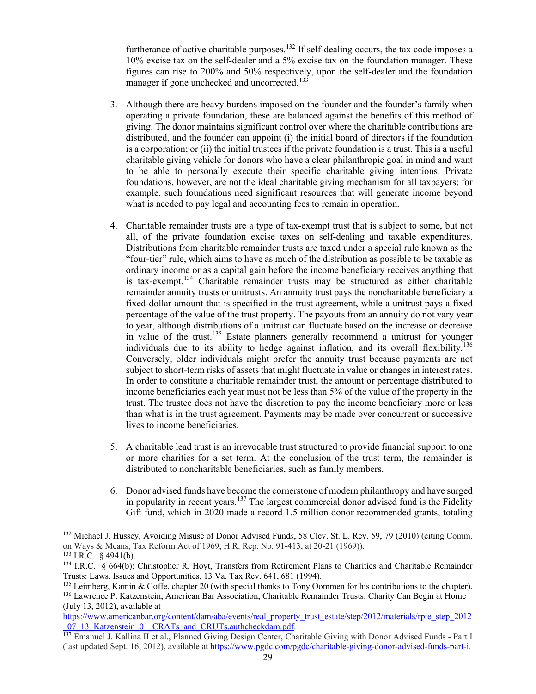furtherance of active charitable purposes.<sup>[132](#page-32-0)</sup> If self-dealing occurs, the tax code imposes a 10% excise tax on the self-dealer and a 5% excise tax on the foundation manager. These figures can rise to 200% and 50% respectively, upon the self-dealer and the foundation manager if gone unchecked and uncorrected.<sup>[133](#page-32-1)</sup>

- 3. Although there are heavy burdens imposed on the founder and the founder's family when operating a private foundation, these are balanced against the benefits of this method of giving. The donor maintains significant control over where the charitable contributions are distributed, and the founder can appoint (i) the initial board of directors if the foundation is a corporation; or (ii) the initial trustees if the private foundation is a trust. This is a useful charitable giving vehicle for donors who have a clear philanthropic goal in mind and want to be able to personally execute their specific charitable giving intentions. Private foundations, however, are not the ideal charitable giving mechanism for all taxpayers; for example, such foundations need significant resources that will generate income beyond what is needed to pay legal and accounting fees to remain in operation.
- 4. Charitable remainder trusts are a type of tax-exempt trust that is subject to some, but not all, of the private foundation excise taxes on self-dealing and taxable expenditures. Distributions from charitable remainder trusts are taxed under a special rule known as the "four-tier" rule, which aims to have as much of the distribution as possible to be taxable as ordinary income or as a capital gain before the income beneficiary receives anything that is tax-exempt.<sup>[134](#page-32-2)</sup> Charitable remainder trusts may be structured as either charitable remainder annuity trusts or unitrusts. An annuity trust pays the noncharitable beneficiary a fixed-dollar amount that is specified in the trust agreement, while a unitrust pays a fixed percentage of the value of the trust property. The payouts from an annuity do not vary year to year, although distributions of a unitrust can fluctuate based on the increase or decrease in value of the trust.<sup>[135](#page-32-3)</sup> Estate planners generally recommend a unitrust for younger individuals due to its ability to hedge against inflation, and its overall flexibility.<sup>[136](#page-32-4)</sup> Conversely, older individuals might prefer the annuity trust because payments are not subject to short-term risks of assets that might fluctuate in value or changes in interest rates. In order to constitute a charitable remainder trust, the amount or percentage distributed to income beneficiaries each year must not be less than 5% of the value of the property in the trust. The trustee does not have the discretion to pay the income beneficiary more or less than what is in the trust agreement. Payments may be made over concurrent or successive lives to income beneficiaries.
- 5. A charitable lead trust is an irrevocable trust structured to provide financial support to one or more charities for a set term. At the conclusion of the trust term, the remainder is distributed to noncharitable beneficiaries, such as family members.
- 6. Donor advised funds have become the cornerstone of modern philanthropy and have surged in popularity in recent years.<sup>[137](#page-32-5)</sup> The largest commercial donor advised fund is the Fidelity Gift fund, which in 2020 made a record 1.5 million donor recommended grants, totaling

<span id="page-32-0"></span><sup>132</sup> Michael J. Hussey, Avoiding Misuse of Donor Advised Fund*s*, 58 Clev. St. L. Rev. 59, 79 (2010) (citing Comm. on Ways & Means, Tax Reform Act of 1969, H.R. Rep. No. 91-413, at 20-21 (1969)).

<span id="page-32-1"></span> $133$  I.R.C. § 4941(b).

<span id="page-32-2"></span><sup>&</sup>lt;sup>134</sup> I.R.C. § 664(b); Christopher R. Hoyt, Transfers from Retirement Plans to Charities and Charitable Remainder Trusts: Laws, Issues and Opportunities, 13 Va. Tax Rev. 641, 681 (1994).

<span id="page-32-4"></span><span id="page-32-3"></span><sup>&</sup>lt;sup>135</sup> Leimberg, Kamin & Goffe, chapter 20 (with special thanks to Tony Oommen for his contributions to the chapter). <sup>136</sup> Lawrence P. Katzenstein, American Bar Association, Charitable Remainder Trusts: Charity Can Begin at Home (July 13, 2012), available at

[https://www.americanbar.org/content/dam/aba/events/real\\_property\\_trust\\_estate/step/2012/materials/rpte\\_step\\_2012](https://www.americanbar.org/content/dam/aba/events/real_property_trust_estate/step/2012/materials/rpte_step_2012_07_13_Katzenstein_01_CRATs_and_CRUTs.authcheckdam.pdf) 07\_13\_Katzenstein\_01\_CRATs\_and\_CRUTs.authcheckdam.pdf.

<span id="page-32-5"></span><sup>137</sup> Emanuel J. Kallina II et al., Planned Giving Design Center, Charitable Giving with Donor Advised Funds - Part I (last updated Sept. 16, 2012), available at [https://www.pgdc.com/pgdc/charitable-giving-donor-advised-funds-part-i.](https://www.pgdc.com/pgdc/charitable-giving-donor-advised-funds-part-i)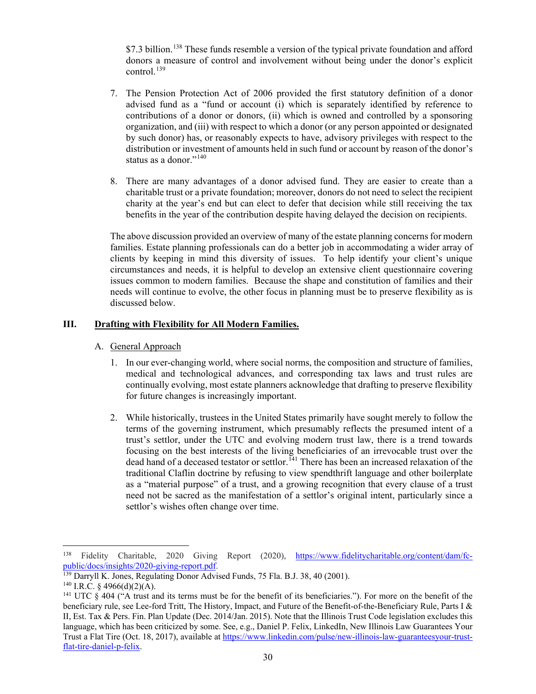\$7.3 billion.<sup>[138](#page-33-0)</sup> These funds resemble a version of the typical private foundation and afford donors a measure of control and involvement without being under the donor's explicit control. $^{139}$  $^{139}$  $^{139}$ 

- 7. The Pension Protection Act of 2006 provided the first statutory definition of a donor advised fund as a "fund or account (i) which is separately identified by reference to contributions of a donor or donors, (ii) which is owned and controlled by a sponsoring organization, and (iii) with respect to which a donor (or any person appointed or designated by such donor) has, or reasonably expects to have, advisory privileges with respect to the distribution or investment of amounts held in such fund or account by reason of the donor's status as a donor."<sup>[140](#page-33-2)</sup>
- 8. There are many advantages of a donor advised fund. They are easier to create than a charitable trust or a private foundation; moreover, donors do not need to select the recipient charity at the year's end but can elect to defer that decision while still receiving the tax benefits in the year of the contribution despite having delayed the decision on recipients.

The above discussion provided an overview of many of the estate planning concerns for modern families. Estate planning professionals can do a better job in accommodating a wider array of clients by keeping in mind this diversity of issues. To help identify your client's unique circumstances and needs, it is helpful to develop an extensive client questionnaire covering issues common to modern families. Because the shape and constitution of families and their needs will continue to evolve, the other focus in planning must be to preserve flexibility as is discussed below.

# **III. Drafting with Flexibility for All Modern Families.**

# A. General Approach

- 1. In our ever-changing world, where social norms, the composition and structure of families, medical and technological advances, and corresponding tax laws and trust rules are continually evolving, most estate planners acknowledge that drafting to preserve flexibility for future changes is increasingly important.
- 2. While historically, trustees in the United States primarily have sought merely to follow the terms of the governing instrument, which presumably reflects the presumed intent of a trust's settlor, under the UTC and evolving modern trust law, there is a trend towards focusing on the best interests of the living beneficiaries of an irrevocable trust over the dead hand of a deceased testator or settlor.<sup>[141](#page-33-3)</sup> There has been an increased relaxation of the traditional Claflin doctrine by refusing to view spendthrift language and other boilerplate as a "material purpose" of a trust, and a growing recognition that every clause of a trust need not be sacred as the manifestation of a settlor's original intent, particularly since a settlor's wishes often change over time.

<span id="page-33-0"></span><sup>138</sup> Fidelity Charitable, 2020 Giving Report (2020), [https://www.fidelitycharitable.org/content/dam/fc](https://www.fidelitycharitable.org/content/dam/fc-public/docs/insights/2020-giving-report.pdf)[public/docs/insights/2020-giving-report.pdf.](https://www.fidelitycharitable.org/content/dam/fc-public/docs/insights/2020-giving-report.pdf)

<span id="page-33-1"></span><sup>&</sup>lt;sup>139</sup> Darryll K. Jones, Regulating Donor Advised Funds, 75 Fla. B.J. 38, 40 (2001).

<span id="page-33-2"></span> $140$  I.R.C. § 4966(d)(2)(A).

<span id="page-33-3"></span><sup>&</sup>lt;sup>141</sup> UTC  $\S$  404 ("A trust and its terms must be for the benefit of its beneficiaries."). For more on the benefit of the beneficiary rule, see Lee-ford Tritt, The History, Impact, and Future of the Benefit-of-the-Beneficiary Rule, Parts I & II, Est. Tax & Pers. Fin. Plan Update (Dec. 2014/Jan. 2015). Note that the Illinois Trust Code legislation excludes this language, which has been criticized by some. See, e.g., Daniel P. Felix, LinkedIn, New Illinois Law Guarantees Your Trust a Flat Tire (Oct. 18, 2017), available a[t https://www.linkedin.com/pulse/new-illinois-law-guaranteesyour-trust](https://www.linkedin.com/pulse/new-illinois-law-guaranteesyour-trust-flat-tire-daniel-p-felix)[flat-tire-daniel-p-felix.](https://www.linkedin.com/pulse/new-illinois-law-guaranteesyour-trust-flat-tire-daniel-p-felix)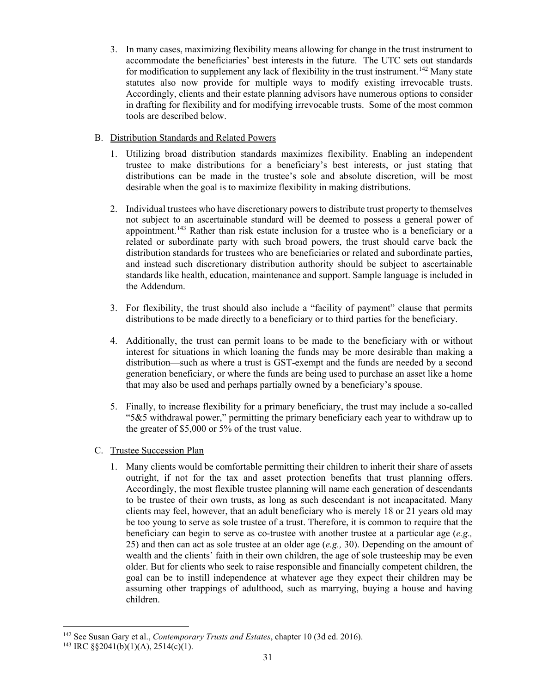3. In many cases, maximizing flexibility means allowing for change in the trust instrument to accommodate the beneficiaries' best interests in the future. The UTC sets out standards for modification to supplement any lack of flexibility in the trust instrument.<sup>[142](#page-34-0)</sup> Many state statutes also now provide for multiple ways to modify existing irrevocable trusts. Accordingly, clients and their estate planning advisors have numerous options to consider in drafting for flexibility and for modifying irrevocable trusts. Some of the most common tools are described below.

# B. Distribution Standards and Related Powers

- 1. Utilizing broad distribution standards maximizes flexibility. Enabling an independent trustee to make distributions for a beneficiary's best interests, or just stating that distributions can be made in the trustee's sole and absolute discretion, will be most desirable when the goal is to maximize flexibility in making distributions.
- 2. Individual trustees who have discretionary powers to distribute trust property to themselves not subject to an ascertainable standard will be deemed to possess a general power of appointment.<sup>[143](#page-34-1)</sup> Rather than risk estate inclusion for a trustee who is a beneficiary or a related or subordinate party with such broad powers, the trust should carve back the distribution standards for trustees who are beneficiaries or related and subordinate parties, and instead such discretionary distribution authority should be subject to ascertainable standards like health, education, maintenance and support. Sample language is included in the Addendum.
- 3. For flexibility, the trust should also include a "facility of payment" clause that permits distributions to be made directly to a beneficiary or to third parties for the beneficiary.
- 4. Additionally, the trust can permit loans to be made to the beneficiary with or without interest for situations in which loaning the funds may be more desirable than making a distribution—such as where a trust is GST-exempt and the funds are needed by a second generation beneficiary, or where the funds are being used to purchase an asset like a home that may also be used and perhaps partially owned by a beneficiary's spouse.
- 5. Finally, to increase flexibility for a primary beneficiary, the trust may include a so-called "5&5 withdrawal power," permitting the primary beneficiary each year to withdraw up to the greater of \$5,000 or 5% of the trust value.
- C. Trustee Succession Plan
	- 1. Many clients would be comfortable permitting their children to inherit their share of assets outright, if not for the tax and asset protection benefits that trust planning offers. Accordingly, the most flexible trustee planning will name each generation of descendants to be trustee of their own trusts, as long as such descendant is not incapacitated. Many clients may feel, however, that an adult beneficiary who is merely 18 or 21 years old may be too young to serve as sole trustee of a trust. Therefore, it is common to require that the beneficiary can begin to serve as co-trustee with another trustee at a particular age (*e.g.,* 25) and then can act as sole trustee at an older age (*e.g.,* 30). Depending on the amount of wealth and the clients' faith in their own children, the age of sole trusteeship may be even older. But for clients who seek to raise responsible and financially competent children, the goal can be to instill independence at whatever age they expect their children may be assuming other trappings of adulthood, such as marrying, buying a house and having children.

<span id="page-34-0"></span><sup>142</sup> See Susan Gary et al., *Contemporary Trusts and Estates*, chapter 10 (3d ed. 2016).

<span id="page-34-1"></span><sup>&</sup>lt;sup>143</sup> IRC §§2041(b)(1)(A), 2514(c)(1).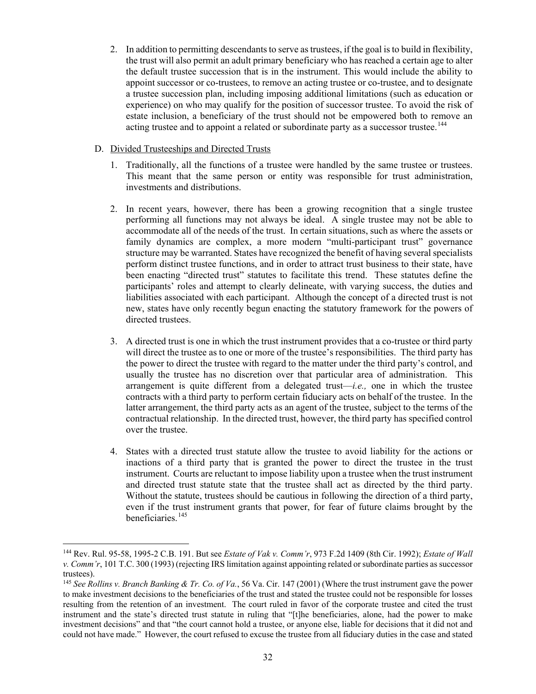2. In addition to permitting descendants to serve as trustees, if the goal is to build in flexibility, the trust will also permit an adult primary beneficiary who has reached a certain age to alter the default trustee succession that is in the instrument. This would include the ability to appoint successor or co-trustees, to remove an acting trustee or co-trustee, and to designate a trustee succession plan, including imposing additional limitations (such as education or experience) on who may qualify for the position of successor trustee. To avoid the risk of estate inclusion, a beneficiary of the trust should not be empowered both to remove an acting trustee and to appoint a related or subordinate party as a successor trustee.<sup>[144](#page-35-0)</sup>

# D. Divided Trusteeships and Directed Trusts

- 1. Traditionally, all the functions of a trustee were handled by the same trustee or trustees. This meant that the same person or entity was responsible for trust administration, investments and distributions.
- 2. In recent years, however, there has been a growing recognition that a single trustee performing all functions may not always be ideal. A single trustee may not be able to accommodate all of the needs of the trust. In certain situations, such as where the assets or family dynamics are complex, a more modern "multi-participant trust" governance structure may be warranted. States have recognized the benefit of having several specialists perform distinct trustee functions, and in order to attract trust business to their state, have been enacting "directed trust" statutes to facilitate this trend. These statutes define the participants' roles and attempt to clearly delineate, with varying success, the duties and liabilities associated with each participant. Although the concept of a directed trust is not new, states have only recently begun enacting the statutory framework for the powers of directed trustees.
- 3. A directed trust is one in which the trust instrument provides that a co-trustee or third party will direct the trustee as to one or more of the trustee's responsibilities. The third party has the power to direct the trustee with regard to the matter under the third party's control, and usually the trustee has no discretion over that particular area of administration. This arrangement is quite different from a delegated trust—*i.e.,* one in which the trustee contracts with a third party to perform certain fiduciary acts on behalf of the trustee. In the latter arrangement, the third party acts as an agent of the trustee, subject to the terms of the contractual relationship. In the directed trust, however, the third party has specified control over the trustee.
- 4. States with a directed trust statute allow the trustee to avoid liability for the actions or inactions of a third party that is granted the power to direct the trustee in the trust instrument. Courts are reluctant to impose liability upon a trustee when the trust instrument and directed trust statute state that the trustee shall act as directed by the third party. Without the statute, trustees should be cautious in following the direction of a third party, even if the trust instrument grants that power, for fear of future claims brought by the beneficiaries.[145](#page-35-1)

<span id="page-35-0"></span><sup>144</sup> Rev. Rul. 95-58, 1995-2 C.B. 191. But see *Estate of Vak v. Comm'r*, 973 F.2d 1409 (8th Cir. 1992); *Estate of Wall v. Comm'r*, 101 T.C. 300 (1993) (rejecting IRS limitation against appointing related or subordinate parties as successor trustees).

<span id="page-35-1"></span><sup>145</sup> *See Rollins v. Branch Banking & Tr. Co. of Va.*, 56 Va. Cir. 147 (2001) (Where the trust instrument gave the power to make investment decisions to the beneficiaries of the trust and stated the trustee could not be responsible for losses resulting from the retention of an investment. The court ruled in favor of the corporate trustee and cited the trust instrument and the state's directed trust statute in ruling that "[t]he beneficiaries, alone, had the power to make investment decisions" and that "the court cannot hold a trustee, or anyone else, liable for decisions that it did not and could not have made." However, the court refused to excuse the trustee from all fiduciary duties in the case and stated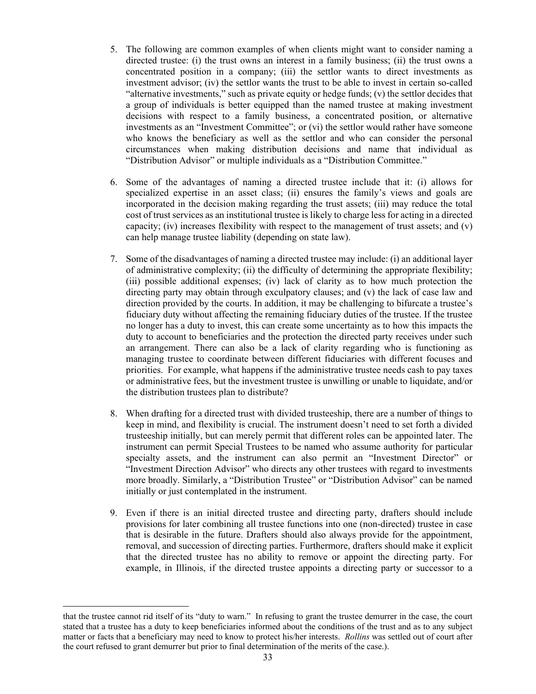- 5. The following are common examples of when clients might want to consider naming a directed trustee: (i) the trust owns an interest in a family business; (ii) the trust owns a concentrated position in a company; (iii) the settlor wants to direct investments as investment advisor; (iv) the settlor wants the trust to be able to invest in certain so-called "alternative investments," such as private equity or hedge funds; (v) the settlor decides that a group of individuals is better equipped than the named trustee at making investment decisions with respect to a family business, a concentrated position, or alternative investments as an "Investment Committee"; or (vi) the settlor would rather have someone who knows the beneficiary as well as the settlor and who can consider the personal circumstances when making distribution decisions and name that individual as "Distribution Advisor" or multiple individuals as a "Distribution Committee."
- 6. Some of the advantages of naming a directed trustee include that it: (i) allows for specialized expertise in an asset class; (ii) ensures the family's views and goals are incorporated in the decision making regarding the trust assets; (iii) may reduce the total cost of trust services as an institutional trustee is likely to charge less for acting in a directed capacity; (iv) increases flexibility with respect to the management of trust assets; and  $(v)$ can help manage trustee liability (depending on state law).
- 7. Some of the disadvantages of naming a directed trustee may include: (i) an additional layer of administrative complexity; (ii) the difficulty of determining the appropriate flexibility; (iii) possible additional expenses; (iv) lack of clarity as to how much protection the directing party may obtain through exculpatory clauses; and (v) the lack of case law and direction provided by the courts. In addition, it may be challenging to bifurcate a trustee's fiduciary duty without affecting the remaining fiduciary duties of the trustee. If the trustee no longer has a duty to invest, this can create some uncertainty as to how this impacts the duty to account to beneficiaries and the protection the directed party receives under such an arrangement. There can also be a lack of clarity regarding who is functioning as managing trustee to coordinate between different fiduciaries with different focuses and priorities. For example, what happens if the administrative trustee needs cash to pay taxes or administrative fees, but the investment trustee is unwilling or unable to liquidate, and/or the distribution trustees plan to distribute?
- 8. When drafting for a directed trust with divided trusteeship, there are a number of things to keep in mind, and flexibility is crucial. The instrument doesn't need to set forth a divided trusteeship initially, but can merely permit that different roles can be appointed later. The instrument can permit Special Trustees to be named who assume authority for particular specialty assets, and the instrument can also permit an "Investment Director" or "Investment Direction Advisor" who directs any other trustees with regard to investments more broadly. Similarly, a "Distribution Trustee" or "Distribution Advisor" can be named initially or just contemplated in the instrument.
- 9. Even if there is an initial directed trustee and directing party, drafters should include provisions for later combining all trustee functions into one (non-directed) trustee in case that is desirable in the future. Drafters should also always provide for the appointment, removal, and succession of directing parties. Furthermore, drafters should make it explicit that the directed trustee has no ability to remove or appoint the directing party. For example, in Illinois, if the directed trustee appoints a directing party or successor to a

that the trustee cannot rid itself of its "duty to warn." In refusing to grant the trustee demurrer in the case, the court stated that a trustee has a duty to keep beneficiaries informed about the conditions of the trust and as to any subject matter or facts that a beneficiary may need to know to protect his/her interests. *Rollins* was settled out of court after the court refused to grant demurrer but prior to final determination of the merits of the case.).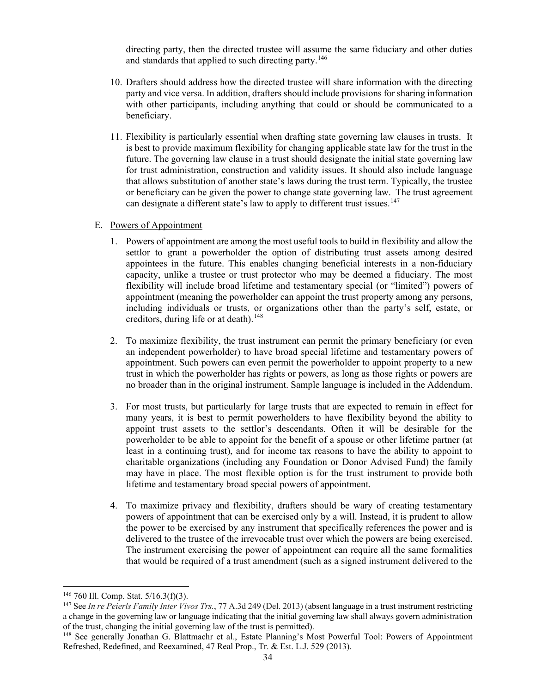directing party, then the directed trustee will assume the same fiduciary and other duties and standards that applied to such directing party.<sup>146</sup>

- 10. Drafters should address how the directed trustee will share information with the directing party and vice versa. In addition, drafters should include provisions for sharing information with other participants, including anything that could or should be communicated to a beneficiary.
- 11. Flexibility is particularly essential when drafting state governing law clauses in trusts. It is best to provide maximum flexibility for changing applicable state law for the trust in the future. The governing law clause in a trust should designate the initial state governing law for trust administration, construction and validity issues. It should also include language that allows substitution of another state's laws during the trust term. Typically, the trustee or beneficiary can be given the power to change state governing law. The trust agreement can designate a different state's law to apply to different trust issues.<sup>[147](#page-37-1)</sup>

### E. Powers of Appointment

- 1. Powers of appointment are among the most useful tools to build in flexibility and allow the settlor to grant a powerholder the option of distributing trust assets among desired appointees in the future. This enables changing beneficial interests in a non-fiduciary capacity, unlike a trustee or trust protector who may be deemed a fiduciary. The most flexibility will include broad lifetime and testamentary special (or "limited") powers of appointment (meaning the powerholder can appoint the trust property among any persons, including individuals or trusts, or organizations other than the party's self, estate, or creditors, during life or at death).<sup>[148](#page-37-2)</sup>
- 2. To maximize flexibility, the trust instrument can permit the primary beneficiary (or even an independent powerholder) to have broad special lifetime and testamentary powers of appointment. Such powers can even permit the powerholder to appoint property to a new trust in which the powerholder has rights or powers, as long as those rights or powers are no broader than in the original instrument. Sample language is included in the Addendum.
- 3. For most trusts, but particularly for large trusts that are expected to remain in effect for many years, it is best to permit powerholders to have flexibility beyond the ability to appoint trust assets to the settlor's descendants. Often it will be desirable for the powerholder to be able to appoint for the benefit of a spouse or other lifetime partner (at least in a continuing trust), and for income tax reasons to have the ability to appoint to charitable organizations (including any Foundation or Donor Advised Fund) the family may have in place. The most flexible option is for the trust instrument to provide both lifetime and testamentary broad special powers of appointment.
- 4. To maximize privacy and flexibility, drafters should be wary of creating testamentary powers of appointment that can be exercised only by a will. Instead, it is prudent to allow the power to be exercised by any instrument that specifically references the power and is delivered to the trustee of the irrevocable trust over which the powers are being exercised. The instrument exercising the power of appointment can require all the same formalities that would be required of a trust amendment (such as a signed instrument delivered to the

<span id="page-37-0"></span><sup>146</sup> 760 Ill. Comp. Stat. 5/16.3(f)(3).

<span id="page-37-1"></span><sup>147</sup> See *In re Peierls Family Inter Vivos Trs.*, 77 A.3d 249 (Del. 2013) (absent language in a trust instrument restricting a change in the governing law or language indicating that the initial governing law shall always govern administration of the trust, changing the initial governing law of the trust is permitted).

<span id="page-37-2"></span><sup>148</sup> See generally Jonathan G. Blattmachr et al*.*, Estate Planning's Most Powerful Tool: Powers of Appointment Refreshed, Redefined, and Reexamined, 47 Real Prop., Tr. & Est. L.J. 529 (2013).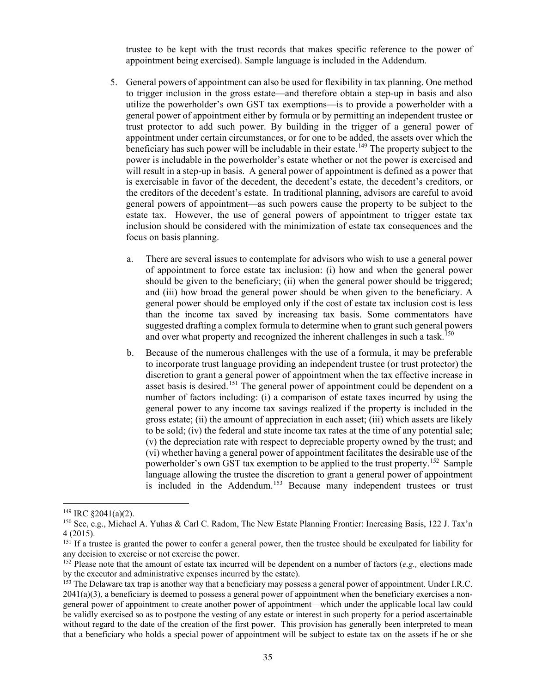trustee to be kept with the trust records that makes specific reference to the power of appointment being exercised). Sample language is included in the Addendum.

- 5. General powers of appointment can also be used for flexibility in tax planning. One method to trigger inclusion in the gross estate—and therefore obtain a step-up in basis and also utilize the powerholder's own GST tax exemptions—is to provide a powerholder with a general power of appointment either by formula or by permitting an independent trustee or trust protector to add such power. By building in the trigger of a general power of appointment under certain circumstances, or for one to be added, the assets over which the beneficiary has such power will be includable in their estate.<sup>[149](#page-38-0)</sup> The property subject to the power is includable in the powerholder's estate whether or not the power is exercised and will result in a step-up in basis. A general power of appointment is defined as a power that is exercisable in favor of the decedent, the decedent's estate, the decedent's creditors, or the creditors of the decedent's estate. In traditional planning, advisors are careful to avoid general powers of appointment—as such powers cause the property to be subject to the estate tax. However, the use of general powers of appointment to trigger estate tax inclusion should be considered with the minimization of estate tax consequences and the focus on basis planning.
	- a. There are several issues to contemplate for advisors who wish to use a general power of appointment to force estate tax inclusion: (i) how and when the general power should be given to the beneficiary; (ii) when the general power should be triggered; and (iii) how broad the general power should be when given to the beneficiary. A general power should be employed only if the cost of estate tax inclusion cost is less than the income tax saved by increasing tax basis. Some commentators have suggested drafting a complex formula to determine when to grant such general powers and over what property and recognized the inherent challenges in such a task.<sup>[150](#page-38-1)</sup>
	- b. Because of the numerous challenges with the use of a formula, it may be preferable to incorporate trust language providing an independent trustee (or trust protector) the discretion to grant a general power of appointment when the tax effective increase in asset basis is desired.<sup>[151](#page-38-2)</sup> The general power of appointment could be dependent on a number of factors including: (i) a comparison of estate taxes incurred by using the general power to any income tax savings realized if the property is included in the gross estate; (ii) the amount of appreciation in each asset; (iii) which assets are likely to be sold; (iv) the federal and state income tax rates at the time of any potential sale; (v) the depreciation rate with respect to depreciable property owned by the trust; and (vi) whether having a general power of appointment facilitates the desirable use of the powerholder's own GST tax exemption to be applied to the trust property.<sup>152</sup> Sample language allowing the trustee the discretion to grant a general power of appointment is included in the Addendum.<sup>[153](#page-38-4)</sup> Because many independent trustees or trust

<span id="page-38-0"></span> $149$  IRC  $$2041(a)(2)$ .

<span id="page-38-1"></span><sup>150</sup> See, e.g., Michael A. Yuhas & Carl C. Radom, The New Estate Planning Frontier: Increasing Basis, 122 J. Tax'n 4 (2015).

<span id="page-38-2"></span><sup>&</sup>lt;sup>151</sup> If a trustee is granted the power to confer a general power, then the trustee should be exculpated for liability for any decision to exercise or not exercise the power.

<span id="page-38-3"></span><sup>&</sup>lt;sup>152</sup> Please note that the amount of estate tax incurred will be dependent on a number of factors (*e.g.*, elections made by the executor and administrative expenses incurred by the estate).

<span id="page-38-4"></span><sup>&</sup>lt;sup>153</sup> The Delaware tax trap is another way that a beneficiary may possess a general power of appointment. Under I.R.C.  $2041(a)(3)$ , a beneficiary is deemed to possess a general power of appointment when the beneficiary exercises a nongeneral power of appointment to create another power of appointment—which under the applicable local law could be validly exercised so as to postpone the vesting of any estate or interest in such property for a period ascertainable without regard to the date of the creation of the first power. This provision has generally been interpreted to mean that a beneficiary who holds a special power of appointment will be subject to estate tax on the assets if he or she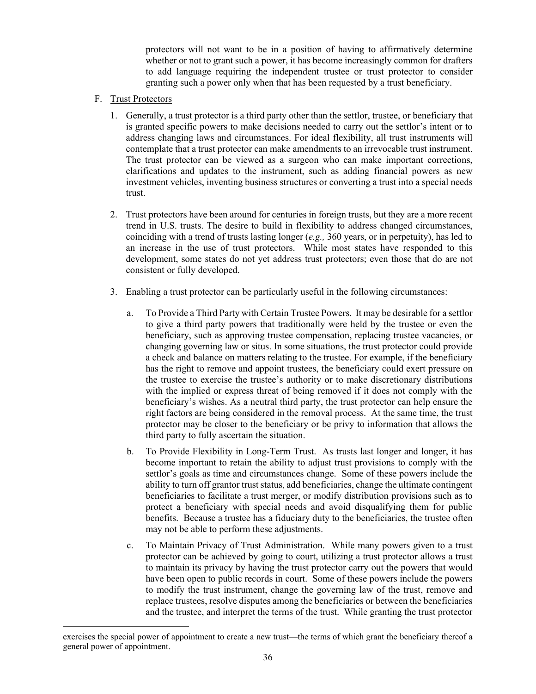protectors will not want to be in a position of having to affirmatively determine whether or not to grant such a power, it has become increasingly common for drafters to add language requiring the independent trustee or trust protector to consider granting such a power only when that has been requested by a trust beneficiary.

- F. Trust Protectors
	- 1. Generally, a trust protector is a third party other than the settlor, trustee, or beneficiary that is granted specific powers to make decisions needed to carry out the settlor's intent or to address changing laws and circumstances. For ideal flexibility, all trust instruments will contemplate that a trust protector can make amendments to an irrevocable trust instrument. The trust protector can be viewed as a surgeon who can make important corrections, clarifications and updates to the instrument, such as adding financial powers as new investment vehicles, inventing business structures or converting a trust into a special needs trust.
	- 2. Trust protectors have been around for centuries in foreign trusts, but they are a more recent trend in U.S. trusts. The desire to build in flexibility to address changed circumstances, coinciding with a trend of trusts lasting longer (*e.g.,* 360 years, or in perpetuity), has led to an increase in the use of trust protectors. While most states have responded to this development, some states do not yet address trust protectors; even those that do are not consistent or fully developed.
	- 3. Enabling a trust protector can be particularly useful in the following circumstances:
		- a. To Provide a Third Party with Certain Trustee Powers. It may be desirable for a settlor to give a third party powers that traditionally were held by the trustee or even the beneficiary, such as approving trustee compensation, replacing trustee vacancies, or changing governing law or situs. In some situations, the trust protector could provide a check and balance on matters relating to the trustee. For example, if the beneficiary has the right to remove and appoint trustees, the beneficiary could exert pressure on the trustee to exercise the trustee's authority or to make discretionary distributions with the implied or express threat of being removed if it does not comply with the beneficiary's wishes. As a neutral third party, the trust protector can help ensure the right factors are being considered in the removal process. At the same time, the trust protector may be closer to the beneficiary or be privy to information that allows the third party to fully ascertain the situation.
		- b. To Provide Flexibility in Long-Term Trust. As trusts last longer and longer, it has become important to retain the ability to adjust trust provisions to comply with the settlor's goals as time and circumstances change. Some of these powers include the ability to turn off grantor trust status, add beneficiaries, change the ultimate contingent beneficiaries to facilitate a trust merger, or modify distribution provisions such as to protect a beneficiary with special needs and avoid disqualifying them for public benefits. Because a trustee has a fiduciary duty to the beneficiaries, the trustee often may not be able to perform these adjustments.
		- c. To Maintain Privacy of Trust Administration. While many powers given to a trust protector can be achieved by going to court, utilizing a trust protector allows a trust to maintain its privacy by having the trust protector carry out the powers that would have been open to public records in court. Some of these powers include the powers to modify the trust instrument, change the governing law of the trust, remove and replace trustees, resolve disputes among the beneficiaries or between the beneficiaries and the trustee, and interpret the terms of the trust. While granting the trust protector

exercises the special power of appointment to create a new trust—the terms of which grant the beneficiary thereof a general power of appointment.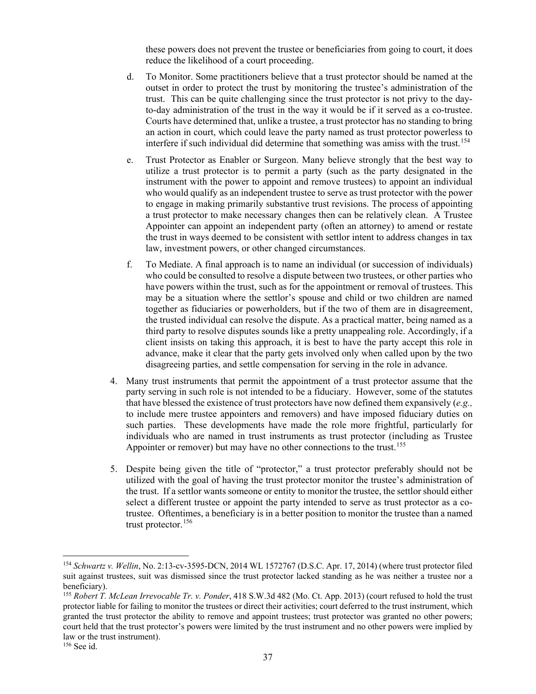these powers does not prevent the trustee or beneficiaries from going to court, it does reduce the likelihood of a court proceeding.

- d. To Monitor. Some practitioners believe that a trust protector should be named at the outset in order to protect the trust by monitoring the trustee's administration of the trust. This can be quite challenging since the trust protector is not privy to the dayto-day administration of the trust in the way it would be if it served as a co-trustee. Courts have determined that, unlike a trustee, a trust protector has no standing to bring an action in court, which could leave the party named as trust protector powerless to interfere if such individual did determine that something was amiss with the trust.<sup>[154](#page-40-0)</sup>
- e. Trust Protector as Enabler or Surgeon. Many believe strongly that the best way to utilize a trust protector is to permit a party (such as the party designated in the instrument with the power to appoint and remove trustees) to appoint an individual who would qualify as an independent trustee to serve as trust protector with the power to engage in making primarily substantive trust revisions. The process of appointing a trust protector to make necessary changes then can be relatively clean. A Trustee Appointer can appoint an independent party (often an attorney) to amend or restate the trust in ways deemed to be consistent with settlor intent to address changes in tax law, investment powers, or other changed circumstances.
- f. To Mediate. A final approach is to name an individual (or succession of individuals) who could be consulted to resolve a dispute between two trustees, or other parties who have powers within the trust, such as for the appointment or removal of trustees. This may be a situation where the settlor's spouse and child or two children are named together as fiduciaries or powerholders, but if the two of them are in disagreement, the trusted individual can resolve the dispute. As a practical matter, being named as a third party to resolve disputes sounds like a pretty unappealing role. Accordingly, if a client insists on taking this approach, it is best to have the party accept this role in advance, make it clear that the party gets involved only when called upon by the two disagreeing parties, and settle compensation for serving in the role in advance.
- 4. Many trust instruments that permit the appointment of a trust protector assume that the party serving in such role is not intended to be a fiduciary. However, some of the statutes that have blessed the existence of trust protectors have now defined them expansively (*e.g.,* to include mere trustee appointers and removers) and have imposed fiduciary duties on such parties. These developments have made the role more frightful, particularly for individuals who are named in trust instruments as trust protector (including as Trustee Appointer or remover) but may have no other connections to the trust.<sup>155</sup>
- 5. Despite being given the title of "protector," a trust protector preferably should not be utilized with the goal of having the trust protector monitor the trustee's administration of the trust. If a settlor wants someone or entity to monitor the trustee, the settlor should either select a different trustee or appoint the party intended to serve as trust protector as a cotrustee. Oftentimes, a beneficiary is in a better position to monitor the trustee than a named trust protector.<sup>[156](#page-40-2)</sup>

<span id="page-40-0"></span><sup>154</sup> *Schwartz v. Wellin*, No. 2:13-cv-3595-DCN, 2014 WL 1572767 (D.S.C. Apr. 17, 2014) (where trust protector filed suit against trustees, suit was dismissed since the trust protector lacked standing as he was neither a trustee nor a beneficiary).

<span id="page-40-1"></span><sup>155</sup> *Robert T. McLean Irrevocable Tr. v. Ponder*, 418 S.W.3d 482 (Mo. Ct. App. 2013) (court refused to hold the trust protector liable for failing to monitor the trustees or direct their activities; court deferred to the trust instrument, which granted the trust protector the ability to remove and appoint trustees; trust protector was granted no other powers; court held that the trust protector's powers were limited by the trust instrument and no other powers were implied by law or the trust instrument).

<span id="page-40-2"></span><sup>156</sup> See id.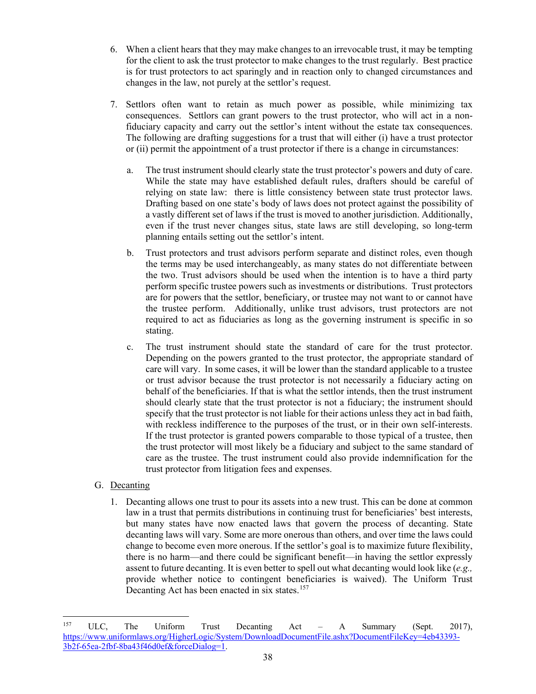- 6. When a client hears that they may make changes to an irrevocable trust, it may be tempting for the client to ask the trust protector to make changes to the trust regularly. Best practice is for trust protectors to act sparingly and in reaction only to changed circumstances and changes in the law, not purely at the settlor's request.
- 7. Settlors often want to retain as much power as possible, while minimizing tax consequences. Settlors can grant powers to the trust protector, who will act in a nonfiduciary capacity and carry out the settlor's intent without the estate tax consequences. The following are drafting suggestions for a trust that will either (i) have a trust protector or (ii) permit the appointment of a trust protector if there is a change in circumstances:
	- a. The trust instrument should clearly state the trust protector's powers and duty of care. While the state may have established default rules, drafters should be careful of relying on state law: there is little consistency between state trust protector laws. Drafting based on one state's body of laws does not protect against the possibility of a vastly different set of laws if the trust is moved to another jurisdiction. Additionally, even if the trust never changes situs, state laws are still developing, so long-term planning entails setting out the settlor's intent.
	- b. Trust protectors and trust advisors perform separate and distinct roles, even though the terms may be used interchangeably, as many states do not differentiate between the two. Trust advisors should be used when the intention is to have a third party perform specific trustee powers such as investments or distributions. Trust protectors are for powers that the settlor, beneficiary, or trustee may not want to or cannot have the trustee perform. Additionally, unlike trust advisors, trust protectors are not required to act as fiduciaries as long as the governing instrument is specific in so stating.
	- c. The trust instrument should state the standard of care for the trust protector. Depending on the powers granted to the trust protector, the appropriate standard of care will vary. In some cases, it will be lower than the standard applicable to a trustee or trust advisor because the trust protector is not necessarily a fiduciary acting on behalf of the beneficiaries. If that is what the settlor intends, then the trust instrument should clearly state that the trust protector is not a fiduciary; the instrument should specify that the trust protector is not liable for their actions unless they act in bad faith, with reckless indifference to the purposes of the trust, or in their own self-interests. If the trust protector is granted powers comparable to those typical of a trustee, then the trust protector will most likely be a fiduciary and subject to the same standard of care as the trustee. The trust instrument could also provide indemnification for the trust protector from litigation fees and expenses.
- G. Decanting
	- 1. Decanting allows one trust to pour its assets into a new trust. This can be done at common law in a trust that permits distributions in continuing trust for beneficiaries' best interests, but many states have now enacted laws that govern the process of decanting. State decanting laws will vary. Some are more onerous than others, and over time the laws could change to become even more onerous. If the settlor's goal is to maximize future flexibility, there is no harm—and there could be significant benefit—in having the settlor expressly assent to future decanting. It is even better to spell out what decanting would look like (*e.g.,* provide whether notice to contingent beneficiaries is waived). The Uniform Trust Decanting Act has been enacted in six states.<sup>[157](#page-41-0)</sup>

<span id="page-41-0"></span><sup>&</sup>lt;sup>157</sup> ULC, The Uniform Trust Decanting Act – A Summary (Sept. 2017), [https://www.uniformlaws.org/HigherLogic/System/DownloadDocumentFile.ashx?DocumentFileKey=4eb43393-](https://www.uniformlaws.org/HigherLogic/System/DownloadDocumentFile.ashx?DocumentFileKey=4eb43393-3b2f-65ea-2fbf-8ba43f46d0ef&forceDialog=1) [3b2f-65ea-2fbf-8ba43f46d0ef&forceDialog=1.](https://www.uniformlaws.org/HigherLogic/System/DownloadDocumentFile.ashx?DocumentFileKey=4eb43393-3b2f-65ea-2fbf-8ba43f46d0ef&forceDialog=1)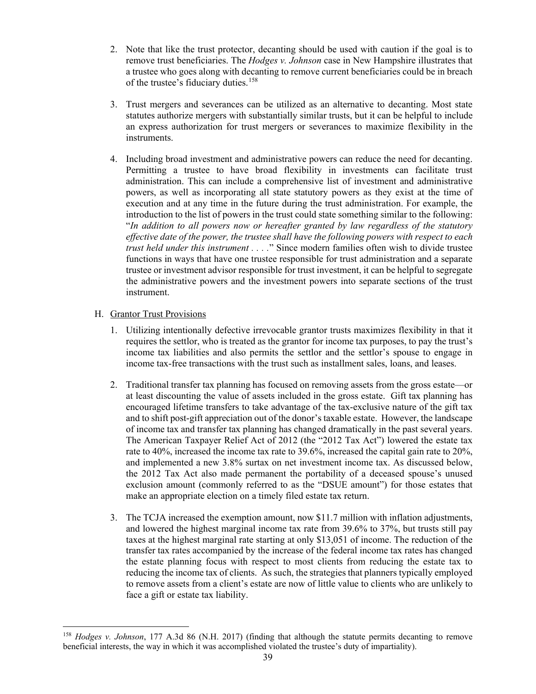- 2. Note that like the trust protector, decanting should be used with caution if the goal is to remove trust beneficiaries. The *Hodges v. Johnson* case in New Hampshire illustrates that a trustee who goes along with decanting to remove current beneficiaries could be in breach of the trustee's fiduciary duties.<sup>[158](#page-42-0)</sup>
- 3. Trust mergers and severances can be utilized as an alternative to decanting. Most state statutes authorize mergers with substantially similar trusts, but it can be helpful to include an express authorization for trust mergers or severances to maximize flexibility in the instruments.
- 4. Including broad investment and administrative powers can reduce the need for decanting. Permitting a trustee to have broad flexibility in investments can facilitate trust administration. This can include a comprehensive list of investment and administrative powers, as well as incorporating all state statutory powers as they exist at the time of execution and at any time in the future during the trust administration. For example, the introduction to the list of powers in the trust could state something similar to the following: "*In addition to all powers now or hereafter granted by law regardless of the statutory effective date of the power, the trustee shall have the following powers with respect to each trust held under this instrument . . . .*" Since modern families often wish to divide trustee functions in ways that have one trustee responsible for trust administration and a separate trustee or investment advisor responsible for trust investment, it can be helpful to segregate the administrative powers and the investment powers into separate sections of the trust instrument.

# H. Grantor Trust Provisions

- 1. Utilizing intentionally defective irrevocable grantor trusts maximizes flexibility in that it requires the settlor, who is treated as the grantor for income tax purposes, to pay the trust's income tax liabilities and also permits the settlor and the settlor's spouse to engage in income tax-free transactions with the trust such as installment sales, loans, and leases.
- 2. Traditional transfer tax planning has focused on removing assets from the gross estate—or at least discounting the value of assets included in the gross estate. Gift tax planning has encouraged lifetime transfers to take advantage of the tax-exclusive nature of the gift tax and to shift post-gift appreciation out of the donor's taxable estate. However, the landscape of income tax and transfer tax planning has changed dramatically in the past several years. The American Taxpayer Relief Act of 2012 (the "2012 Tax Act") lowered the estate tax rate to 40%, increased the income tax rate to 39.6%, increased the capital gain rate to 20%, and implemented a new 3.8% surtax on net investment income tax. As discussed below, the 2012 Tax Act also made permanent the portability of a deceased spouse's unused exclusion amount (commonly referred to as the "DSUE amount") for those estates that make an appropriate election on a timely filed estate tax return.
- 3. The TCJA increased the exemption amount, now \$11.7 million with inflation adjustments, and lowered the highest marginal income tax rate from 39.6% to 37%, but trusts still pay taxes at the highest marginal rate starting at only \$13,051 of income. The reduction of the transfer tax rates accompanied by the increase of the federal income tax rates has changed the estate planning focus with respect to most clients from reducing the estate tax to reducing the income tax of clients. As such, the strategies that planners typically employed to remove assets from a client's estate are now of little value to clients who are unlikely to face a gift or estate tax liability.

<span id="page-42-0"></span><sup>158</sup> *Hodges v. Johnson*, 177 A.3d 86 (N.H. 2017) (finding that although the statute permits decanting to remove beneficial interests, the way in which it was accomplished violated the trustee's duty of impartiality).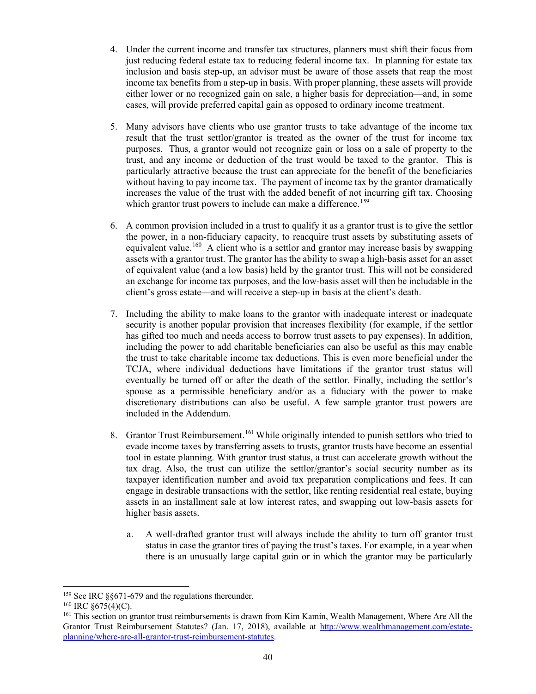- 4. Under the current income and transfer tax structures, planners must shift their focus from just reducing federal estate tax to reducing federal income tax. In planning for estate tax inclusion and basis step-up, an advisor must be aware of those assets that reap the most income tax benefits from a step-up in basis. With proper planning, these assets will provide either lower or no recognized gain on sale, a higher basis for depreciation—and, in some cases, will provide preferred capital gain as opposed to ordinary income treatment.
- 5. Many advisors have clients who use grantor trusts to take advantage of the income tax result that the trust settlor/grantor is treated as the owner of the trust for income tax purposes. Thus, a grantor would not recognize gain or loss on a sale of property to the trust, and any income or deduction of the trust would be taxed to the grantor. This is particularly attractive because the trust can appreciate for the benefit of the beneficiaries without having to pay income tax. The payment of income tax by the grantor dramatically increases the value of the trust with the added benefit of not incurring gift tax. Choosing which grantor trust powers to include can make a difference.<sup>[159](#page-43-0)</sup>
- 6. A common provision included in a trust to qualify it as a grantor trust is to give the settlor the power, in a non-fiduciary capacity, to reacquire trust assets by substituting assets of equivalent value.<sup>[160](#page-43-1)</sup> A client who is a settlor and grantor may increase basis by swapping assets with a grantor trust. The grantor has the ability to swap a high-basis asset for an asset of equivalent value (and a low basis) held by the grantor trust. This will not be considered an exchange for income tax purposes, and the low-basis asset will then be includable in the client's gross estate—and will receive a step-up in basis at the client's death.
- 7. Including the ability to make loans to the grantor with inadequate interest or inadequate security is another popular provision that increases flexibility (for example, if the settlor has gifted too much and needs access to borrow trust assets to pay expenses). In addition, including the power to add charitable beneficiaries can also be useful as this may enable the trust to take charitable income tax deductions. This is even more beneficial under the TCJA, where individual deductions have limitations if the grantor trust status will eventually be turned off or after the death of the settlor. Finally, including the settlor's spouse as a permissible beneficiary and/or as a fiduciary with the power to make discretionary distributions can also be useful. A few sample grantor trust powers are included in the Addendum.
- 8. Grantor Trust Reimbursement.<sup>[161](#page-43-2)</sup> While originally intended to punish settlors who tried to evade income taxes by transferring assets to trusts, grantor trusts have become an essential tool in estate planning. With grantor trust status, a trust can accelerate growth without the tax drag. Also, the trust can utilize the settlor/grantor's social security number as its taxpayer identification number and avoid tax preparation complications and fees. It can engage in desirable transactions with the settlor, like renting residential real estate, buying assets in an installment sale at low interest rates, and swapping out low-basis assets for higher basis assets.
	- a. A well-drafted grantor trust will always include the ability to turn off grantor trust status in case the grantor tires of paying the trust's taxes. For example, in a year when there is an unusually large capital gain or in which the grantor may be particularly

<span id="page-43-0"></span><sup>&</sup>lt;sup>159</sup> See IRC §§671-679 and the regulations thereunder.

<span id="page-43-1"></span><sup>&</sup>lt;sup>160</sup> IRC §675(4)(C).

<span id="page-43-2"></span><sup>&</sup>lt;sup>161</sup> This section on grantor trust reimbursements is drawn from Kim Kamin, Wealth Management, Where Are All the Grantor Trust Reimbursement Statutes? (Jan. 17, 2018), available at [http://www.wealthmanagement.com/estate](http://www.wealthmanagement.com/estate-planning/where-are-all-grantor-trust-reimbursement-statutes)[planning/where-are-all-grantor-trust-reimbursement-statutes.](http://www.wealthmanagement.com/estate-planning/where-are-all-grantor-trust-reimbursement-statutes)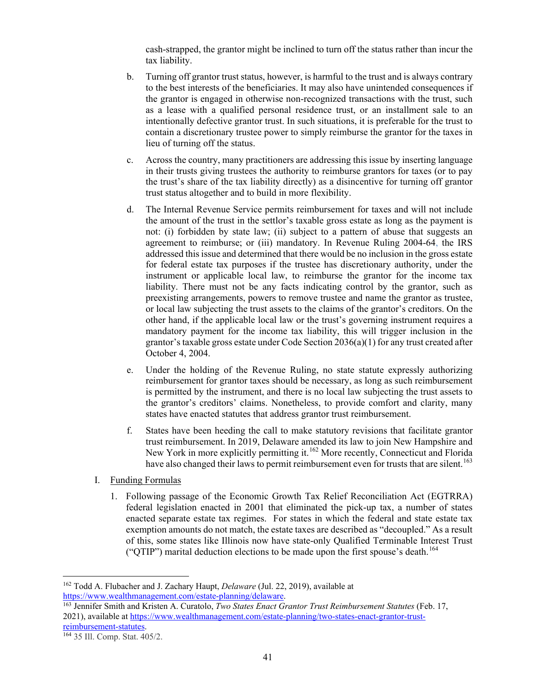cash-strapped, the grantor might be inclined to turn off the status rather than incur the tax liability.

- b. Turning off grantor trust status, however, is harmful to the trust and is always contrary to the best interests of the beneficiaries. It may also have unintended consequences if the grantor is engaged in otherwise non-recognized transactions with the trust, such as a lease with a qualified personal residence trust, or an installment sale to an intentionally defective grantor trust. In such situations, it is preferable for the trust to contain a discretionary trustee power to simply reimburse the grantor for the taxes in lieu of turning off the status.
- c. Across the country, many practitioners are addressing this issue by inserting language in their trusts giving trustees the authority to reimburse grantors for taxes (or to pay the trust's share of the tax liability directly) as a disincentive for turning off grantor trust status altogether and to build in more flexibility.
- d. The Internal Revenue Service permits reimbursement for taxes and will not include the amount of the trust in the settlor's taxable gross estate as long as the payment is not: (i) forbidden by state law; (ii) subject to a pattern of abuse that suggests an agreement to reimburse; or (iii) mandatory. In [Revenue Ruling 2004-64,](https://www.irs.gov/irb/2004-27_IRB) the IRS addressed this issue and determined that there would be no inclusion in the gross estate for federal estate tax purposes if the trustee has discretionary authority, under the instrument or applicable local law, to reimburse the grantor for the income tax liability. There must not be any facts indicating control by the grantor, such as preexisting arrangements, powers to remove trustee and name the grantor as trustee, or local law subjecting the trust assets to the claims of the grantor's creditors. On the other hand, if the applicable local law or the trust's governing instrument requires a mandatory payment for the income tax liability, this will trigger inclusion in the grantor's taxable gross estate under Code Section 2036(a)(1) for any trust created after October 4, 2004.
- e. Under the holding of the Revenue Ruling, no state statute expressly authorizing reimbursement for grantor taxes should be necessary, as long as such reimbursement is permitted by the instrument, and there is no local law subjecting the trust assets to the grantor's creditors' claims. Nonetheless, to provide comfort and clarity, many states have enacted statutes that address grantor trust reimbursement.
- f. States have been heeding the call to make statutory revisions that facilitate grantor trust reimbursement. In 2019, Delaware amended its law to join New Hampshire and New York in more explicitly permitting it.<sup>[162](#page-44-0)</sup> More recently, Connecticut and Florida have also changed their laws to permit reimbursement even for trusts that are silent.<sup>[163](#page-44-1)</sup>
- I. Funding Formulas
	- 1. Following passage of the Economic Growth Tax Relief Reconciliation Act (EGTRRA) federal legislation enacted in 2001 that eliminated the pick-up tax, a number of states enacted separate estate tax regimes. For states in which the federal and state estate tax exemption amounts do not match, the estate taxes are described as "decoupled." As a result of this, some states like Illinois now have state-only Qualified Terminable Interest Trust ("QTIP") marital deduction elections to be made upon the first spouse's death.<sup>164</sup>

<span id="page-44-1"></span><sup>163</sup> Jennifer Smith and Kristen A. Curatolo, *Two States Enact Grantor Trust Reimbursement Statutes* (Feb. 17, 2021), available at https://www.wealthmanagement.com/estate-planning/two-states-enact-grantor-trust-<br>reimbursement-statutes.

<span id="page-44-0"></span><sup>&</sup>lt;sup>162</sup> Todd A. Flubacher and J. Zachary Haupt, *Delaware* (Jul. 22, 2019), available at https://www.wealthmanagement.com/estate-planning/delaware.

<span id="page-44-2"></span><sup>164 35</sup> Ill. Comp. Stat. 405/2.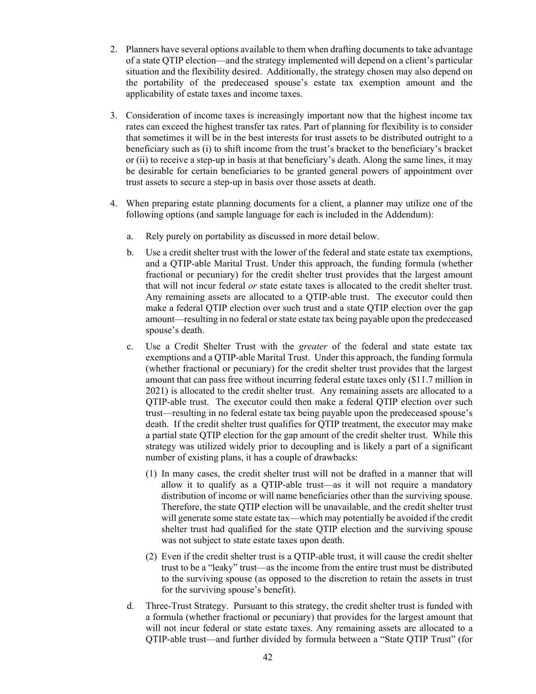- 2. Planners have several options available to them when drafting documents to take advantage of a state QTIP election—and the strategy implemented will depend on a client's particular situation and the flexibility desired. Additionally, the strategy chosen may also depend on the portability of the predeceased spouse's estate tax exemption amount and the applicability of estate taxes and income taxes.
- 3. Consideration of income taxes is increasingly important now that the highest income tax rates can exceed the highest transfer tax rates. Part of planning for flexibility is to consider that sometimes it will be in the best interests for trust assets to be distributed outright to a beneficiary such as (i) to shift income from the trust's bracket to the beneficiary's bracket or (ii) to receive a step-up in basis at that beneficiary's death. Along the same lines, it may be desirable for certain beneficiaries to be granted general powers of appointment over trust assets to secure a step-up in basis over those assets at death.
- 4. When preparing estate planning documents for a client, a planner may utilize one of the following options (and sample language for each is included in the Addendum):
	- a. Rely purely on portability as discussed in more detail below.
	- b. Use a credit shelter trust with the lower of the federal and state estate tax exemptions, and a QTIP-able Marital Trust. Under this approach, the funding formula (whether fractional or pecuniary) for the credit shelter trust provides that the largest amount that will not incur federal *or* state estate taxes is allocated to the credit shelter trust. Any remaining assets are allocated to a QTIP-able trust. The executor could then make a federal QTIP election over such trust and a state QTIP election over the gap amount—resulting in no federal or state estate tax being payable upon the predeceased spouse's death.
	- c. Use a Credit Shelter Trust with the *greater* of the federal and state estate tax exemptions and a QTIP-able Marital Trust. Under this approach, the funding formula (whether fractional or pecuniary) for the credit shelter trust provides that the largest amount that can pass free without incurring federal estate taxes only (\$11.7 million in 2021) is allocated to the credit shelter trust. Any remaining assets are allocated to a QTIP-able trust. The executor could then make a federal QTIP election over such trust—resulting in no federal estate tax being payable upon the predeceased spouse's death. If the credit shelter trust qualifies for QTIP treatment, the executor may make a partial state QTIP election for the gap amount of the credit shelter trust. While this strategy was utilized widely prior to decoupling and is likely a part of a significant number of existing plans, it has a couple of drawbacks:
		- (1) In many cases, the credit shelter trust will not be drafted in a manner that will allow it to qualify as a QTIP-able trust—as it will not require a mandatory distribution of income or will name beneficiaries other than the surviving spouse. Therefore, the state QTIP election will be unavailable, and the credit shelter trust will generate some state estate tax—which may potentially be avoided if the credit shelter trust had qualified for the state QTIP election and the surviving spouse was not subject to state estate taxes upon death.
		- (2) Even if the credit shelter trust is a QTIP-able trust, it will cause the credit shelter trust to be a "leaky" trust—as the income from the entire trust must be distributed to the surviving spouse (as opposed to the discretion to retain the assets in trust for the surviving spouse's benefit).
	- d. Three-Trust Strategy. Pursuant to this strategy, the credit shelter trust is funded with a formula (whether fractional or pecuniary) that provides for the largest amount that will not incur federal or state estate taxes. Any remaining assets are allocated to a QTIP-able trust—and further divided by formula between a "State QTIP Trust" (for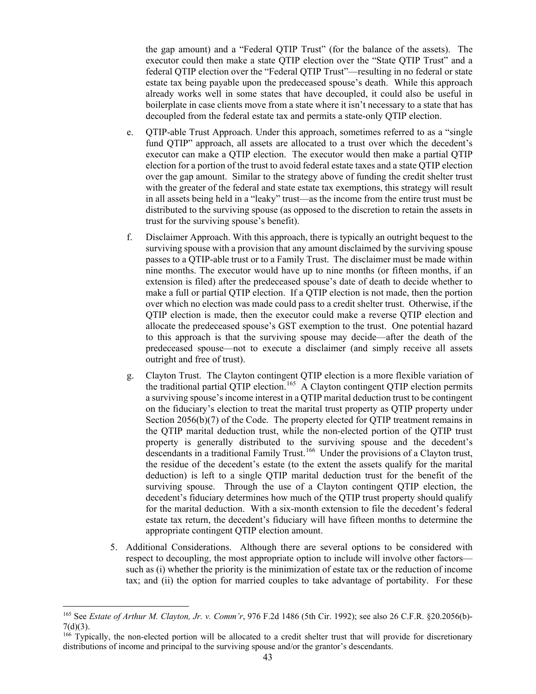the gap amount) and a "Federal QTIP Trust" (for the balance of the assets). The executor could then make a state QTIP election over the "State QTIP Trust" and a federal QTIP election over the "Federal QTIP Trust"—resulting in no federal or state estate tax being payable upon the predeceased spouse's death. While this approach already works well in some states that have decoupled, it could also be useful in boilerplate in case clients move from a state where it isn't necessary to a state that has decoupled from the federal estate tax and permits a state-only QTIP election.

- e. QTIP-able Trust Approach. Under this approach, sometimes referred to as a "single fund QTIP" approach, all assets are allocated to a trust over which the decedent's executor can make a QTIP election. The executor would then make a partial QTIP election for a portion of the trust to avoid federal estate taxes and a state QTIP election over the gap amount. Similar to the strategy above of funding the credit shelter trust with the greater of the federal and state estate tax exemptions, this strategy will result in all assets being held in a "leaky" trust—as the income from the entire trust must be distributed to the surviving spouse (as opposed to the discretion to retain the assets in trust for the surviving spouse's benefit).
- f. Disclaimer Approach. With this approach, there is typically an outright bequest to the surviving spouse with a provision that any amount disclaimed by the surviving spouse passes to a QTIP-able trust or to a Family Trust. The disclaimer must be made within nine months. The executor would have up to nine months (or fifteen months, if an extension is filed) after the predeceased spouse's date of death to decide whether to make a full or partial QTIP election. If a QTIP election is not made, then the portion over which no election was made could pass to a credit shelter trust. Otherwise, if the QTIP election is made, then the executor could make a reverse QTIP election and allocate the predeceased spouse's GST exemption to the trust. One potential hazard to this approach is that the surviving spouse may decide—after the death of the predeceased spouse—not to execute a disclaimer (and simply receive all assets outright and free of trust).
- g. Clayton Trust. The Clayton contingent QTIP election is a more flexible variation of the traditional partial QTIP election.<sup>[165](#page-46-0)</sup> A Clayton contingent QTIP election permits a surviving spouse's income interest in a QTIP marital deduction trust to be contingent on the fiduciary's election to treat the marital trust property as QTIP property under Section 2056(b)(7) of the Code. The property elected for QTIP treatment remains in the QTIP marital deduction trust, while the non-elected portion of the QTIP trust property is generally distributed to the surviving spouse and the decedent's descendants in a traditional Family Trust.<sup>[166](#page-46-1)</sup> Under the provisions of a Clayton trust, the residue of the decedent's estate (to the extent the assets qualify for the marital deduction) is left to a single QTIP marital deduction trust for the benefit of the surviving spouse. Through the use of a Clayton contingent QTIP election, the decedent's fiduciary determines how much of the QTIP trust property should qualify for the marital deduction. With a six-month extension to file the decedent's federal estate tax return, the decedent's fiduciary will have fifteen months to determine the appropriate contingent QTIP election amount.
- 5. Additional Considerations. Although there are several options to be considered with respect to decoupling, the most appropriate option to include will involve other factors such as (i) whether the priority is the minimization of estate tax or the reduction of income tax; and (ii) the option for married couples to take advantage of portability. For these

<span id="page-46-0"></span><sup>165</sup> See *Estate of Arthur M. Clayton, Jr. v. Comm'r*, 976 F.2d 1486 (5th Cir. 1992); see also 26 C.F.R. §20.2056(b)-  $7(d)(3)$ .

<span id="page-46-1"></span><sup>&</sup>lt;sup>166</sup> Typically, the non-elected portion will be allocated to a credit shelter trust that will provide for discretionary distributions of income and principal to the surviving spouse and/or the grantor's descendants.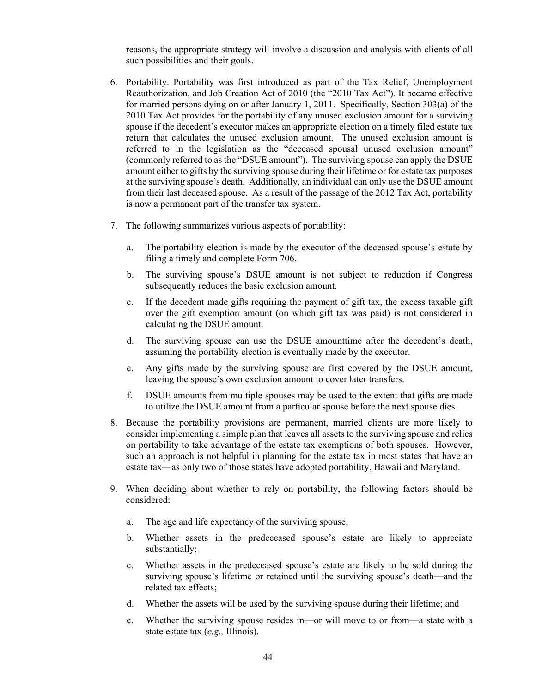reasons, the appropriate strategy will involve a discussion and analysis with clients of all such possibilities and their goals.

- 6. Portability. Portability was first introduced as part of the Tax Relief, Unemployment Reauthorization, and Job Creation Act of 2010 (the "2010 Tax Act"). It became effective for married persons dying on or after January 1, 2011. Specifically, Section 303(a) of the 2010 Tax Act provides for the portability of any unused exclusion amount for a surviving spouse if the decedent's executor makes an appropriate election on a timely filed estate tax return that calculates the unused exclusion amount. The unused exclusion amount is referred to in the legislation as the "deceased spousal unused exclusion amount" (commonly referred to as the "DSUE amount"). The surviving spouse can apply the DSUE amount either to gifts by the surviving spouse during their lifetime or for estate tax purposes at the surviving spouse's death. Additionally, an individual can only use the DSUE amount from their last deceased spouse. As a result of the passage of the 2012 Tax Act, portability is now a permanent part of the transfer tax system.
- 7. The following summarizes various aspects of portability:
	- a. The portability election is made by the executor of the deceased spouse's estate by filing a timely and complete Form 706.
	- b. The surviving spouse's DSUE amount is not subject to reduction if Congress subsequently reduces the basic exclusion amount.
	- c. If the decedent made gifts requiring the payment of gift tax, the excess taxable gift over the gift exemption amount (on which gift tax was paid) is not considered in calculating the DSUE amount.
	- d. The surviving spouse can use the DSUE amounttime after the decedent's death, assuming the portability election is eventually made by the executor.
	- e. Any gifts made by the surviving spouse are first covered by the DSUE amount, leaving the spouse's own exclusion amount to cover later transfers.
	- f. DSUE amounts from multiple spouses may be used to the extent that gifts are made to utilize the DSUE amount from a particular spouse before the next spouse dies.
- 8. Because the portability provisions are permanent, married clients are more likely to consider implementing a simple plan that leaves all assets to the surviving spouse and relies on portability to take advantage of the estate tax exemptions of both spouses. However, such an approach is not helpful in planning for the estate tax in most states that have an estate tax—as only two of those states have adopted portability, Hawaii and Maryland.
- 9. When deciding about whether to rely on portability, the following factors should be considered:
	- a. The age and life expectancy of the surviving spouse;
	- b. Whether assets in the predeceased spouse's estate are likely to appreciate substantially;
	- c. Whether assets in the predeceased spouse's estate are likely to be sold during the surviving spouse's lifetime or retained until the surviving spouse's death—and the related tax effects;
	- d. Whether the assets will be used by the surviving spouse during their lifetime; and
	- e. Whether the surviving spouse resides in—or will move to or from—a state with a state estate tax (*e.g.,* Illinois).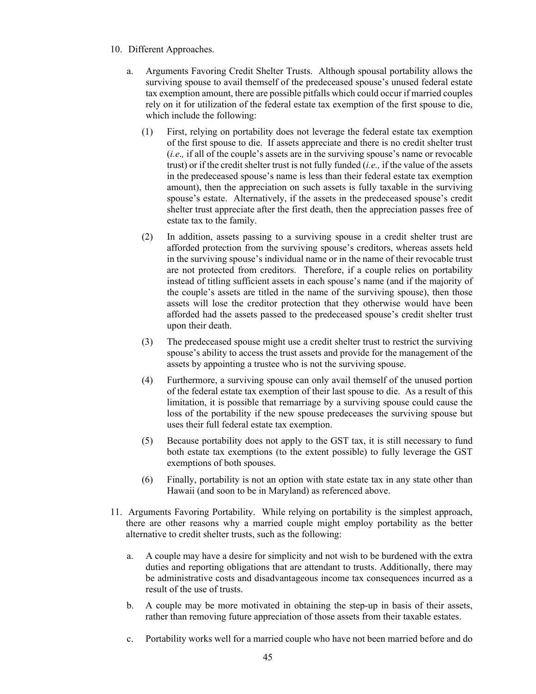- 10. Different Approaches.
	- a. Arguments Favoring Credit Shelter Trusts. Although spousal portability allows the surviving spouse to avail themself of the predeceased spouse's unused federal estate tax exemption amount, there are possible pitfalls which could occur if married couples rely on it for utilization of the federal estate tax exemption of the first spouse to die, which include the following:
		- (1) First, relying on portability does not leverage the federal estate tax exemption of the first spouse to die. If assets appreciate and there is no credit shelter trust (*i.e*.*,* if all of the couple's assets are in the surviving spouse's name or revocable trust) or if the credit shelter trust is not fully funded (*i.e.,* if the value of the assets in the predeceased spouse's name is less than their federal estate tax exemption amount), then the appreciation on such assets is fully taxable in the surviving spouse's estate. Alternatively, if the assets in the predeceased spouse's credit shelter trust appreciate after the first death, then the appreciation passes free of estate tax to the family.
		- (2) In addition, assets passing to a surviving spouse in a credit shelter trust are afforded protection from the surviving spouse's creditors, whereas assets held in the surviving spouse's individual name or in the name of their revocable trust are not protected from creditors. Therefore, if a couple relies on portability instead of titling sufficient assets in each spouse's name (and if the majority of the couple's assets are titled in the name of the surviving spouse), then those assets will lose the creditor protection that they otherwise would have been afforded had the assets passed to the predeceased spouse's credit shelter trust upon their death.
		- (3) The predeceased spouse might use a credit shelter trust to restrict the surviving spouse's ability to access the trust assets and provide for the management of the assets by appointing a trustee who is not the surviving spouse.
		- (4) Furthermore, a surviving spouse can only avail themself of the unused portion of the federal estate tax exemption of their last spouse to die. As a result of this limitation, it is possible that remarriage by a surviving spouse could cause the loss of the portability if the new spouse predeceases the surviving spouse but uses their full federal estate tax exemption.
		- (5) Because portability does not apply to the GST tax, it is still necessary to fund both estate tax exemptions (to the extent possible) to fully leverage the GST exemptions of both spouses.
		- (6) Finally, portability is not an option with state estate tax in any state other than Hawaii (and soon to be in Maryland) as referenced above.
- 11. Arguments Favoring Portability. While relying on portability is the simplest approach, there are other reasons why a married couple might employ portability as the better alternative to credit shelter trusts, such as the following:
	- a. A couple may have a desire for simplicity and not wish to be burdened with the extra duties and reporting obligations that are attendant to trusts. Additionally, there may be administrative costs and disadvantageous income tax consequences incurred as a result of the use of trusts.
	- b. A couple may be more motivated in obtaining the step-up in basis of their assets, rather than removing future appreciation of those assets from their taxable estates.
	- c. Portability works well for a married couple who have not been married before and do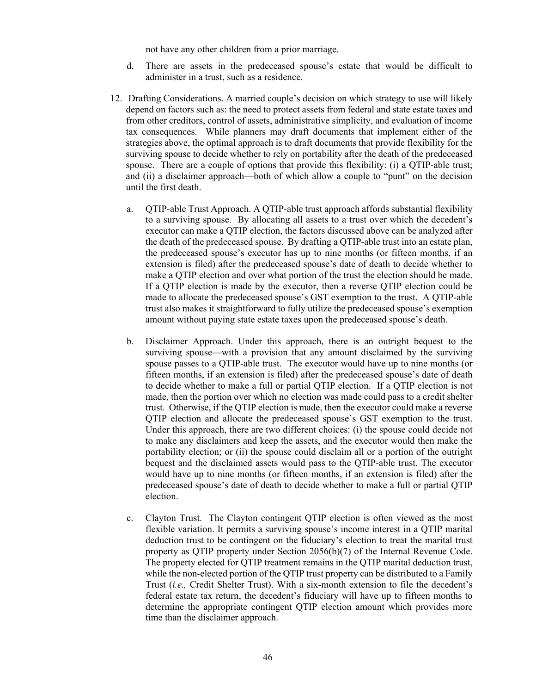not have any other children from a prior marriage.

- d. There are assets in the predeceased spouse's estate that would be difficult to administer in a trust, such as a residence.
- 12. Drafting Considerations. A married couple's decision on which strategy to use will likely depend on factors such as: the need to protect assets from federal and state estate taxes and from other creditors, control of assets, administrative simplicity, and evaluation of income tax consequences. While planners may draft documents that implement either of the strategies above, the optimal approach is to draft documents that provide flexibility for the surviving spouse to decide whether to rely on portability after the death of the predeceased spouse. There are a couple of options that provide this flexibility: (i) a QTIP-able trust; and (ii) a disclaimer approach—both of which allow a couple to "punt" on the decision until the first death.
	- a. QTIP-able Trust Approach. A QTIP-able trust approach affords substantial flexibility to a surviving spouse. By allocating all assets to a trust over which the decedent's executor can make a QTIP election, the factors discussed above can be analyzed after the death of the predeceased spouse. By drafting a QTIP-able trust into an estate plan, the predeceased spouse's executor has up to nine months (or fifteen months, if an extension is filed) after the predeceased spouse's date of death to decide whether to make a QTIP election and over what portion of the trust the election should be made. If a QTIP election is made by the executor, then a reverse QTIP election could be made to allocate the predeceased spouse's GST exemption to the trust. A QTIP-able trust also makes it straightforward to fully utilize the predeceased spouse's exemption amount without paying state estate taxes upon the predeceased spouse's death.
	- b. Disclaimer Approach. Under this approach, there is an outright bequest to the surviving spouse—with a provision that any amount disclaimed by the surviving spouse passes to a QTIP-able trust. The executor would have up to nine months (or fifteen months, if an extension is filed) after the predeceased spouse's date of death to decide whether to make a full or partial QTIP election. If a QTIP election is not made, then the portion over which no election was made could pass to a credit shelter trust. Otherwise, if the QTIP election is made, then the executor could make a reverse QTIP election and allocate the predeceased spouse's GST exemption to the trust. Under this approach, there are two different choices: (i) the spouse could decide not to make any disclaimers and keep the assets, and the executor would then make the portability election; or (ii) the spouse could disclaim all or a portion of the outright bequest and the disclaimed assets would pass to the QTIP-able trust. The executor would have up to nine months (or fifteen months, if an extension is filed) after the predeceased spouse's date of death to decide whether to make a full or partial QTIP election.
	- c. Clayton Trust. The Clayton contingent QTIP election is often viewed as the most flexible variation. It permits a surviving spouse's income interest in a QTIP marital deduction trust to be contingent on the fiduciary's election to treat the marital trust property as QTIP property under Section 2056(b)(7) of the Internal Revenue Code. The property elected for QTIP treatment remains in the QTIP marital deduction trust, while the non-elected portion of the QTIP trust property can be distributed to a Family Trust (*i.e.,* Credit Shelter Trust). With a six-month extension to file the decedent's federal estate tax return, the decedent's fiduciary will have up to fifteen months to determine the appropriate contingent QTIP election amount which provides more time than the disclaimer approach.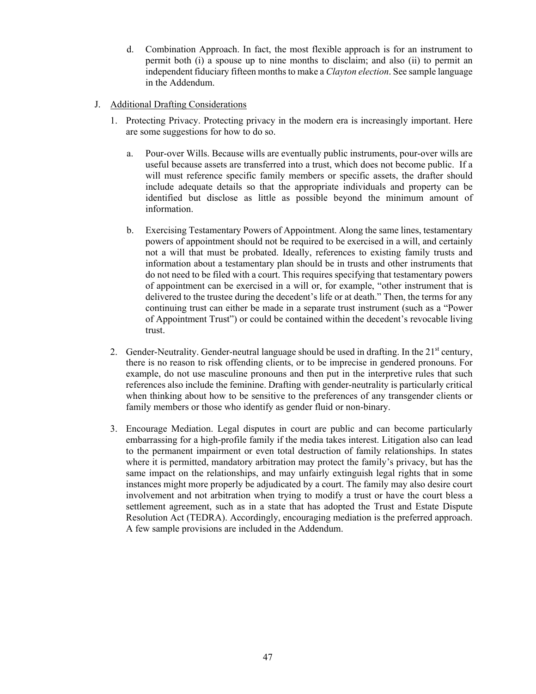- d. Combination Approach. In fact, the most flexible approach is for an instrument to permit both (i) a spouse up to nine months to disclaim; and also (ii) to permit an independent fiduciary fifteen months to make a *Clayton election*. See sample language in the Addendum.
- J. Additional Drafting Considerations
	- 1. Protecting Privacy. Protecting privacy in the modern era is increasingly important. Here are some suggestions for how to do so.
		- a. Pour-over Wills. Because wills are eventually public instruments, pour-over wills are useful because assets are transferred into a trust, which does not become public. If a will must reference specific family members or specific assets, the drafter should include adequate details so that the appropriate individuals and property can be identified but disclose as little as possible beyond the minimum amount of information.
		- b. Exercising Testamentary Powers of Appointment. Along the same lines, testamentary powers of appointment should not be required to be exercised in a will, and certainly not a will that must be probated. Ideally, references to existing family trusts and information about a testamentary plan should be in trusts and other instruments that do not need to be filed with a court. This requires specifying that testamentary powers of appointment can be exercised in a will or, for example, "other instrument that is delivered to the trustee during the decedent's life or at death." Then, the terms for any continuing trust can either be made in a separate trust instrument (such as a "Power of Appointment Trust") or could be contained within the decedent's revocable living trust.
	- 2. Gender-Neutrality. Gender-neutral language should be used in drafting. In the 21<sup>st</sup> century, there is no reason to risk offending clients, or to be imprecise in gendered pronouns. For example, do not use masculine pronouns and then put in the interpretive rules that such references also include the feminine. Drafting with gender-neutrality is particularly critical when thinking about how to be sensitive to the preferences of any transgender clients or family members or those who identify as gender fluid or non-binary.
	- 3. Encourage Mediation. Legal disputes in court are public and can become particularly embarrassing for a high-profile family if the media takes interest. Litigation also can lead to the permanent impairment or even total destruction of family relationships. In states where it is permitted, mandatory arbitration may protect the family's privacy, but has the same impact on the relationships, and may unfairly extinguish legal rights that in some instances might more properly be adjudicated by a court. The family may also desire court involvement and not arbitration when trying to modify a trust or have the court bless a settlement agreement, such as in a state that has adopted the Trust and Estate Dispute Resolution Act (TEDRA). Accordingly, encouraging mediation is the preferred approach. A few sample provisions are included in the Addendum.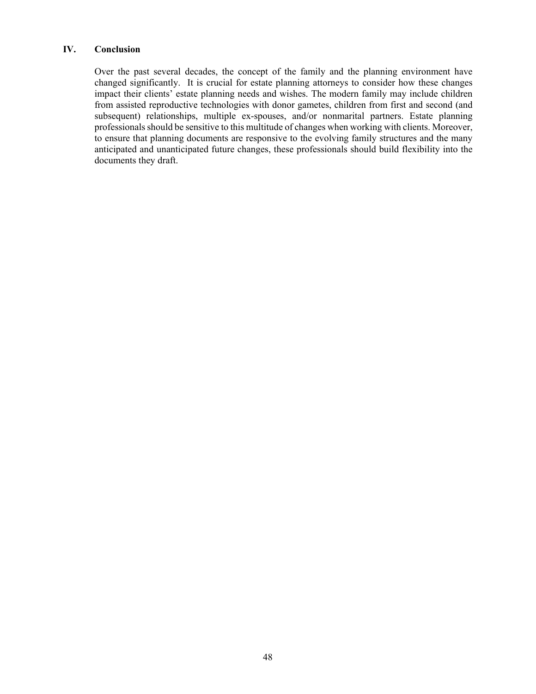# **IV. Conclusion**

Over the past several decades, the concept of the family and the planning environment have changed significantly. It is crucial for estate planning attorneys to consider how these changes impact their clients' estate planning needs and wishes. The modern family may include children from assisted reproductive technologies with donor gametes, children from first and second (and subsequent) relationships, multiple ex-spouses, and/or nonmarital partners. Estate planning professionals should be sensitive to this multitude of changes when working with clients. Moreover, to ensure that planning documents are responsive to the evolving family structures and the many anticipated and unanticipated future changes, these professionals should build flexibility into the documents they draft.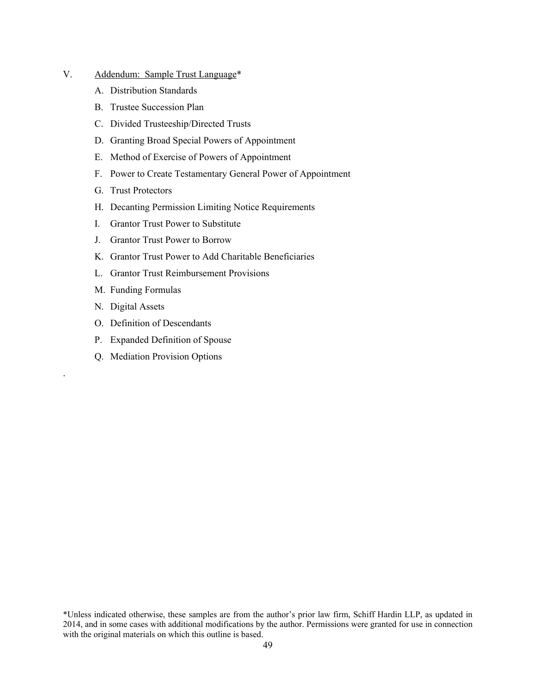- V. Addendum: Sample Trust Language\*
	- A. Distribution Standards
	- B. Trustee Succession Plan
	- C. Divided Trusteeship/Directed Trusts
	- D. Granting Broad Special Powers of Appointment
	- E. Method of Exercise of Powers of Appointment
	- F. Power to Create Testamentary General Power of Appointment
	- G. Trust Protectors
	- H. Decanting Permission Limiting Notice Requirements
	- I. Grantor Trust Power to Substitute
	- J. Grantor Trust Power to Borrow
	- K. Grantor Trust Power to Add Charitable Beneficiaries
	- L. Grantor Trust Reimbursement Provisions
	- M. Funding Formulas
	- N. Digital Assets

.

- O. Definition of Descendants
- P. Expanded Definition of Spouse
- Q. Mediation Provision Options

\*Unless indicated otherwise, these samples are from the author's prior law firm, Schiff Hardin LLP, as updated in 2014, and in some cases with additional modifications by the author. Permissions were granted for use in connection with the original materials on which this outline is based.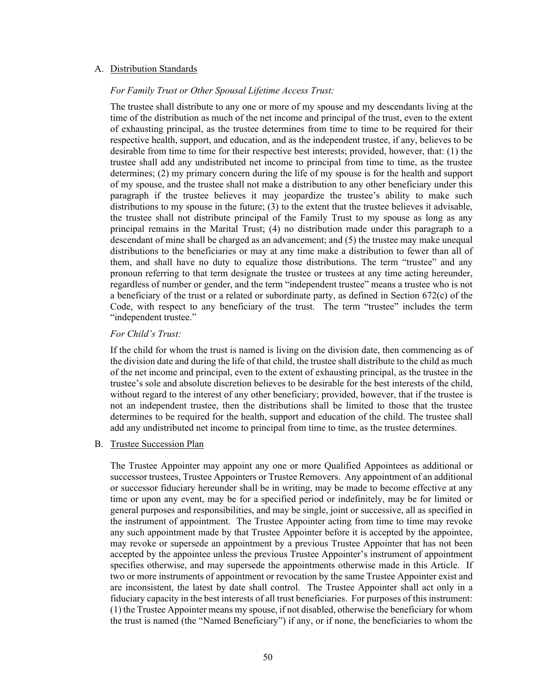#### A. Distribution Standards

#### *For Family Trust or Other Spousal Lifetime Access Trust:*

The trustee shall distribute to any one or more of my spouse and my descendants living at the time of the distribution as much of the net income and principal of the trust, even to the extent of exhausting principal, as the trustee determines from time to time to be required for their respective health, support, and education, and as the independent trustee, if any, believes to be desirable from time to time for their respective best interests; provided, however, that: (1) the trustee shall add any undistributed net income to principal from time to time, as the trustee determines; (2) my primary concern during the life of my spouse is for the health and support of my spouse, and the trustee shall not make a distribution to any other beneficiary under this paragraph if the trustee believes it may jeopardize the trustee's ability to make such distributions to my spouse in the future; (3) to the extent that the trustee believes it advisable, the trustee shall not distribute principal of the Family Trust to my spouse as long as any principal remains in the Marital Trust; (4) no distribution made under this paragraph to a descendant of mine shall be charged as an advancement; and (5) the trustee may make unequal distributions to the beneficiaries or may at any time make a distribution to fewer than all of them, and shall have no duty to equalize those distributions. The term "trustee" and any pronoun referring to that term designate the trustee or trustees at any time acting hereunder, regardless of number or gender, and the term "independent trustee" means a trustee who is not a beneficiary of the trust or a related or subordinate party, as defined in Section 672(c) of the Code, with respect to any beneficiary of the trust. The term "trustee" includes the term "independent trustee."

### *For Child's Trust:*

If the child for whom the trust is named is living on the division date, then commencing as of the division date and during the life of that child, the trustee shall distribute to the child as much of the net income and principal, even to the extent of exhausting principal, as the trustee in the trustee's sole and absolute discretion believes to be desirable for the best interests of the child, without regard to the interest of any other beneficiary; provided, however, that if the trustee is not an independent trustee, then the distributions shall be limited to those that the trustee determines to be required for the health, support and education of the child. The trustee shall add any undistributed net income to principal from time to time, as the trustee determines.

#### B. Trustee Succession Plan

The Trustee Appointer may appoint any one or more Qualified Appointees as additional or successor trustees, Trustee Appointers or Trustee Removers. Any appointment of an additional or successor fiduciary hereunder shall be in writing, may be made to become effective at any time or upon any event, may be for a specified period or indefinitely, may be for limited or general purposes and responsibilities, and may be single, joint or successive, all as specified in the instrument of appointment. The Trustee Appointer acting from time to time may revoke any such appointment made by that Trustee Appointer before it is accepted by the appointee, may revoke or supersede an appointment by a previous Trustee Appointer that has not been accepted by the appointee unless the previous Trustee Appointer's instrument of appointment specifies otherwise, and may supersede the appointments otherwise made in this Article. If two or more instruments of appointment or revocation by the same Trustee Appointer exist and are inconsistent, the latest by date shall control. The Trustee Appointer shall act only in a fiduciary capacity in the best interests of all trust beneficiaries. For purposes of this instrument: (1) the Trustee Appointer means my spouse, if not disabled, otherwise the beneficiary for whom the trust is named (the "Named Beneficiary") if any, or if none, the beneficiaries to whom the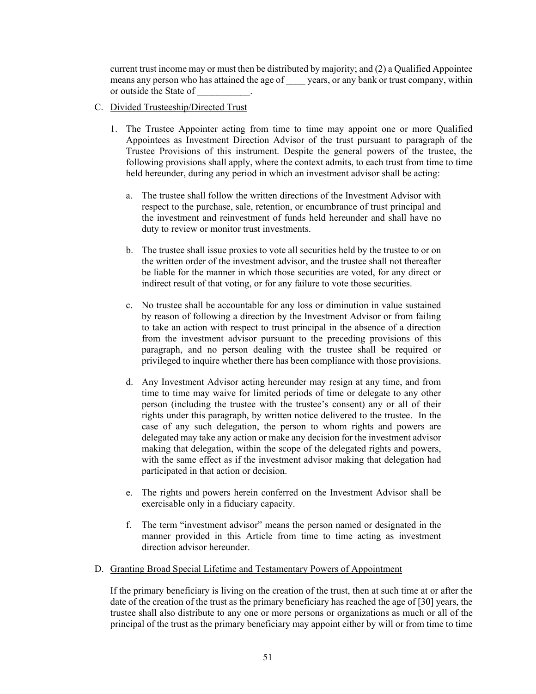current trust income may or must then be distributed by majority; and (2) a Qualified Appointee means any person who has attained the age of \_\_\_\_ years, or any bank or trust company, within or outside the State of \_\_\_\_\_\_\_\_\_\_\_.

- C. Divided Trusteeship/Directed Trust
	- 1. The Trustee Appointer acting from time to time may appoint one or more Qualified Appointees as Investment Direction Advisor of the trust pursuant to paragraph of the Trustee Provisions of this instrument. Despite the general powers of the trustee, the following provisions shall apply, where the context admits, to each trust from time to time held hereunder, during any period in which an investment advisor shall be acting:
		- a. The trustee shall follow the written directions of the Investment Advisor with respect to the purchase, sale, retention, or encumbrance of trust principal and the investment and reinvestment of funds held hereunder and shall have no duty to review or monitor trust investments.
		- b. The trustee shall issue proxies to vote all securities held by the trustee to or on the written order of the investment advisor, and the trustee shall not thereafter be liable for the manner in which those securities are voted, for any direct or indirect result of that voting, or for any failure to vote those securities.
		- c. No trustee shall be accountable for any loss or diminution in value sustained by reason of following a direction by the Investment Advisor or from failing to take an action with respect to trust principal in the absence of a direction from the investment advisor pursuant to the preceding provisions of this paragraph, and no person dealing with the trustee shall be required or privileged to inquire whether there has been compliance with those provisions.
		- d. Any Investment Advisor acting hereunder may resign at any time, and from time to time may waive for limited periods of time or delegate to any other person (including the trustee with the trustee's consent) any or all of their rights under this paragraph, by written notice delivered to the trustee. In the case of any such delegation, the person to whom rights and powers are delegated may take any action or make any decision for the investment advisor making that delegation, within the scope of the delegated rights and powers, with the same effect as if the investment advisor making that delegation had participated in that action or decision.
		- e. The rights and powers herein conferred on the Investment Advisor shall be exercisable only in a fiduciary capacity.
		- f. The term "investment advisor" means the person named or designated in the manner provided in this Article from time to time acting as investment direction advisor hereunder.
- D. Granting Broad Special Lifetime and Testamentary Powers of Appointment

If the primary beneficiary is living on the creation of the trust, then at such time at or after the date of the creation of the trust as the primary beneficiary has reached the age of [30] years, the trustee shall also distribute to any one or more persons or organizations as much or all of the principal of the trust as the primary beneficiary may appoint either by will or from time to time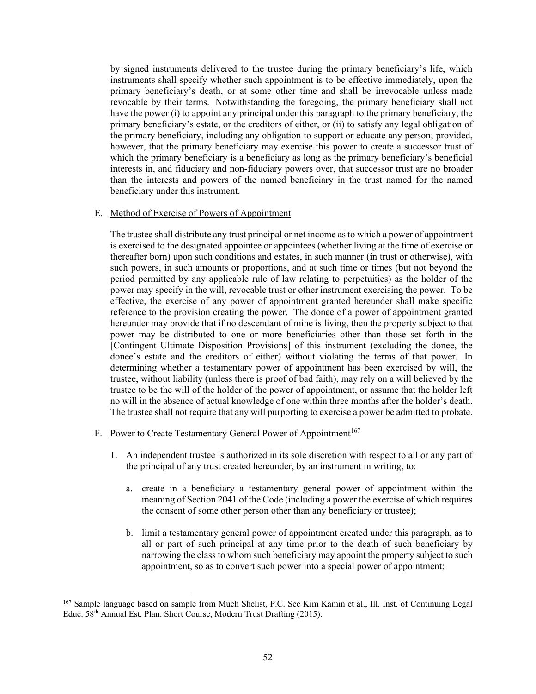by signed instruments delivered to the trustee during the primary beneficiary's life, which instruments shall specify whether such appointment is to be effective immediately, upon the primary beneficiary's death, or at some other time and shall be irrevocable unless made revocable by their terms. Notwithstanding the foregoing, the primary beneficiary shall not have the power (i) to appoint any principal under this paragraph to the primary beneficiary, the primary beneficiary's estate, or the creditors of either, or (ii) to satisfy any legal obligation of the primary beneficiary, including any obligation to support or educate any person; provided, however, that the primary beneficiary may exercise this power to create a successor trust of which the primary beneficiary is a beneficiary as long as the primary beneficiary's beneficial interests in, and fiduciary and non-fiduciary powers over, that successor trust are no broader than the interests and powers of the named beneficiary in the trust named for the named beneficiary under this instrument.

#### E. Method of Exercise of Powers of Appointment

The trustee shall distribute any trust principal or net income as to which a power of appointment is exercised to the designated appointee or appointees (whether living at the time of exercise or thereafter born) upon such conditions and estates, in such manner (in trust or otherwise), with such powers, in such amounts or proportions, and at such time or times (but not beyond the period permitted by any applicable rule of law relating to perpetuities) as the holder of the power may specify in the will, revocable trust or other instrument exercising the power. To be effective, the exercise of any power of appointment granted hereunder shall make specific reference to the provision creating the power. The donee of a power of appointment granted hereunder may provide that if no descendant of mine is living, then the property subject to that power may be distributed to one or more beneficiaries other than those set forth in the [Contingent Ultimate Disposition Provisions] of this instrument (excluding the donee, the donee's estate and the creditors of either) without violating the terms of that power. In determining whether a testamentary power of appointment has been exercised by will, the trustee, without liability (unless there is proof of bad faith), may rely on a will believed by the trustee to be the will of the holder of the power of appointment, or assume that the holder left no will in the absence of actual knowledge of one within three months after the holder's death. The trustee shall not require that any will purporting to exercise a power be admitted to probate.

- F. Power to Create Testamentary General Power of Appointment<sup>[167](#page-55-0)</sup>
	- 1. An independent trustee is authorized in its sole discretion with respect to all or any part of the principal of any trust created hereunder, by an instrument in writing, to:
		- a. create in a beneficiary a testamentary general power of appointment within the meaning of Section 2041 of the Code (including a power the exercise of which requires the consent of some other person other than any beneficiary or trustee);
		- b. limit a testamentary general power of appointment created under this paragraph, as to all or part of such principal at any time prior to the death of such beneficiary by narrowing the class to whom such beneficiary may appoint the property subject to such appointment, so as to convert such power into a special power of appointment;

<span id="page-55-0"></span><sup>&</sup>lt;sup>167</sup> Sample language based on sample from Much Shelist, P.C. See Kim Kamin et al., Ill. Inst. of Continuing Legal Educ. 58th Annual Est. Plan. Short Course, Modern Trust Drafting (2015).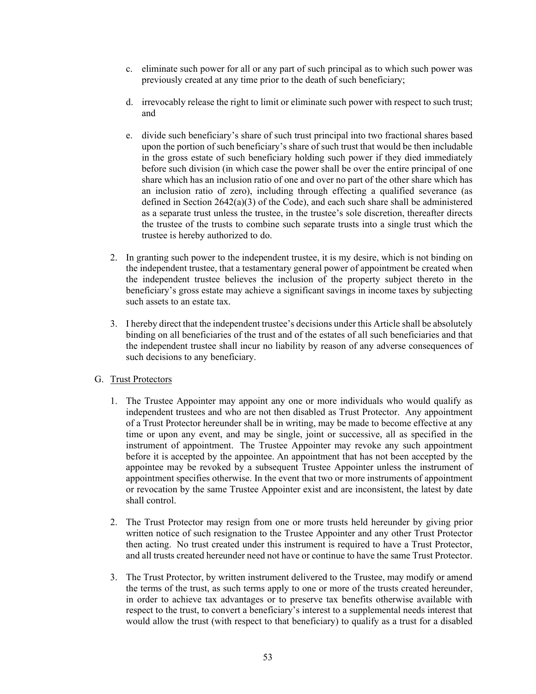- c. eliminate such power for all or any part of such principal as to which such power was previously created at any time prior to the death of such beneficiary;
- d. irrevocably release the right to limit or eliminate such power with respect to such trust; and
- e. divide such beneficiary's share of such trust principal into two fractional shares based upon the portion of such beneficiary's share of such trust that would be then includable in the gross estate of such beneficiary holding such power if they died immediately before such division (in which case the power shall be over the entire principal of one share which has an inclusion ratio of one and over no part of the other share which has an inclusion ratio of zero), including through effecting a qualified severance (as defined in Section 2642(a)(3) of the Code), and each such share shall be administered as a separate trust unless the trustee, in the trustee's sole discretion, thereafter directs the trustee of the trusts to combine such separate trusts into a single trust which the trustee is hereby authorized to do.
- 2. In granting such power to the independent trustee, it is my desire, which is not binding on the independent trustee, that a testamentary general power of appointment be created when the independent trustee believes the inclusion of the property subject thereto in the beneficiary's gross estate may achieve a significant savings in income taxes by subjecting such assets to an estate tax.
- 3. I hereby direct that the independent trustee's decisions under this Article shall be absolutely binding on all beneficiaries of the trust and of the estates of all such beneficiaries and that the independent trustee shall incur no liability by reason of any adverse consequences of such decisions to any beneficiary.

# G. Trust Protectors

- 1. The Trustee Appointer may appoint any one or more individuals who would qualify as independent trustees and who are not then disabled as Trust Protector. Any appointment of a Trust Protector hereunder shall be in writing, may be made to become effective at any time or upon any event, and may be single, joint or successive, all as specified in the instrument of appointment. The Trustee Appointer may revoke any such appointment before it is accepted by the appointee. An appointment that has not been accepted by the appointee may be revoked by a subsequent Trustee Appointer unless the instrument of appointment specifies otherwise. In the event that two or more instruments of appointment or revocation by the same Trustee Appointer exist and are inconsistent, the latest by date shall control.
- 2. The Trust Protector may resign from one or more trusts held hereunder by giving prior written notice of such resignation to the Trustee Appointer and any other Trust Protector then acting. No trust created under this instrument is required to have a Trust Protector, and all trusts created hereunder need not have or continue to have the same Trust Protector.
- 3. The Trust Protector, by written instrument delivered to the Trustee, may modify or amend the terms of the trust, as such terms apply to one or more of the trusts created hereunder, in order to achieve tax advantages or to preserve tax benefits otherwise available with respect to the trust, to convert a beneficiary's interest to a supplemental needs interest that would allow the trust (with respect to that beneficiary) to qualify as a trust for a disabled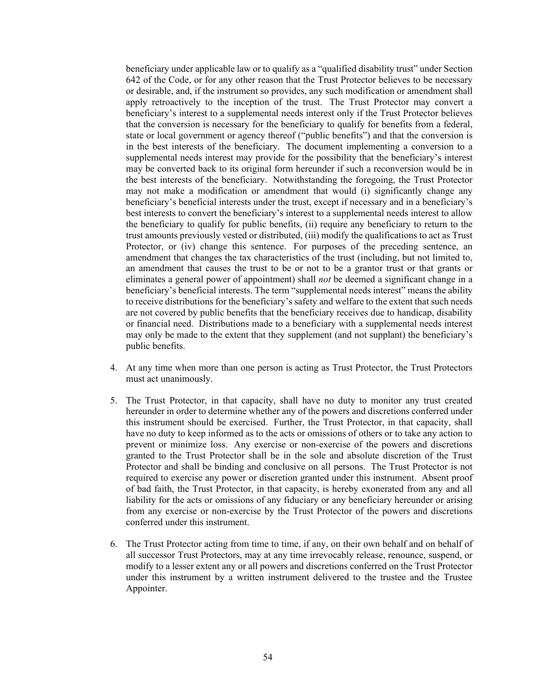beneficiary under applicable law or to qualify as a "qualified disability trust" under Section 642 of the Code, or for any other reason that the Trust Protector believes to be necessary or desirable, and, if the instrument so provides, any such modification or amendment shall apply retroactively to the inception of the trust. The Trust Protector may convert a beneficiary's interest to a supplemental needs interest only if the Trust Protector believes that the conversion is necessary for the beneficiary to qualify for benefits from a federal, state or local government or agency thereof ("public benefits") and that the conversion is in the best interests of the beneficiary. The document implementing a conversion to a supplemental needs interest may provide for the possibility that the beneficiary's interest may be converted back to its original form hereunder if such a reconversion would be in the best interests of the beneficiary. Notwithstanding the foregoing, the Trust Protector may not make a modification or amendment that would (i) significantly change any beneficiary's beneficial interests under the trust, except if necessary and in a beneficiary's best interests to convert the beneficiary's interest to a supplemental needs interest to allow the beneficiary to qualify for public benefits, (ii) require any beneficiary to return to the trust amounts previously vested or distributed, (iii) modify the qualifications to act as Trust Protector, or (iv) change this sentence. For purposes of the preceding sentence, an amendment that changes the tax characteristics of the trust (including, but not limited to, an amendment that causes the trust to be or not to be a grantor trust or that grants or eliminates a general power of appointment) shall *not* be deemed a significant change in a beneficiary's beneficial interests. The term "supplemental needs interest" means the ability to receive distributions for the beneficiary's safety and welfare to the extent that such needs are not covered by public benefits that the beneficiary receives due to handicap, disability or financial need. Distributions made to a beneficiary with a supplemental needs interest may only be made to the extent that they supplement (and not supplant) the beneficiary's public benefits.

- 4. At any time when more than one person is acting as Trust Protector, the Trust Protectors must act unanimously.
- 5. The Trust Protector, in that capacity, shall have no duty to monitor any trust created hereunder in order to determine whether any of the powers and discretions conferred under this instrument should be exercised. Further, the Trust Protector, in that capacity, shall have no duty to keep informed as to the acts or omissions of others or to take any action to prevent or minimize loss. Any exercise or non-exercise of the powers and discretions granted to the Trust Protector shall be in the sole and absolute discretion of the Trust Protector and shall be binding and conclusive on all persons. The Trust Protector is not required to exercise any power or discretion granted under this instrument. Absent proof of bad faith, the Trust Protector, in that capacity, is hereby exonerated from any and all liability for the acts or omissions of any fiduciary or any beneficiary hereunder or arising from any exercise or non-exercise by the Trust Protector of the powers and discretions conferred under this instrument.
- 6. The Trust Protector acting from time to time, if any, on their own behalf and on behalf of all successor Trust Protectors, may at any time irrevocably release, renounce, suspend, or modify to a lesser extent any or all powers and discretions conferred on the Trust Protector under this instrument by a written instrument delivered to the trustee and the Trustee Appointer.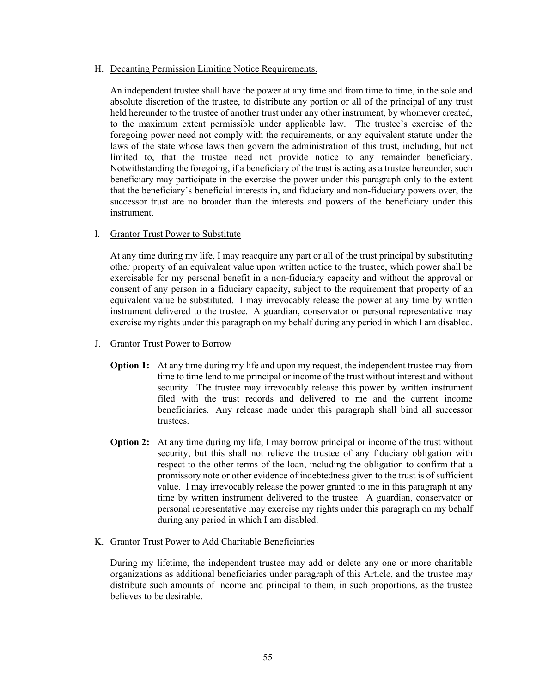#### H. Decanting Permission Limiting Notice Requirements.

An independent trustee shall have the power at any time and from time to time, in the sole and absolute discretion of the trustee, to distribute any portion or all of the principal of any trust held hereunder to the trustee of another trust under any other instrument, by whomever created, to the maximum extent permissible under applicable law. The trustee's exercise of the foregoing power need not comply with the requirements, or any equivalent statute under the laws of the state whose laws then govern the administration of this trust, including, but not limited to, that the trustee need not provide notice to any remainder beneficiary. Notwithstanding the foregoing, if a beneficiary of the trust is acting as a trustee hereunder, such beneficiary may participate in the exercise the power under this paragraph only to the extent that the beneficiary's beneficial interests in, and fiduciary and non-fiduciary powers over, the successor trust are no broader than the interests and powers of the beneficiary under this instrument.

# I. Grantor Trust Power to Substitute

At any time during my life, I may reacquire any part or all of the trust principal by substituting other property of an equivalent value upon written notice to the trustee, which power shall be exercisable for my personal benefit in a non-fiduciary capacity and without the approval or consent of any person in a fiduciary capacity, subject to the requirement that property of an equivalent value be substituted. I may irrevocably release the power at any time by written instrument delivered to the trustee. A guardian, conservator or personal representative may exercise my rights under this paragraph on my behalf during any period in which I am disabled.

- J. Grantor Trust Power to Borrow
	- **Option 1:** At any time during my life and upon my request, the independent trustee may from time to time lend to me principal or income of the trust without interest and without security. The trustee may irrevocably release this power by written instrument filed with the trust records and delivered to me and the current income beneficiaries. Any release made under this paragraph shall bind all successor trustees.
	- **Option 2:** At any time during my life, I may borrow principal or income of the trust without security, but this shall not relieve the trustee of any fiduciary obligation with respect to the other terms of the loan, including the obligation to confirm that a promissory note or other evidence of indebtedness given to the trust is of sufficient value. I may irrevocably release the power granted to me in this paragraph at any time by written instrument delivered to the trustee. A guardian, conservator or personal representative may exercise my rights under this paragraph on my behalf during any period in which I am disabled.

# K. Grantor Trust Power to Add Charitable Beneficiaries

During my lifetime, the independent trustee may add or delete any one or more charitable organizations as additional beneficiaries under paragraph of this Article, and the trustee may distribute such amounts of income and principal to them, in such proportions, as the trustee believes to be desirable.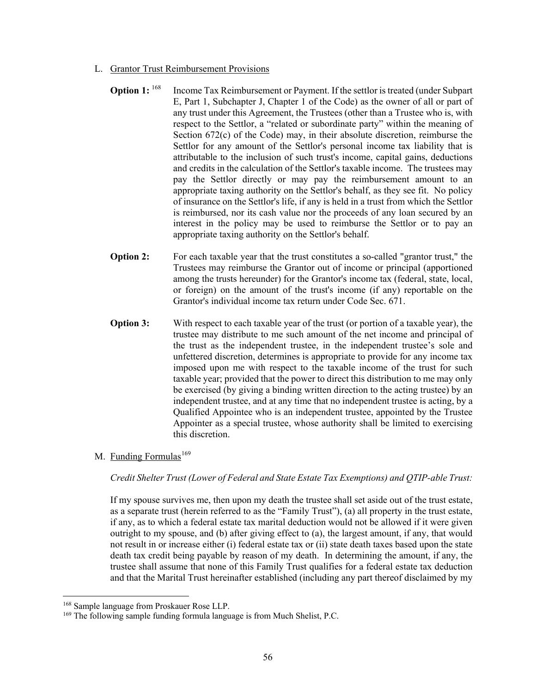- L. Grantor Trust Reimbursement Provisions
	- **Option 1:** <sup>[168](#page-59-0)</sup> Income Tax Reimbursement or Payment. If the settlor is treated (under Subpart E, Part 1, Subchapter J, Chapter 1 of the Code) as the owner of all or part of any trust under this Agreement, the Trustees (other than a Trustee who is, with respect to the Settlor, a "related or subordinate party" within the meaning of Section 672(c) of the Code) may, in their absolute discretion, reimburse the Settlor for any amount of the Settlor's personal income tax liability that is attributable to the inclusion of such trust's income, capital gains, deductions and credits in the calculation of the Settlor's taxable income. The trustees may pay the Settlor directly or may pay the reimbursement amount to an appropriate taxing authority on the Settlor's behalf, as they see fit. No policy of insurance on the Settlor's life, if any is held in a trust from which the Settlor is reimbursed, nor its cash value nor the proceeds of any loan secured by an interest in the policy may be used to reimburse the Settlor or to pay an appropriate taxing authority on the Settlor's behalf.
	- **Option 2:** For each taxable year that the trust constitutes a so-called "grantor trust," the Trustees may reimburse the Grantor out of income or principal (apportioned among the trusts hereunder) for the Grantor's income tax (federal, state, local, or foreign) on the amount of the trust's income (if any) reportable on the Grantor's individual income tax return under Code Sec. 671.
	- **Option 3:** With respect to each taxable year of the trust (or portion of a taxable year), the trustee may distribute to me such amount of the net income and principal of the trust as the independent trustee, in the independent trustee's sole and unfettered discretion, determines is appropriate to provide for any income tax imposed upon me with respect to the taxable income of the trust for such taxable year; provided that the power to direct this distribution to me may only be exercised (by giving a binding written direction to the acting trustee) by an independent trustee, and at any time that no independent trustee is acting, by a Qualified Appointee who is an independent trustee, appointed by the Trustee Appointer as a special trustee, whose authority shall be limited to exercising this discretion.
- M. Funding Formulas<sup>[169](#page-59-1)</sup>

*Credit Shelter Trust (Lower of Federal and State Estate Tax Exemptions) and QTIP-able Trust:* 

If my spouse survives me, then upon my death the trustee shall set aside out of the trust estate, as a separate trust (herein referred to as the "Family Trust"), (a) all property in the trust estate, if any, as to which a federal estate tax marital deduction would not be allowed if it were given outright to my spouse, and (b) after giving effect to (a), the largest amount, if any, that would not result in or increase either (i) federal estate tax or (ii) state death taxes based upon the state death tax credit being payable by reason of my death. In determining the amount, if any, the trustee shall assume that none of this Family Trust qualifies for a federal estate tax deduction and that the Marital Trust hereinafter established (including any part thereof disclaimed by my

<span id="page-59-0"></span><sup>168</sup> Sample language from Proskauer Rose LLP.

<span id="page-59-1"></span><sup>&</sup>lt;sup>169</sup> The following sample funding formula language is from Much Shelist, P.C.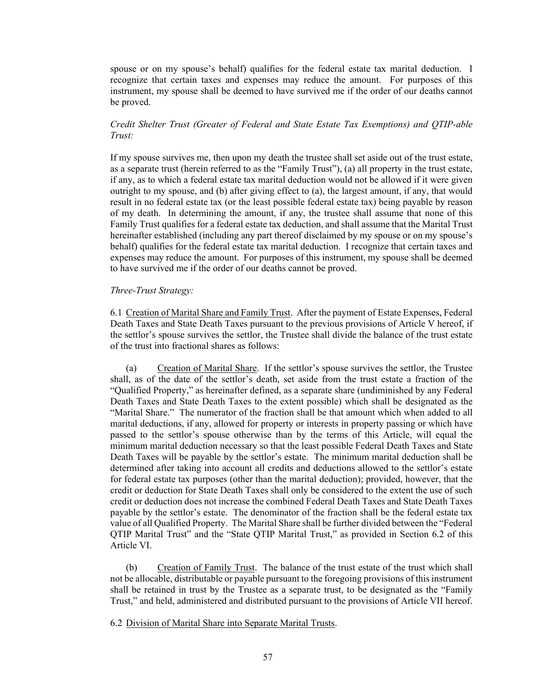spouse or on my spouse's behalf) qualifies for the federal estate tax marital deduction. I recognize that certain taxes and expenses may reduce the amount. For purposes of this instrument, my spouse shall be deemed to have survived me if the order of our deaths cannot be proved.

# *Credit Shelter Trust (Greater of Federal and State Estate Tax Exemptions) and QTIP-able Trust:*

If my spouse survives me, then upon my death the trustee shall set aside out of the trust estate, as a separate trust (herein referred to as the "Family Trust"), (a) all property in the trust estate, if any, as to which a federal estate tax marital deduction would not be allowed if it were given outright to my spouse, and (b) after giving effect to (a), the largest amount, if any, that would result in no federal estate tax (or the least possible federal estate tax) being payable by reason of my death. In determining the amount, if any, the trustee shall assume that none of this Family Trust qualifies for a federal estate tax deduction, and shall assume that the Marital Trust hereinafter established (including any part thereof disclaimed by my spouse or on my spouse's behalf) qualifies for the federal estate tax marital deduction. I recognize that certain taxes and expenses may reduce the amount. For purposes of this instrument, my spouse shall be deemed to have survived me if the order of our deaths cannot be proved.

#### *Three-Trust Strategy:*

6.1 Creation of Marital Share and Family Trust. After the payment of Estate Expenses, Federal Death Taxes and State Death Taxes pursuant to the previous provisions of Article V hereof, if the settlor's spouse survives the settlor, the Trustee shall divide the balance of the trust estate of the trust into fractional shares as follows:

(a) Creation of Marital Share. If the settlor's spouse survives the settlor, the Trustee shall, as of the date of the settlor's death, set aside from the trust estate a fraction of the "Qualified Property," as hereinafter defined, as a separate share (undiminished by any Federal Death Taxes and State Death Taxes to the extent possible) which shall be designated as the "Marital Share." The numerator of the fraction shall be that amount which when added to all marital deductions, if any, allowed for property or interests in property passing or which have passed to the settlor's spouse otherwise than by the terms of this Article, will equal the minimum marital deduction necessary so that the least possible Federal Death Taxes and State Death Taxes will be payable by the settlor's estate. The minimum marital deduction shall be determined after taking into account all credits and deductions allowed to the settlor's estate for federal estate tax purposes (other than the marital deduction); provided, however, that the credit or deduction for State Death Taxes shall only be considered to the extent the use of such credit or deduction does not increase the combined Federal Death Taxes and State Death Taxes payable by the settlor's estate. The denominator of the fraction shall be the federal estate tax value of all Qualified Property. The Marital Share shall be further divided between the "Federal QTIP Marital Trust" and the "State QTIP Marital Trust," as provided in Section 6.2 of this Article VI.

(b) Creation of Family Trust. The balance of the trust estate of the trust which shall not be allocable, distributable or payable pursuant to the foregoing provisions of this instrument shall be retained in trust by the Trustee as a separate trust, to be designated as the "Family Trust," and held, administered and distributed pursuant to the provisions of Article VII hereof.

6.2 Division of Marital Share into Separate Marital Trusts.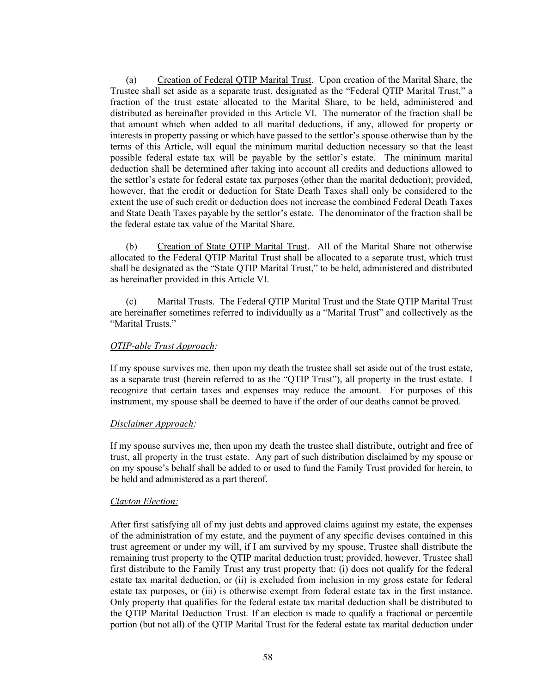(a) Creation of Federal QTIP Marital Trust. Upon creation of the Marital Share, the Trustee shall set aside as a separate trust, designated as the "Federal QTIP Marital Trust," a fraction of the trust estate allocated to the Marital Share, to be held, administered and distributed as hereinafter provided in this Article VI. The numerator of the fraction shall be that amount which when added to all marital deductions, if any, allowed for property or interests in property passing or which have passed to the settlor's spouse otherwise than by the terms of this Article, will equal the minimum marital deduction necessary so that the least possible federal estate tax will be payable by the settlor's estate. The minimum marital deduction shall be determined after taking into account all credits and deductions allowed to the settlor's estate for federal estate tax purposes (other than the marital deduction); provided, however, that the credit or deduction for State Death Taxes shall only be considered to the extent the use of such credit or deduction does not increase the combined Federal Death Taxes and State Death Taxes payable by the settlor's estate. The denominator of the fraction shall be the federal estate tax value of the Marital Share.

(b) Creation of State QTIP Marital Trust. All of the Marital Share not otherwise allocated to the Federal QTIP Marital Trust shall be allocated to a separate trust, which trust shall be designated as the "State QTIP Marital Trust," to be held, administered and distributed as hereinafter provided in this Article VI.

(c) Marital Trusts. The Federal QTIP Marital Trust and the State QTIP Marital Trust are hereinafter sometimes referred to individually as a "Marital Trust" and collectively as the "Marital Trusts."

#### *QTIP-able Trust Approach:*

If my spouse survives me, then upon my death the trustee shall set aside out of the trust estate, as a separate trust (herein referred to as the "QTIP Trust"), all property in the trust estate. I recognize that certain taxes and expenses may reduce the amount. For purposes of this instrument, my spouse shall be deemed to have if the order of our deaths cannot be proved.

#### *Disclaimer Approach:*

If my spouse survives me, then upon my death the trustee shall distribute, outright and free of trust, all property in the trust estate. Any part of such distribution disclaimed by my spouse or on my spouse's behalf shall be added to or used to fund the Family Trust provided for herein, to be held and administered as a part thereof.

# *Clayton Election:*

After first satisfying all of my just debts and approved claims against my estate, the expenses of the administration of my estate, and the payment of any specific devises contained in this trust agreement or under my will, if I am survived by my spouse, Trustee shall distribute the remaining trust property to the QTIP marital deduction trust; provided, however, Trustee shall first distribute to the Family Trust any trust property that: (i) does not qualify for the federal estate tax marital deduction, or (ii) is excluded from inclusion in my gross estate for federal estate tax purposes, or (iii) is otherwise exempt from federal estate tax in the first instance. Only property that qualifies for the federal estate tax marital deduction shall be distributed to the QTIP Marital Deduction Trust. If an election is made to qualify a fractional or percentile portion (but not all) of the QTIP Marital Trust for the federal estate tax marital deduction under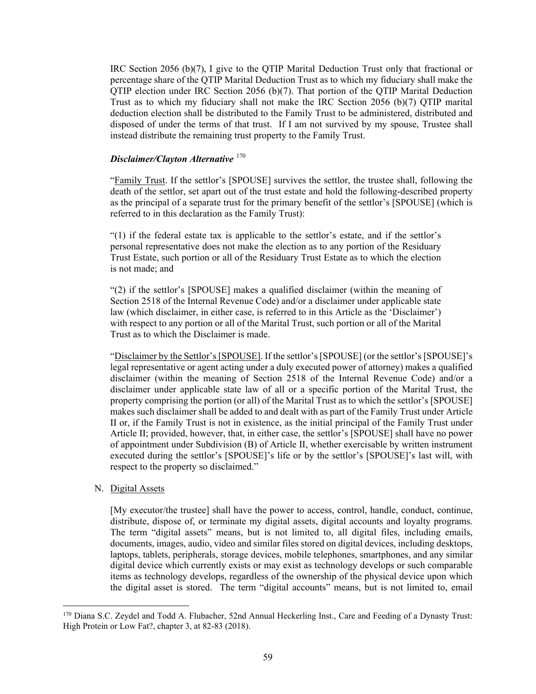IRC Section 2056 (b)(7), I give to the QTIP Marital Deduction Trust only that fractional or percentage share of the QTIP Marital Deduction Trust as to which my fiduciary shall make the QTIP election under IRC Section 2056 (b)(7). That portion of the QTIP Marital Deduction Trust as to which my fiduciary shall not make the IRC Section 2056 (b)(7) QTIP marital deduction election shall be distributed to the Family Trust to be administered, distributed and disposed of under the terms of that trust. If I am not survived by my spouse, Trustee shall instead distribute the remaining trust property to the Family Trust.

# *Disclaimer/Clayton Alternative* [170](#page-62-0)

"Family Trust. If the settlor's [SPOUSE] survives the settlor, the trustee shall, following the death of the settlor, set apart out of the trust estate and hold the following-described property as the principal of a separate trust for the primary benefit of the settlor's [SPOUSE] (which is referred to in this declaration as the Family Trust):

"(1) if the federal estate tax is applicable to the settlor's estate, and if the settlor's personal representative does not make the election as to any portion of the Residuary Trust Estate, such portion or all of the Residuary Trust Estate as to which the election is not made; and

"(2) if the settlor's [SPOUSE] makes a qualified disclaimer (within the meaning of Section 2518 of the Internal Revenue Code) and/or a disclaimer under applicable state law (which disclaimer, in either case, is referred to in this Article as the 'Disclaimer') with respect to any portion or all of the Marital Trust, such portion or all of the Marital Trust as to which the Disclaimer is made.

"Disclaimer by the Settlor's [SPOUSE]. If the settlor's [SPOUSE] (or the settlor's [SPOUSE]'s legal representative or agent acting under a duly executed power of attorney) makes a qualified disclaimer (within the meaning of Section 2518 of the Internal Revenue Code) and/or a disclaimer under applicable state law of all or a specific portion of the Marital Trust, the property comprising the portion (or all) of the Marital Trust as to which the settlor's [SPOUSE] makes such disclaimer shall be added to and dealt with as part of the Family Trust under Article II or, if the Family Trust is not in existence, as the initial principal of the Family Trust under Article II; provided, however, that, in either case, the settlor's [SPOUSE] shall have no power of appointment under Subdivision (B) of Article II, whether exercisable by written instrument executed during the settlor's [SPOUSE]'s life or by the settlor's [SPOUSE]'s last will, with respect to the property so disclaimed."

#### N. Digital Assets

[My executor/the trustee] shall have the power to access, control, handle, conduct, continue, distribute, dispose of, or terminate my digital assets, digital accounts and loyalty programs. The term "digital assets" means, but is not limited to, all digital files, including emails, documents, images, audio, video and similar files stored on digital devices, including desktops, laptops, tablets, peripherals, storage devices, mobile telephones, smartphones, and any similar digital device which currently exists or may exist as technology develops or such comparable items as technology develops, regardless of the ownership of the physical device upon which the digital asset is stored. The term "digital accounts" means, but is not limited to, email

<span id="page-62-0"></span><sup>&</sup>lt;sup>170</sup> Diana S.C. Zeydel and Todd A. Flubacher, 52nd Annual Heckerling Inst., Care and Feeding of a Dynasty Trust: High Protein or Low Fat?, chapter 3, at 82-83 (2018).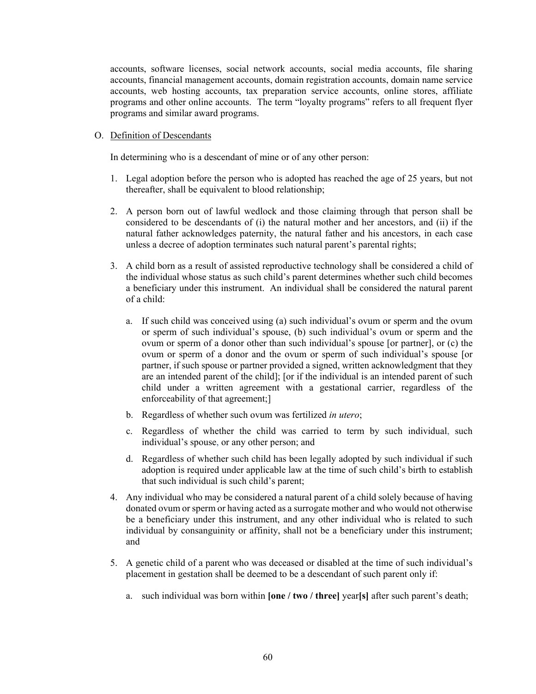accounts, software licenses, social network accounts, social media accounts, file sharing accounts, financial management accounts, domain registration accounts, domain name service accounts, web hosting accounts, tax preparation service accounts, online stores, affiliate programs and other online accounts. The term "loyalty programs" refers to all frequent flyer programs and similar award programs.

### O. Definition of Descendants

In determining who is a descendant of mine or of any other person:

- 1. Legal adoption before the person who is adopted has reached the age of 25 years, but not thereafter, shall be equivalent to blood relationship;
- 2. A person born out of lawful wedlock and those claiming through that person shall be considered to be descendants of (i) the natural mother and her ancestors, and (ii) if the natural father acknowledges paternity, the natural father and his ancestors, in each case unless a decree of adoption terminates such natural parent's parental rights;
- 3. A child born as a result of assisted reproductive technology shall be considered a child of the individual whose status as such child's parent determines whether such child becomes a beneficiary under this instrument. An individual shall be considered the natural parent of a child:
	- a. If such child was conceived using (a) such individual's ovum or sperm and the ovum or sperm of such individual's spouse, (b) such individual's ovum or sperm and the ovum or sperm of a donor other than such individual's spouse [or partner], or (c) the ovum or sperm of a donor and the ovum or sperm of such individual's spouse [or partner, if such spouse or partner provided a signed, written acknowledgment that they are an intended parent of the child]; [or if the individual is an intended parent of such child under a written agreement with a gestational carrier, regardless of the enforceability of that agreement;]
	- b. Regardless of whether such ovum was fertilized *in utero*;
	- c. Regardless of whether the child was carried to term by such individual, such individual's spouse, or any other person; and
	- d. Regardless of whether such child has been legally adopted by such individual if such adoption is required under applicable law at the time of such child's birth to establish that such individual is such child's parent;
- 4. Any individual who may be considered a natural parent of a child solely because of having donated ovum or sperm or having acted as a surrogate mother and who would not otherwise be a beneficiary under this instrument, and any other individual who is related to such individual by consanguinity or affinity, shall not be a beneficiary under this instrument; and
- 5. A genetic child of a parent who was deceased or disabled at the time of such individual's placement in gestation shall be deemed to be a descendant of such parent only if:
	- a. such individual was born within **[one / two / three]** year**[s]** after such parent's death;